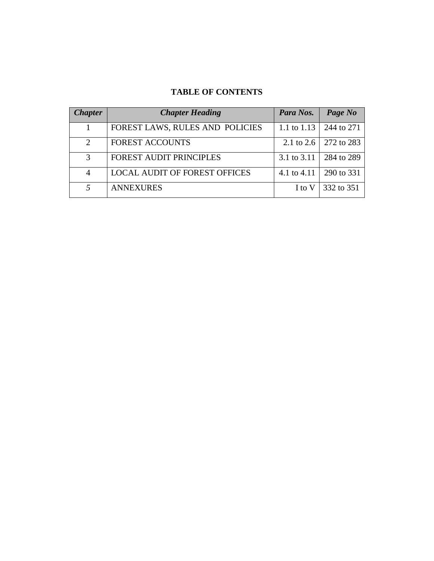# **TABLE OF CONTENTS**

| <b>Chapter</b>              | <b>Chapter Heading</b>               | Para Nos.     | Page No                 |
|-----------------------------|--------------------------------------|---------------|-------------------------|
|                             | FOREST LAWS, RULES AND POLICIES      | 1.1 to $1.13$ | 244 to 271              |
| $\mathcal{D}_{\mathcal{L}}$ | <b>FOREST ACCOUNTS</b>               |               | 2.1 to 2.6   272 to 283 |
| $\mathcal{F}$               | FOREST AUDIT PRINCIPLES              | 3.1 to $3.11$ | 284 to 289              |
| 4                           | <b>LOCAL AUDIT OF FOREST OFFICES</b> | 4.1 to 4.11   | 290 to 331              |
| 5                           | <b>ANNEXURES</b>                     | I to V        | 332 to 351              |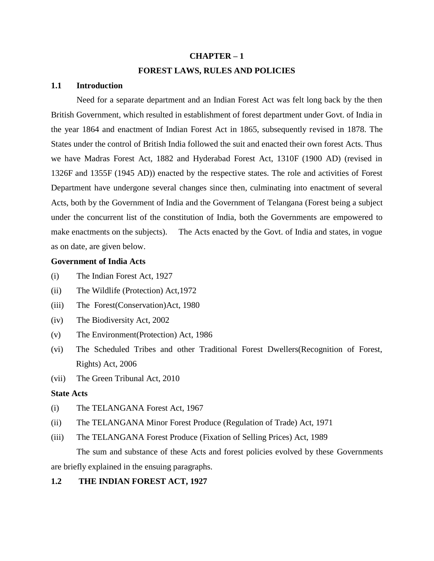# **CHAPTER – 1 FOREST LAWS, RULES AND POLICIES**

## **1.1 Introduction**

Need for a separate department and an Indian Forest Act was felt long back by the then British Government, which resulted in establishment of forest department under Govt. of India in the year 1864 and enactment of Indian Forest Act in 1865, subsequently revised in 1878. The States under the control of British India followed the suit and enacted their own forest Acts. Thus we have Madras Forest Act, 1882 and Hyderabad Forest Act, 1310F (1900 AD) (revised in 1326F and 1355F (1945 AD)) enacted by the respective states. The role and activities of Forest Department have undergone several changes since then, culminating into enactment of several Acts, both by the Government of India and the Government of Telangana (Forest being a subject under the concurrent list of the constitution of India, both the Governments are empowered to make enactments on the subjects). The Acts enacted by the Govt. of India and states, in vogue as on date, are given below.

## **Government of India Acts**

- (i) The Indian Forest Act, 1927
- (ii) The Wildlife (Protection) Act,1972
- (iii) The Forest(Conservation)Act, 1980
- (iv) The Biodiversity Act, 2002
- (v) The Environment(Protection) Act, 1986
- (vi) The Scheduled Tribes and other Traditional Forest Dwellers(Recognition of Forest, Rights) Act, 2006
- (vii) The Green Tribunal Act, 2010

## **State Acts**

- (i) The TELANGANA Forest Act, 1967
- (ii) The TELANGANA Minor Forest Produce (Regulation of Trade) Act, 1971
- (iii) The TELANGANA Forest Produce (Fixation of Selling Prices) Act, 1989

The sum and substance of these Acts and forest policies evolved by these Governments

are briefly explained in the ensuing paragraphs.

## **1.2 THE INDIAN FOREST ACT, 1927**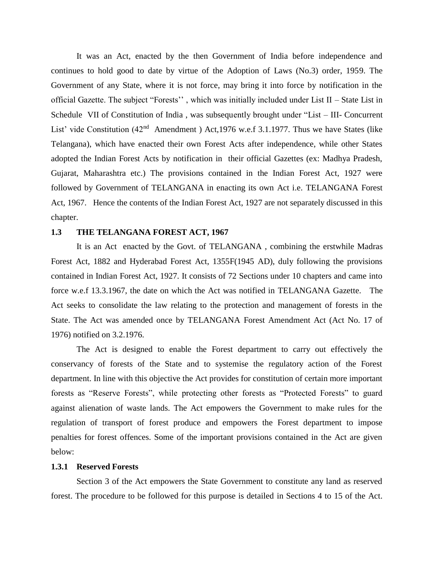It was an Act, enacted by the then Government of India before independence and continues to hold good to date by virtue of the Adoption of Laws (No.3) order, 1959. The Government of any State, where it is not force, may bring it into force by notification in the official Gazette. The subject "Forests'' , which was initially included under List II – State List in Schedule VII of Constitution of India , was subsequently brought under "List – III- Concurrent List' vide Constitution (42<sup>nd</sup> Amendment) Act, 1976 w.e.f 3.1.1977. Thus we have States (like Telangana), which have enacted their own Forest Acts after independence, while other States adopted the Indian Forest Acts by notification in their official Gazettes (ex: Madhya Pradesh, Gujarat, Maharashtra etc.) The provisions contained in the Indian Forest Act, 1927 were followed by Government of TELANGANA in enacting its own Act i.e. TELANGANA Forest Act, 1967. Hence the contents of the Indian Forest Act, 1927 are not separately discussed in this chapter.

#### **1.3 THE TELANGANA FOREST ACT, 1967**

It is an Act enacted by the Govt. of TELANGANA , combining the erstwhile Madras Forest Act, 1882 and Hyderabad Forest Act, 1355F(1945 AD), duly following the provisions contained in Indian Forest Act, 1927. It consists of 72 Sections under 10 chapters and came into force w.e.f 13.3.1967, the date on which the Act was notified in TELANGANA Gazette. The Act seeks to consolidate the law relating to the protection and management of forests in the State. The Act was amended once by TELANGANA Forest Amendment Act (Act No. 17 of 1976) notified on 3.2.1976.

The Act is designed to enable the Forest department to carry out effectively the conservancy of forests of the State and to systemise the regulatory action of the Forest department. In line with this objective the Act provides for constitution of certain more important forests as "Reserve Forests", while protecting other forests as "Protected Forests" to guard against alienation of waste lands. The Act empowers the Government to make rules for the regulation of transport of forest produce and empowers the Forest department to impose penalties for forest offences. Some of the important provisions contained in the Act are given below:

## **1.3.1 Reserved Forests**

Section 3 of the Act empowers the State Government to constitute any land as reserved forest. The procedure to be followed for this purpose is detailed in Sections 4 to 15 of the Act.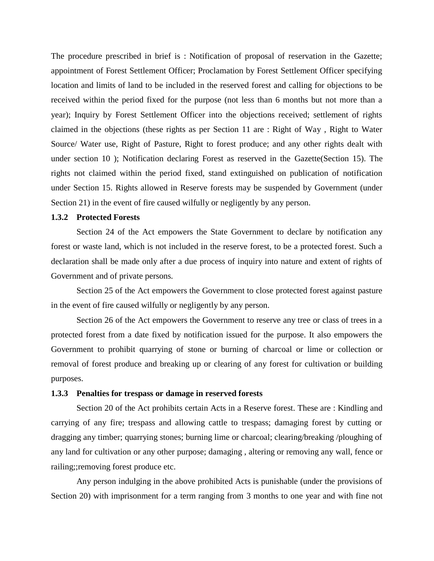The procedure prescribed in brief is : Notification of proposal of reservation in the Gazette; appointment of Forest Settlement Officer; Proclamation by Forest Settlement Officer specifying location and limits of land to be included in the reserved forest and calling for objections to be received within the period fixed for the purpose (not less than 6 months but not more than a year); Inquiry by Forest Settlement Officer into the objections received; settlement of rights claimed in the objections (these rights as per Section 11 are : Right of Way , Right to Water Source/ Water use, Right of Pasture, Right to forest produce; and any other rights dealt with under section 10 ); Notification declaring Forest as reserved in the Gazette(Section 15). The rights not claimed within the period fixed, stand extinguished on publication of notification under Section 15. Rights allowed in Reserve forests may be suspended by Government (under Section 21) in the event of fire caused wilfully or negligently by any person.

## **1.3.2 Protected Forests**

Section 24 of the Act empowers the State Government to declare by notification any forest or waste land, which is not included in the reserve forest, to be a protected forest. Such a declaration shall be made only after a due process of inquiry into nature and extent of rights of Government and of private persons.

Section 25 of the Act empowers the Government to close protected forest against pasture in the event of fire caused wilfully or negligently by any person.

Section 26 of the Act empowers the Government to reserve any tree or class of trees in a protected forest from a date fixed by notification issued for the purpose. It also empowers the Government to prohibit quarrying of stone or burning of charcoal or lime or collection or removal of forest produce and breaking up or clearing of any forest for cultivation or building purposes.

## **1.3.3 Penalties for trespass or damage in reserved forests**

Section 20 of the Act prohibits certain Acts in a Reserve forest. These are : Kindling and carrying of any fire; trespass and allowing cattle to trespass; damaging forest by cutting or dragging any timber; quarrying stones; burning lime or charcoal; clearing/breaking /ploughing of any land for cultivation or any other purpose; damaging , altering or removing any wall, fence or railing;;removing forest produce etc.

Any person indulging in the above prohibited Acts is punishable (under the provisions of Section 20) with imprisonment for a term ranging from 3 months to one year and with fine not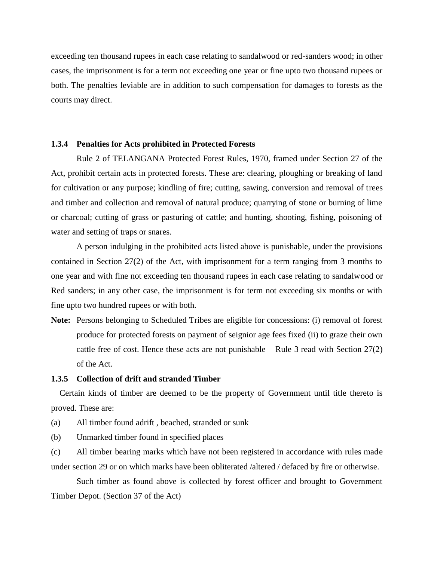exceeding ten thousand rupees in each case relating to sandalwood or red-sanders wood; in other cases, the imprisonment is for a term not exceeding one year or fine upto two thousand rupees or both. The penalties leviable are in addition to such compensation for damages to forests as the courts may direct.

#### **1.3.4 Penalties for Acts prohibited in Protected Forests**

Rule 2 of TELANGANA Protected Forest Rules, 1970, framed under Section 27 of the Act, prohibit certain acts in protected forests. These are: clearing, ploughing or breaking of land for cultivation or any purpose; kindling of fire; cutting, sawing, conversion and removal of trees and timber and collection and removal of natural produce; quarrying of stone or burning of lime or charcoal; cutting of grass or pasturing of cattle; and hunting, shooting, fishing, poisoning of water and setting of traps or snares.

A person indulging in the prohibited acts listed above is punishable, under the provisions contained in Section 27(2) of the Act, with imprisonment for a term ranging from 3 months to one year and with fine not exceeding ten thousand rupees in each case relating to sandalwood or Red sanders; in any other case, the imprisonment is for term not exceeding six months or with fine upto two hundred rupees or with both.

**Note:** Persons belonging to Scheduled Tribes are eligible for concessions: (i) removal of forest produce for protected forests on payment of seignior age fees fixed (ii) to graze their own cattle free of cost. Hence these acts are not punishable – Rule 3 read with Section  $27(2)$ of the Act.

## **1.3.5 Collection of drift and stranded Timber**

 Certain kinds of timber are deemed to be the property of Government until title thereto is proved. These are:

- (a) All timber found adrift , beached, stranded or sunk
- (b) Unmarked timber found in specified places

(c) All timber bearing marks which have not been registered in accordance with rules made under section 29 or on which marks have been obliterated /altered / defaced by fire or otherwise.

Such timber as found above is collected by forest officer and brought to Government Timber Depot. (Section 37 of the Act)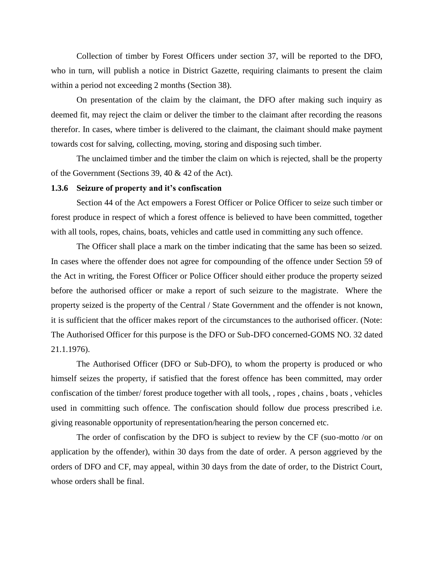Collection of timber by Forest Officers under section 37, will be reported to the DFO, who in turn, will publish a notice in District Gazette, requiring claimants to present the claim within a period not exceeding 2 months (Section 38).

On presentation of the claim by the claimant, the DFO after making such inquiry as deemed fit, may reject the claim or deliver the timber to the claimant after recording the reasons therefor. In cases, where timber is delivered to the claimant, the claimant should make payment towards cost for salving, collecting, moving, storing and disposing such timber.

The unclaimed timber and the timber the claim on which is rejected, shall be the property of the Government (Sections 39, 40 & 42 of the Act).

#### **1.3.6 Seizure of property and it's confiscation**

Section 44 of the Act empowers a Forest Officer or Police Officer to seize such timber or forest produce in respect of which a forest offence is believed to have been committed, together with all tools, ropes, chains, boats, vehicles and cattle used in committing any such offence.

The Officer shall place a mark on the timber indicating that the same has been so seized. In cases where the offender does not agree for compounding of the offence under Section 59 of the Act in writing, the Forest Officer or Police Officer should either produce the property seized before the authorised officer or make a report of such seizure to the magistrate. Where the property seized is the property of the Central / State Government and the offender is not known, it is sufficient that the officer makes report of the circumstances to the authorised officer. (Note: The Authorised Officer for this purpose is the DFO or Sub-DFO concerned-GOMS NO. 32 dated 21.1.1976).

The Authorised Officer (DFO or Sub-DFO), to whom the property is produced or who himself seizes the property, if satisfied that the forest offence has been committed, may order confiscation of the timber/ forest produce together with all tools, , ropes , chains , boats , vehicles used in committing such offence. The confiscation should follow due process prescribed i.e. giving reasonable opportunity of representation/hearing the person concerned etc.

The order of confiscation by the DFO is subject to review by the CF (suo-motto /or on application by the offender), within 30 days from the date of order. A person aggrieved by the orders of DFO and CF, may appeal, within 30 days from the date of order, to the District Court, whose orders shall be final.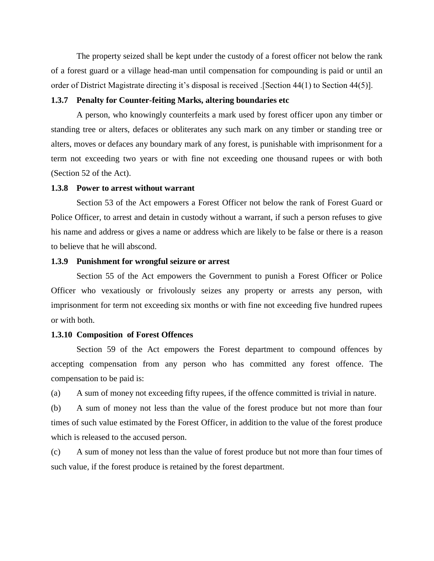The property seized shall be kept under the custody of a forest officer not below the rank of a forest guard or a village head-man until compensation for compounding is paid or until an order of District Magistrate directing it's disposal is received .[Section 44(1) to Section 44(5)].

### **1.3.7 Penalty for Counter-feiting Marks, altering boundaries etc**

A person, who knowingly counterfeits a mark used by forest officer upon any timber or standing tree or alters, defaces or obliterates any such mark on any timber or standing tree or alters, moves or defaces any boundary mark of any forest, is punishable with imprisonment for a term not exceeding two years or with fine not exceeding one thousand rupees or with both (Section 52 of the Act).

#### **1.3.8 Power to arrest without warrant**

Section 53 of the Act empowers a Forest Officer not below the rank of Forest Guard or Police Officer, to arrest and detain in custody without a warrant, if such a person refuses to give his name and address or gives a name or address which are likely to be false or there is a reason to believe that he will abscond.

## **1.3.9 Punishment for wrongful seizure or arrest**

Section 55 of the Act empowers the Government to punish a Forest Officer or Police Officer who vexatiously or frivolously seizes any property or arrests any person, with imprisonment for term not exceeding six months or with fine not exceeding five hundred rupees or with both.

## **1.3.10 Composition of Forest Offences**

Section 59 of the Act empowers the Forest department to compound offences by accepting compensation from any person who has committed any forest offence. The compensation to be paid is:

(a) A sum of money not exceeding fifty rupees, if the offence committed is trivial in nature.

(b) A sum of money not less than the value of the forest produce but not more than four times of such value estimated by the Forest Officer, in addition to the value of the forest produce which is released to the accused person.

(c) A sum of money not less than the value of forest produce but not more than four times of such value, if the forest produce is retained by the forest department.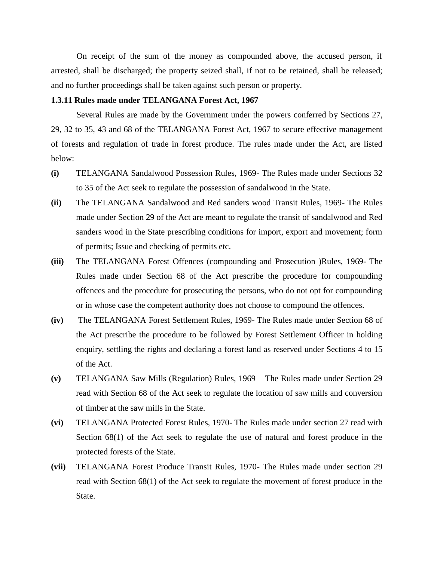On receipt of the sum of the money as compounded above, the accused person, if arrested, shall be discharged; the property seized shall, if not to be retained, shall be released; and no further proceedings shall be taken against such person or property.

#### **1.3.11 Rules made under TELANGANA Forest Act, 1967**

Several Rules are made by the Government under the powers conferred by Sections 27, 29, 32 to 35, 43 and 68 of the TELANGANA Forest Act, 1967 to secure effective management of forests and regulation of trade in forest produce. The rules made under the Act, are listed below:

- **(i)** TELANGANA Sandalwood Possession Rules, 1969- The Rules made under Sections 32 to 35 of the Act seek to regulate the possession of sandalwood in the State.
- **(ii)** The TELANGANA Sandalwood and Red sanders wood Transit Rules, 1969- The Rules made under Section 29 of the Act are meant to regulate the transit of sandalwood and Red sanders wood in the State prescribing conditions for import, export and movement; form of permits; Issue and checking of permits etc.
- **(iii)** The TELANGANA Forest Offences (compounding and Prosecution )Rules, 1969- The Rules made under Section 68 of the Act prescribe the procedure for compounding offences and the procedure for prosecuting the persons, who do not opt for compounding or in whose case the competent authority does not choose to compound the offences.
- **(iv)** The TELANGANA Forest Settlement Rules, 1969- The Rules made under Section 68 of the Act prescribe the procedure to be followed by Forest Settlement Officer in holding enquiry, settling the rights and declaring a forest land as reserved under Sections 4 to 15 of the Act.
- **(v)** TELANGANA Saw Mills (Regulation) Rules, 1969 The Rules made under Section 29 read with Section 68 of the Act seek to regulate the location of saw mills and conversion of timber at the saw mills in the State.
- **(vi)** TELANGANA Protected Forest Rules, 1970- The Rules made under section 27 read with Section 68(1) of the Act seek to regulate the use of natural and forest produce in the protected forests of the State.
- **(vii)** TELANGANA Forest Produce Transit Rules, 1970- The Rules made under section 29 read with Section 68(1) of the Act seek to regulate the movement of forest produce in the State.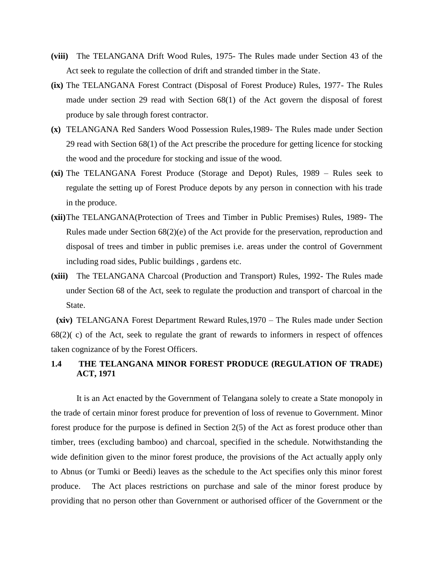- **(viii)** The TELANGANA Drift Wood Rules, 1975- The Rules made under Section 43 of the Act seek to regulate the collection of drift and stranded timber in the State.
- **(ix)** The TELANGANA Forest Contract (Disposal of Forest Produce) Rules, 1977- The Rules made under section 29 read with Section 68(1) of the Act govern the disposal of forest produce by sale through forest contractor.
- **(x)** TELANGANA Red Sanders Wood Possession Rules,1989- The Rules made under Section 29 read with Section 68(1) of the Act prescribe the procedure for getting licence for stocking the wood and the procedure for stocking and issue of the wood.
- **(xi)** The TELANGANA Forest Produce (Storage and Depot) Rules, 1989 Rules seek to regulate the setting up of Forest Produce depots by any person in connection with his trade in the produce.
- **(xii)**The TELANGANA(Protection of Trees and Timber in Public Premises) Rules, 1989- The Rules made under Section 68(2)(e) of the Act provide for the preservation, reproduction and disposal of trees and timber in public premises i.e. areas under the control of Government including road sides, Public buildings , gardens etc.
- **(xiii)** The TELANGANA Charcoal (Production and Transport) Rules, 1992- The Rules made under Section 68 of the Act, seek to regulate the production and transport of charcoal in the State.

**(xiv)** TELANGANA Forest Department Reward Rules,1970 – The Rules made under Section 68(2)( c) of the Act, seek to regulate the grant of rewards to informers in respect of offences taken cognizance of by the Forest Officers.

# **1.4 THE TELANGANA MINOR FOREST PRODUCE (REGULATION OF TRADE) ACT, 1971**

It is an Act enacted by the Government of Telangana solely to create a State monopoly in the trade of certain minor forest produce for prevention of loss of revenue to Government. Minor forest produce for the purpose is defined in Section 2(5) of the Act as forest produce other than timber, trees (excluding bamboo) and charcoal, specified in the schedule. Notwithstanding the wide definition given to the minor forest produce, the provisions of the Act actually apply only to Abnus (or Tumki or Beedi) leaves as the schedule to the Act specifies only this minor forest produce. The Act places restrictions on purchase and sale of the minor forest produce by providing that no person other than Government or authorised officer of the Government or the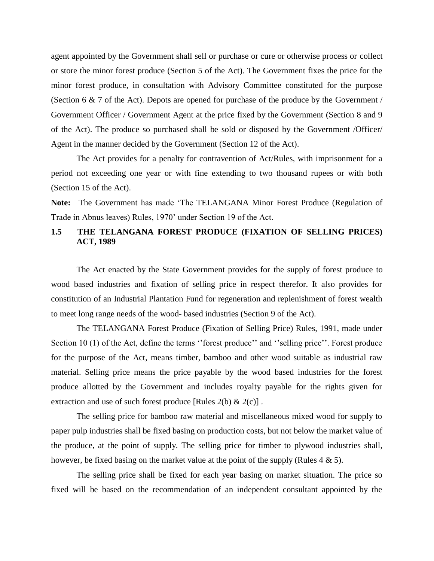agent appointed by the Government shall sell or purchase or cure or otherwise process or collect or store the minor forest produce (Section 5 of the Act). The Government fixes the price for the minor forest produce, in consultation with Advisory Committee constituted for the purpose (Section 6 & 7 of the Act). Depots are opened for purchase of the produce by the Government / Government Officer / Government Agent at the price fixed by the Government (Section 8 and 9 of the Act). The produce so purchased shall be sold or disposed by the Government /Officer/ Agent in the manner decided by the Government (Section 12 of the Act).

The Act provides for a penalty for contravention of Act/Rules, with imprisonment for a period not exceeding one year or with fine extending to two thousand rupees or with both (Section 15 of the Act).

**Note:** The Government has made 'The TELANGANA Minor Forest Produce (Regulation of Trade in Abnus leaves) Rules, 1970' under Section 19 of the Act.

## **1.5 THE TELANGANA FOREST PRODUCE (FIXATION OF SELLING PRICES) ACT, 1989**

The Act enacted by the State Government provides for the supply of forest produce to wood based industries and fixation of selling price in respect therefor. It also provides for constitution of an Industrial Plantation Fund for regeneration and replenishment of forest wealth to meet long range needs of the wood- based industries (Section 9 of the Act).

The TELANGANA Forest Produce (Fixation of Selling Price) Rules, 1991, made under Section 10 (1) of the Act, define the terms "forest produce" and "selling price". Forest produce for the purpose of the Act, means timber, bamboo and other wood suitable as industrial raw material. Selling price means the price payable by the wood based industries for the forest produce allotted by the Government and includes royalty payable for the rights given for extraction and use of such forest produce [Rules  $2(b) \& 2(c)$ ].

The selling price for bamboo raw material and miscellaneous mixed wood for supply to paper pulp industries shall be fixed basing on production costs, but not below the market value of the produce, at the point of supply. The selling price for timber to plywood industries shall, however, be fixed basing on the market value at the point of the supply (Rules  $4 \& 5$ ).

The selling price shall be fixed for each year basing on market situation. The price so fixed will be based on the recommendation of an independent consultant appointed by the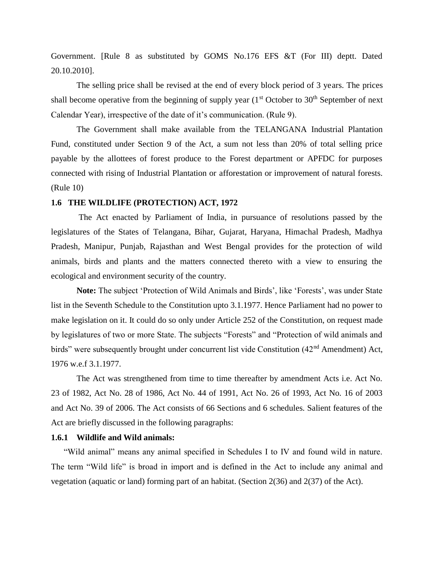Government. [Rule 8 as substituted by GOMS No.176 EFS &T (For III) deptt. Dated 20.10.2010].

The selling price shall be revised at the end of every block period of 3 years. The prices shall become operative from the beginning of supply year  $(1<sup>st</sup> October to 30<sup>th</sup> September of next)$ Calendar Year), irrespective of the date of it's communication. (Rule 9).

The Government shall make available from the TELANGANA Industrial Plantation Fund, constituted under Section 9 of the Act, a sum not less than 20% of total selling price payable by the allottees of forest produce to the Forest department or APFDC for purposes connected with rising of Industrial Plantation or afforestation or improvement of natural forests. (Rule 10)

## **1.6 THE WILDLIFE (PROTECTION) ACT, 1972**

The Act enacted by Parliament of India, in pursuance of resolutions passed by the legislatures of the States of Telangana, Bihar, Gujarat, Haryana, Himachal Pradesh, Madhya Pradesh, Manipur, Punjab, Rajasthan and West Bengal provides for the protection of wild animals, birds and plants and the matters connected thereto with a view to ensuring the ecological and environment security of the country.

**Note:** The subject 'Protection of Wild Animals and Birds', like 'Forests', was under State list in the Seventh Schedule to the Constitution upto 3.1.1977. Hence Parliament had no power to make legislation on it. It could do so only under Article 252 of the Constitution, on request made by legislatures of two or more State. The subjects "Forests" and "Protection of wild animals and birds" were subsequently brought under concurrent list vide Constitution (42<sup>nd</sup> Amendment) Act, 1976 w.e.f 3.1.1977.

The Act was strengthened from time to time thereafter by amendment Acts i.e. Act No. 23 of 1982, Act No. 28 of 1986, Act No. 44 of 1991, Act No. 26 of 1993, Act No. 16 of 2003 and Act No. 39 of 2006. The Act consists of 66 Sections and 6 schedules. Salient features of the Act are briefly discussed in the following paragraphs:

## **1.6.1 Wildlife and Wild animals:**

"Wild animal" means any animal specified in Schedules I to IV and found wild in nature. The term "Wild life" is broad in import and is defined in the Act to include any animal and vegetation (aquatic or land) forming part of an habitat. (Section 2(36) and 2(37) of the Act).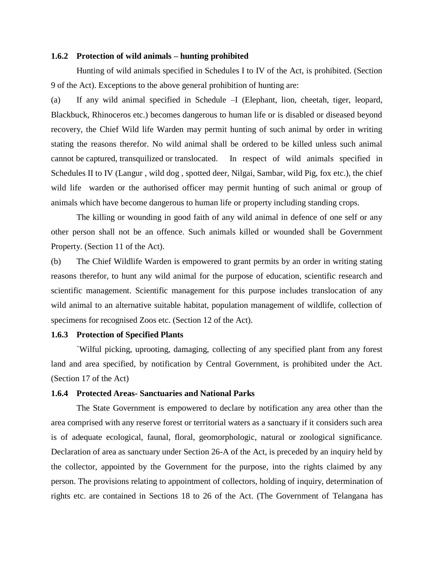#### **1.6.2 Protection of wild animals – hunting prohibited**

Hunting of wild animals specified in Schedules I to IV of the Act, is prohibited. (Section 9 of the Act). Exceptions to the above general prohibition of hunting are:

(a) If any wild animal specified in Schedule –I (Elephant, lion, cheetah, tiger, leopard, Blackbuck, Rhinoceros etc.) becomes dangerous to human life or is disabled or diseased beyond recovery, the Chief Wild life Warden may permit hunting of such animal by order in writing stating the reasons therefor. No wild animal shall be ordered to be killed unless such animal cannot be captured, transquilized or translocated. In respect of wild animals specified in Schedules II to IV (Langur , wild dog , spotted deer, Nilgai, Sambar, wild Pig, fox etc.), the chief wild life warden or the authorised officer may permit hunting of such animal or group of animals which have become dangerous to human life or property including standing crops.

The killing or wounding in good faith of any wild animal in defence of one self or any other person shall not be an offence. Such animals killed or wounded shall be Government Property. (Section 11 of the Act).

(b) The Chief Wildlife Warden is empowered to grant permits by an order in writing stating reasons therefor, to hunt any wild animal for the purpose of education, scientific research and scientific management. Scientific management for this purpose includes translocation of any wild animal to an alternative suitable habitat, population management of wildlife, collection of specimens for recognised Zoos etc. (Section 12 of the Act).

#### **1.6.3 Protection of Specified Plants**

`Wilful picking, uprooting, damaging, collecting of any specified plant from any forest land and area specified, by notification by Central Government, is prohibited under the Act. (Section 17 of the Act)

## **1.6.4 Protected Areas- Sanctuaries and National Parks**

The State Government is empowered to declare by notification any area other than the area comprised with any reserve forest or territorial waters as a sanctuary if it considers such area is of adequate ecological, faunal, floral, geomorphologic, natural or zoological significance. Declaration of area as sanctuary under Section 26-A of the Act, is preceded by an inquiry held by the collector, appointed by the Government for the purpose, into the rights claimed by any person. The provisions relating to appointment of collectors, holding of inquiry, determination of rights etc. are contained in Sections 18 to 26 of the Act. (The Government of Telangana has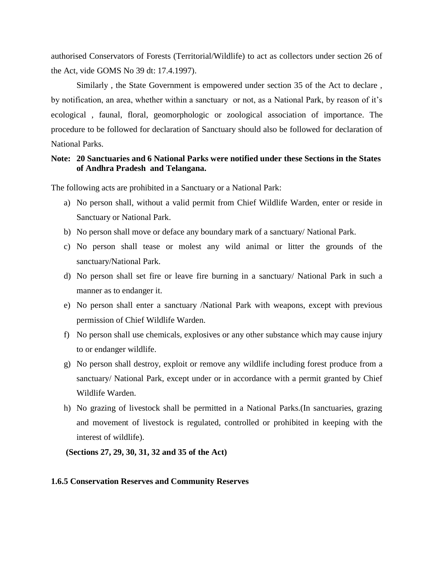authorised Conservators of Forests (Territorial/Wildlife) to act as collectors under section 26 of the Act, vide GOMS No 39 dt: 17.4.1997).

Similarly , the State Government is empowered under section 35 of the Act to declare , by notification, an area, whether within a sanctuary or not, as a National Park, by reason of it's ecological , faunal, floral, geomorphologic or zoological association of importance. The procedure to be followed for declaration of Sanctuary should also be followed for declaration of National Parks.

## **Note: 20 Sanctuaries and 6 National Parks were notified under these Sections in the States of Andhra Pradesh and Telangana.**

The following acts are prohibited in a Sanctuary or a National Park:

- a) No person shall, without a valid permit from Chief Wildlife Warden, enter or reside in Sanctuary or National Park.
- b) No person shall move or deface any boundary mark of a sanctuary/ National Park.
- c) No person shall tease or molest any wild animal or litter the grounds of the sanctuary/National Park.
- d) No person shall set fire or leave fire burning in a sanctuary/ National Park in such a manner as to endanger it.
- e) No person shall enter a sanctuary /National Park with weapons, except with previous permission of Chief Wildlife Warden.
- f) No person shall use chemicals, explosives or any other substance which may cause injury to or endanger wildlife.
- g) No person shall destroy, exploit or remove any wildlife including forest produce from a sanctuary/ National Park, except under or in accordance with a permit granted by Chief Wildlife Warden.
- h) No grazing of livestock shall be permitted in a National Parks.(In sanctuaries, grazing and movement of livestock is regulated, controlled or prohibited in keeping with the interest of wildlife).

 **(Sections 27, 29, 30, 31, 32 and 35 of the Act)**

#### **1.6.5 Conservation Reserves and Community Reserves**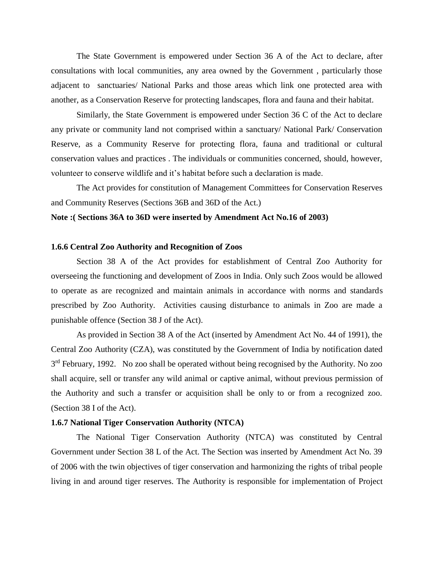The State Government is empowered under Section 36 A of the Act to declare, after consultations with local communities, any area owned by the Government , particularly those adjacent to sanctuaries/ National Parks and those areas which link one protected area with another, as a Conservation Reserve for protecting landscapes, flora and fauna and their habitat.

Similarly, the State Government is empowered under Section 36 C of the Act to declare any private or community land not comprised within a sanctuary/ National Park/ Conservation Reserve, as a Community Reserve for protecting flora, fauna and traditional or cultural conservation values and practices . The individuals or communities concerned, should, however, volunteer to conserve wildlife and it's habitat before such a declaration is made.

The Act provides for constitution of Management Committees for Conservation Reserves and Community Reserves (Sections 36B and 36D of the Act.)

#### **Note :( Sections 36A to 36D were inserted by Amendment Act No.16 of 2003)**

## **1.6.6 Central Zoo Authority and Recognition of Zoos**

Section 38 A of the Act provides for establishment of Central Zoo Authority for overseeing the functioning and development of Zoos in India. Only such Zoos would be allowed to operate as are recognized and maintain animals in accordance with norms and standards prescribed by Zoo Authority. Activities causing disturbance to animals in Zoo are made a punishable offence (Section 38 J of the Act).

As provided in Section 38 A of the Act (inserted by Amendment Act No. 44 of 1991), the Central Zoo Authority (CZA), was constituted by the Government of India by notification dated 3<sup>rd</sup> February, 1992. No zoo shall be operated without being recognised by the Authority. No zoo shall acquire, sell or transfer any wild animal or captive animal, without previous permission of the Authority and such a transfer or acquisition shall be only to or from a recognized zoo. (Section 38 I of the Act).

## **1.6.7 National Tiger Conservation Authority (NTCA)**

The National Tiger Conservation Authority (NTCA) was constituted by Central Government under Section 38 L of the Act. The Section was inserted by Amendment Act No. 39 of 2006 with the twin objectives of tiger conservation and harmonizing the rights of tribal people living in and around tiger reserves. The Authority is responsible for implementation of Project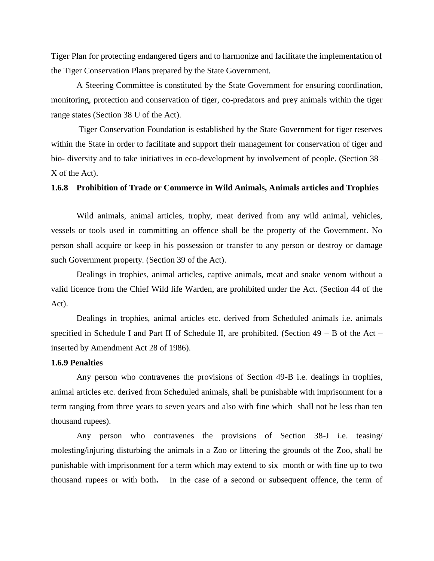Tiger Plan for protecting endangered tigers and to harmonize and facilitate the implementation of the Tiger Conservation Plans prepared by the State Government.

A Steering Committee is constituted by the State Government for ensuring coordination, monitoring, protection and conservation of tiger, co-predators and prey animals within the tiger range states (Section 38 U of the Act).

Tiger Conservation Foundation is established by the State Government for tiger reserves within the State in order to facilitate and support their management for conservation of tiger and bio- diversity and to take initiatives in eco-development by involvement of people. (Section 38– X of the Act).

#### **1.6.8 Prohibition of Trade or Commerce in Wild Animals, Animals articles and Trophies**

Wild animals, animal articles, trophy, meat derived from any wild animal, vehicles, vessels or tools used in committing an offence shall be the property of the Government. No person shall acquire or keep in his possession or transfer to any person or destroy or damage such Government property. (Section 39 of the Act).

Dealings in trophies, animal articles, captive animals, meat and snake venom without a valid licence from the Chief Wild life Warden, are prohibited under the Act. (Section 44 of the Act).

Dealings in trophies, animal articles etc. derived from Scheduled animals i.e. animals specified in Schedule I and Part II of Schedule II, are prohibited. (Section  $49 - B$  of the Act – inserted by Amendment Act 28 of 1986).

## **1.6.9 Penalties**

Any person who contravenes the provisions of Section 49-B i.e. dealings in trophies, animal articles etc. derived from Scheduled animals, shall be punishable with imprisonment for a term ranging from three years to seven years and also with fine which shall not be less than ten thousand rupees).

Any person who contravenes the provisions of Section 38-J i.e. teasing/ molesting/injuring disturbing the animals in a Zoo or littering the grounds of the Zoo, shall be punishable with imprisonment for a term which may extend to six month or with fine up to two thousand rupees or with both**.** In the case of a second or subsequent offence, the term of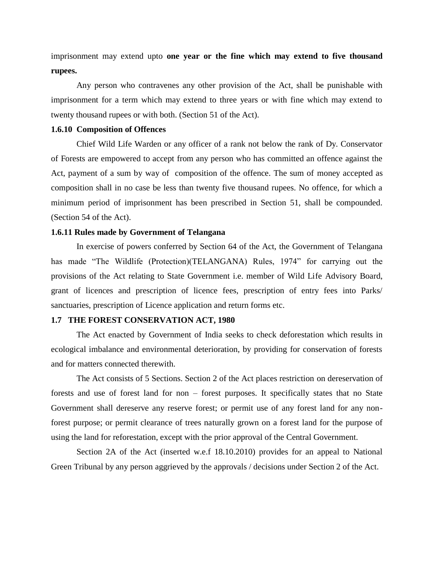imprisonment may extend upto **one year or the fine which may extend to five thousand rupees.** 

Any person who contravenes any other provision of the Act, shall be punishable with imprisonment for a term which may extend to three years or with fine which may extend to twenty thousand rupees or with both. (Section 51 of the Act).

#### **1.6.10 Composition of Offences**

Chief Wild Life Warden or any officer of a rank not below the rank of Dy. Conservator of Forests are empowered to accept from any person who has committed an offence against the Act, payment of a sum by way of composition of the offence. The sum of money accepted as composition shall in no case be less than twenty five thousand rupees. No offence, for which a minimum period of imprisonment has been prescribed in Section 51, shall be compounded. (Section 54 of the Act).

## **1.6.11 Rules made by Government of Telangana**

In exercise of powers conferred by Section 64 of the Act, the Government of Telangana has made "The Wildlife (Protection)(TELANGANA) Rules, 1974" for carrying out the provisions of the Act relating to State Government i.e. member of Wild Life Advisory Board, grant of licences and prescription of licence fees, prescription of entry fees into Parks/ sanctuaries, prescription of Licence application and return forms etc.

## **1.7 THE FOREST CONSERVATION ACT, 1980**

The Act enacted by Government of India seeks to check deforestation which results in ecological imbalance and environmental deterioration, by providing for conservation of forests and for matters connected therewith.

The Act consists of 5 Sections. Section 2 of the Act places restriction on dereservation of forests and use of forest land for non – forest purposes. It specifically states that no State Government shall dereserve any reserve forest; or permit use of any forest land for any nonforest purpose; or permit clearance of trees naturally grown on a forest land for the purpose of using the land for reforestation, except with the prior approval of the Central Government.

Section 2A of the Act (inserted w.e.f 18.10.2010) provides for an appeal to National Green Tribunal by any person aggrieved by the approvals / decisions under Section 2 of the Act.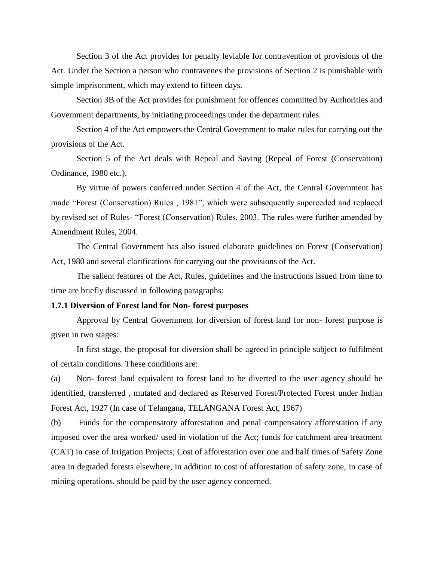Section 3 of the Act provides for penalty leviable for contravention of provisions of the Act. Under the Section a person who contravenes the provisions of Section 2 is punishable with simple imprisonment, which may extend to fifteen days.

Section 3B of the Act provides for punishment for offences committed by Authorities and Government departments, by initiating proceedings under the department rules.

Section 4 of the Act empowers the Central Government to make rules for carrying out the provisions of the Act.

Section 5 of the Act deals with Repeal and Saving (Repeal of Forest (Conservation) Ordinance, 1980 etc.).

By virtue of powers conferred under Section 4 of the Act, the Central Government has made "Forest (Conservation) Rules , 1981", which were subsequently superceded and replaced by revised set of Rules- "Forest (Conservation) Rules, 2003. The rules were further amended by Amendment Rules, 2004.

The Central Government has also issued elaborate guidelines on Forest (Conservation) Act, 1980 and several clarifications for carrying out the provisions of the Act.

The salient features of the Act, Rules, guidelines and the instructions issued from time to time are briefly discussed in following paragraphs:

## **1.7.1 Diversion of Forest land for Non- forest purposes**

Approval by Central Government for diversion of forest land for non- forest purpose is given in two stages:

In first stage, the proposal for diversion shall be agreed in principle subject to fulfilment of certain conditions. These conditions are:

(a) Non- forest land equivalent to forest land to be diverted to the user agency should be identified, transferred , mutated and declared as Reserved Forest/Protected Forest under Indian Forest Act, 1927 (In case of Telangana, TELANGANA Forest Act, 1967)

(b) Funds for the compensatory afforestation and penal compensatory afforestation if any imposed over the area worked/ used in violation of the Act; funds for catchment area treatment (CAT) in case of Irrigation Projects; Cost of afforestation over one and half times of Safety Zone area in degraded forests elsewhere, in addition to cost of afforestation of safety zone, in case of mining operations, should be paid by the user agency concerned.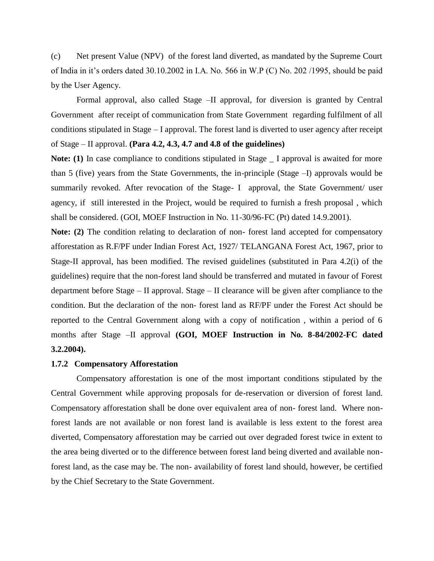(c) Net present Value (NPV) of the forest land diverted, as mandated by the Supreme Court of India in it's orders dated 30.10.2002 in I.A. No. 566 in W.P (C) No. 202 /1995, should be paid by the User Agency.

Formal approval, also called Stage –II approval, for diversion is granted by Central Government after receipt of communication from State Government regarding fulfilment of all conditions stipulated in Stage – I approval. The forest land is diverted to user agency after receipt of Stage – II approval. **(Para 4.2, 4.3, 4.7 and 4.8 of the guidelines)**

Note: (1) In case compliance to conditions stipulated in Stage \_ I approval is awaited for more than 5 (five) years from the State Governments, the in-principle (Stage –I) approvals would be summarily revoked. After revocation of the Stage- I approval, the State Government/ user agency, if still interested in the Project, would be required to furnish a fresh proposal , which shall be considered. (GOI, MOEF Instruction in No. 11-30/96-FC (Pt) dated 14.9.2001).

Note: (2) The condition relating to declaration of non-forest land accepted for compensatory afforestation as R.F/PF under Indian Forest Act, 1927/ TELANGANA Forest Act, 1967, prior to Stage-II approval, has been modified. The revised guidelines (substituted in Para 4.2(i) of the guidelines) require that the non-forest land should be transferred and mutated in favour of Forest department before Stage – II approval. Stage – II clearance will be given after compliance to the condition. But the declaration of the non- forest land as RF/PF under the Forest Act should be reported to the Central Government along with a copy of notification , within a period of 6 months after Stage –II approval **(GOI, MOEF Instruction in No. 8-84/2002-FC dated 3.2.2004).**

## **1.7.2 Compensatory Afforestation**

Compensatory afforestation is one of the most important conditions stipulated by the Central Government while approving proposals for de-reservation or diversion of forest land. Compensatory afforestation shall be done over equivalent area of non- forest land. Where nonforest lands are not available or non forest land is available is less extent to the forest area diverted, Compensatory afforestation may be carried out over degraded forest twice in extent to the area being diverted or to the difference between forest land being diverted and available nonforest land, as the case may be. The non- availability of forest land should, however, be certified by the Chief Secretary to the State Government.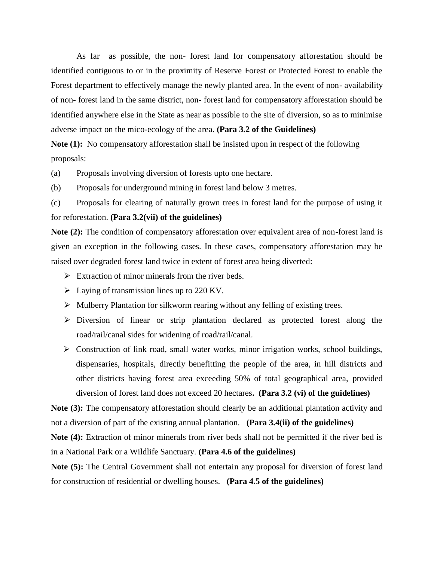As far as possible, the non- forest land for compensatory afforestation should be identified contiguous to or in the proximity of Reserve Forest or Protected Forest to enable the Forest department to effectively manage the newly planted area. In the event of non- availability of non- forest land in the same district, non- forest land for compensatory afforestation should be identified anywhere else in the State as near as possible to the site of diversion, so as to minimise adverse impact on the mico-ecology of the area. **(Para 3.2 of the Guidelines)**

**Note (1):** No compensatory afforestation shall be insisted upon in respect of the following proposals:

(a) Proposals involving diversion of forests upto one hectare.

(b) Proposals for underground mining in forest land below 3 metres.

(c) Proposals for clearing of naturally grown trees in forest land for the purpose of using it for reforestation. **(Para 3.2(vii) of the guidelines)**

**Note (2):** The condition of compensatory afforestation over equivalent area of non-forest land is given an exception in the following cases. In these cases, compensatory afforestation may be raised over degraded forest land twice in extent of forest area being diverted:

- $\triangleright$  Extraction of minor minerals from the river beds.
- $\triangleright$  Laying of transmission lines up to 220 KV.
- $\triangleright$  Mulberry Plantation for silkworm rearing without any felling of existing trees.
- Diversion of linear or strip plantation declared as protected forest along the road/rail/canal sides for widening of road/rail/canal.
- $\triangleright$  Construction of link road, small water works, minor irrigation works, school buildings, dispensaries, hospitals, directly benefitting the people of the area, in hill districts and other districts having forest area exceeding 50% of total geographical area, provided diversion of forest land does not exceed 20 hectares**. (Para 3.2 (vi) of the guidelines)**

**Note (3):** The compensatory afforestation should clearly be an additional plantation activity and not a diversion of part of the existing annual plantation. **(Para 3.4(ii) of the guidelines)**

**Note (4):** Extraction of minor minerals from river beds shall not be permitted if the river bed is in a National Park or a Wildlife Sanctuary. **(Para 4.6 of the guidelines)**

**Note (5):** The Central Government shall not entertain any proposal for diversion of forest land for construction of residential or dwelling houses. **(Para 4.5 of the guidelines)**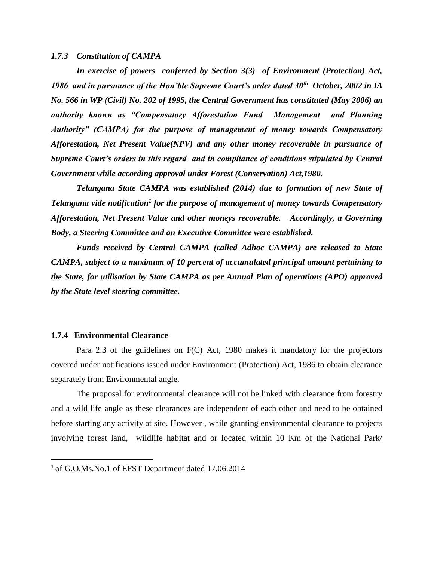#### *1.7.3 Constitution of CAMPA*

*In exercise of powers conferred by Section 3(3) of Environment (Protection) Act, 1986 and in pursuance of the Hon'ble Supreme Court's order dated 30th October, 2002 in IA No. 566 in WP (Civil) No. 202 of 1995, the Central Government has constituted (May 2006) an authority known as "Compensatory Afforestation Fund Management and Planning Authority" (CAMPA) for the purpose of management of money towards Compensatory Afforestation, Net Present Value(NPV) and any other money recoverable in pursuance of Supreme Court's orders in this regard and in compliance of conditions stipulated by Central Government while according approval under Forest (Conservation) Act,1980.*

*Telangana State CAMPA was established (2014) due to formation of new State of Telangana vide notification<sup>1</sup> for the purpose of management of money towards Compensatory Afforestation, Net Present Value and other moneys recoverable. Accordingly, a Governing Body, a Steering Committee and an Executive Committee were established.*

*Funds received by Central CAMPA (called Adhoc CAMPA) are released to State CAMPA, subject to a maximum of 10 percent of accumulated principal amount pertaining to the State, for utilisation by State CAMPA as per Annual Plan of operations (APO) approved by the State level steering committee.*

#### **1.7.4 Environmental Clearance**

 $\overline{a}$ 

Para 2.3 of the guidelines on F(C) Act, 1980 makes it mandatory for the projectors covered under notifications issued under Environment (Protection) Act, 1986 to obtain clearance separately from Environmental angle.

The proposal for environmental clearance will not be linked with clearance from forestry and a wild life angle as these clearances are independent of each other and need to be obtained before starting any activity at site. However , while granting environmental clearance to projects involving forest land, wildlife habitat and or located within 10 Km of the National Park/

<sup>&</sup>lt;sup>1</sup> of G.O.Ms.No.1 of EFST Department dated 17.06.2014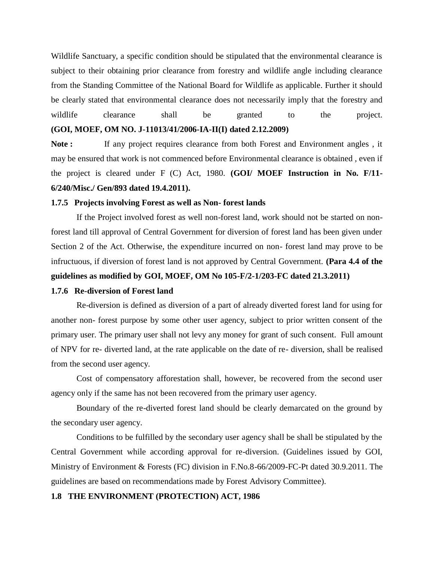Wildlife Sanctuary, a specific condition should be stipulated that the environmental clearance is subject to their obtaining prior clearance from forestry and wildlife angle including clearance from the Standing Committee of the National Board for Wildlife as applicable. Further it should be clearly stated that environmental clearance does not necessarily imply that the forestry and wildlife clearance shall be granted to the project. **(GOI, MOEF, OM NO. J-11013/41/2006-IA-II(I) dated 2.12.2009)**

Note : If any project requires clearance from both Forest and Environment angles, it may be ensured that work is not commenced before Environmental clearance is obtained , even if the project is cleared under F (C) Act, 1980. **(GOI/ MOEF Instruction in No. F/11- 6/240/Misc./ Gen/893 dated 19.4.2011).** 

#### **1.7.5 Projects involving Forest as well as Non- forest lands**

If the Project involved forest as well non-forest land, work should not be started on nonforest land till approval of Central Government for diversion of forest land has been given under Section 2 of the Act. Otherwise, the expenditure incurred on non- forest land may prove to be infructuous, if diversion of forest land is not approved by Central Government. **(Para 4.4 of the guidelines as modified by GOI, MOEF, OM No 105-F/2-1/203-FC dated 21.3.2011)** 

#### **1.7.6 Re-diversion of Forest land**

Re-diversion is defined as diversion of a part of already diverted forest land for using for another non- forest purpose by some other user agency, subject to prior written consent of the primary user. The primary user shall not levy any money for grant of such consent. Full amount of NPV for re- diverted land, at the rate applicable on the date of re- diversion, shall be realised from the second user agency.

Cost of compensatory afforestation shall, however, be recovered from the second user agency only if the same has not been recovered from the primary user agency.

Boundary of the re-diverted forest land should be clearly demarcated on the ground by the secondary user agency.

Conditions to be fulfilled by the secondary user agency shall be shall be stipulated by the Central Government while according approval for re-diversion. (Guidelines issued by GOI, Ministry of Environment & Forests (FC) division in F.No.8-66/2009-FC-Pt dated 30.9.2011. The guidelines are based on recommendations made by Forest Advisory Committee).

#### **1.8 THE ENVIRONMENT (PROTECTION) ACT, 1986**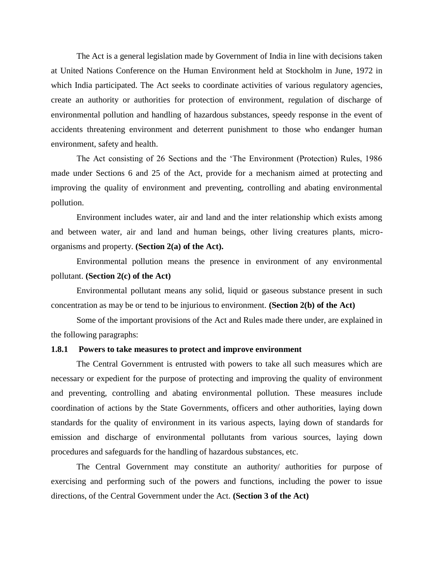The Act is a general legislation made by Government of India in line with decisions taken at United Nations Conference on the Human Environment held at Stockholm in June, 1972 in which India participated. The Act seeks to coordinate activities of various regulatory agencies, create an authority or authorities for protection of environment, regulation of discharge of environmental pollution and handling of hazardous substances, speedy response in the event of accidents threatening environment and deterrent punishment to those who endanger human environment, safety and health.

The Act consisting of 26 Sections and the 'The Environment (Protection) Rules, 1986 made under Sections 6 and 25 of the Act, provide for a mechanism aimed at protecting and improving the quality of environment and preventing, controlling and abating environmental pollution.

Environment includes water, air and land and the inter relationship which exists among and between water, air and land and human beings, other living creatures plants, microorganisms and property. **(Section 2(a) of the Act).**

Environmental pollution means the presence in environment of any environmental pollutant. **(Section 2(c) of the Act)**

Environmental pollutant means any solid, liquid or gaseous substance present in such concentration as may be or tend to be injurious to environment. **(Section 2(b) of the Act)**

Some of the important provisions of the Act and Rules made there under, are explained in the following paragraphs:

#### **1.8.1 Powers to take measures to protect and improve environment**

The Central Government is entrusted with powers to take all such measures which are necessary or expedient for the purpose of protecting and improving the quality of environment and preventing, controlling and abating environmental pollution. These measures include coordination of actions by the State Governments, officers and other authorities, laying down standards for the quality of environment in its various aspects, laying down of standards for emission and discharge of environmental pollutants from various sources, laying down procedures and safeguards for the handling of hazardous substances, etc.

The Central Government may constitute an authority/ authorities for purpose of exercising and performing such of the powers and functions, including the power to issue directions, of the Central Government under the Act. **(Section 3 of the Act)**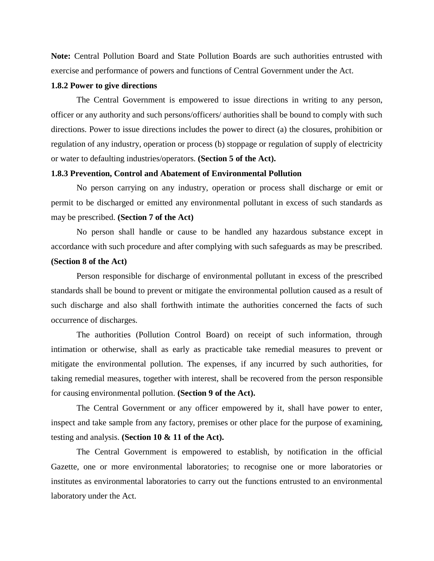**Note:** Central Pollution Board and State Pollution Boards are such authorities entrusted with exercise and performance of powers and functions of Central Government under the Act.

## **1.8.2 Power to give directions**

The Central Government is empowered to issue directions in writing to any person, officer or any authority and such persons/officers/ authorities shall be bound to comply with such directions. Power to issue directions includes the power to direct (a) the closures, prohibition or regulation of any industry, operation or process (b) stoppage or regulation of supply of electricity or water to defaulting industries/operators. **(Section 5 of the Act).**

#### **1.8.3 Prevention, Control and Abatement of Environmental Pollution**

No person carrying on any industry, operation or process shall discharge or emit or permit to be discharged or emitted any environmental pollutant in excess of such standards as may be prescribed. **(Section 7 of the Act)**

No person shall handle or cause to be handled any hazardous substance except in accordance with such procedure and after complying with such safeguards as may be prescribed.

## **(Section 8 of the Act)**

Person responsible for discharge of environmental pollutant in excess of the prescribed standards shall be bound to prevent or mitigate the environmental pollution caused as a result of such discharge and also shall forthwith intimate the authorities concerned the facts of such occurrence of discharges.

The authorities (Pollution Control Board) on receipt of such information, through intimation or otherwise, shall as early as practicable take remedial measures to prevent or mitigate the environmental pollution. The expenses, if any incurred by such authorities, for taking remedial measures, together with interest, shall be recovered from the person responsible for causing environmental pollution. **(Section 9 of the Act).**

The Central Government or any officer empowered by it, shall have power to enter, inspect and take sample from any factory, premises or other place for the purpose of examining, testing and analysis. **(Section 10 & 11 of the Act).**

The Central Government is empowered to establish, by notification in the official Gazette, one or more environmental laboratories; to recognise one or more laboratories or institutes as environmental laboratories to carry out the functions entrusted to an environmental laboratory under the Act.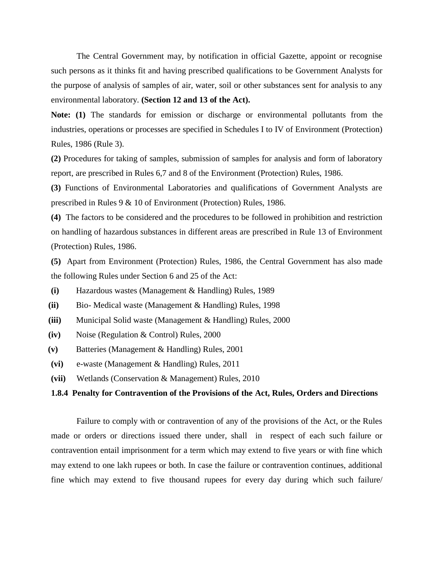The Central Government may, by notification in official Gazette, appoint or recognise such persons as it thinks fit and having prescribed qualifications to be Government Analysts for the purpose of analysis of samples of air, water, soil or other substances sent for analysis to any environmental laboratory. **(Section 12 and 13 of the Act).** 

**Note: (1)** The standards for emission or discharge or environmental pollutants from the industries, operations or processes are specified in Schedules I to IV of Environment (Protection) Rules, 1986 (Rule 3).

**(2)** Procedures for taking of samples, submission of samples for analysis and form of laboratory report, are prescribed in Rules 6,7 and 8 of the Environment (Protection) Rules, 1986.

**(3)** Functions of Environmental Laboratories and qualifications of Government Analysts are prescribed in Rules 9 & 10 of Environment (Protection) Rules, 1986.

**(4)** The factors to be considered and the procedures to be followed in prohibition and restriction on handling of hazardous substances in different areas are prescribed in Rule 13 of Environment (Protection) Rules, 1986.

**(5)** Apart from Environment (Protection) Rules, 1986, the Central Government has also made the following Rules under Section 6 and 25 of the Act:

- **(i)** Hazardous wastes (Management & Handling) Rules, 1989
- **(ii)** Bio- Medical waste (Management & Handling) Rules, 1998
- **(iii)** Municipal Solid waste (Management & Handling) Rules, 2000
- **(iv)** Noise (Regulation & Control) Rules, 2000
- **(v)** Batteries (Management & Handling) Rules, 2001
- **(vi)** e-waste (Management & Handling) Rules, 2011
- **(vii)** Wetlands (Conservation & Management) Rules, 2010

## **1.8.4 Penalty for Contravention of the Provisions of the Act, Rules, Orders and Directions**

Failure to comply with or contravention of any of the provisions of the Act, or the Rules made or orders or directions issued there under, shall in respect of each such failure or contravention entail imprisonment for a term which may extend to five years or with fine which may extend to one lakh rupees or both. In case the failure or contravention continues, additional fine which may extend to five thousand rupees for every day during which such failure/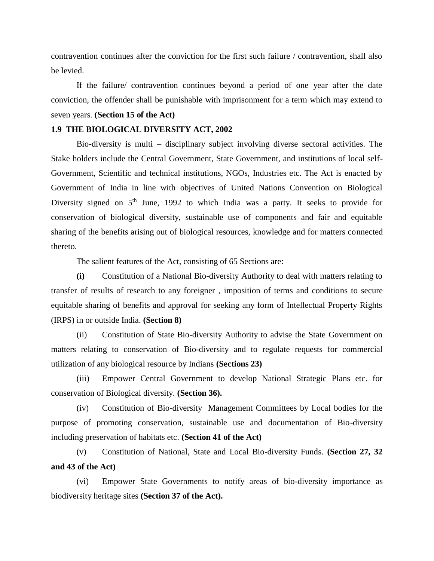contravention continues after the conviction for the first such failure / contravention, shall also be levied.

If the failure/ contravention continues beyond a period of one year after the date conviction, the offender shall be punishable with imprisonment for a term which may extend to seven years. **(Section 15 of the Act)**

## **1.9 THE BIOLOGICAL DIVERSITY ACT, 2002**

Bio-diversity is multi – disciplinary subject involving diverse sectoral activities. The Stake holders include the Central Government, State Government, and institutions of local self-Government, Scientific and technical institutions, NGOs, Industries etc. The Act is enacted by Government of India in line with objectives of United Nations Convention on Biological Diversity signed on  $5<sup>th</sup>$  June, 1992 to which India was a party. It seeks to provide for conservation of biological diversity, sustainable use of components and fair and equitable sharing of the benefits arising out of biological resources, knowledge and for matters connected thereto.

The salient features of the Act, consisting of 65 Sections are:

**(i)** Constitution of a National Bio-diversity Authority to deal with matters relating to transfer of results of research to any foreigner , imposition of terms and conditions to secure equitable sharing of benefits and approval for seeking any form of Intellectual Property Rights (IRPS) in or outside India. **(Section 8)**

(ii) Constitution of State Bio-diversity Authority to advise the State Government on matters relating to conservation of Bio-diversity and to regulate requests for commercial utilization of any biological resource by Indians **(Sections 23)**

(iii) Empower Central Government to develop National Strategic Plans etc. for conservation of Biological diversity. **(Section 36).**

(iv) Constitution of Bio-diversity Management Committees by Local bodies for the purpose of promoting conservation, sustainable use and documentation of Bio-diversity including preservation of habitats etc. **(Section 41 of the Act)**

(v) Constitution of National, State and Local Bio-diversity Funds. **(Section 27, 32 and 43 of the Act)**

(vi) Empower State Governments to notify areas of bio-diversity importance as biodiversity heritage sites **(Section 37 of the Act).**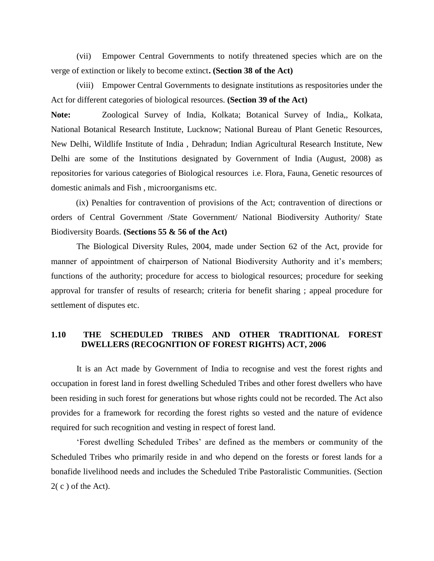(vii) Empower Central Governments to notify threatened species which are on the verge of extinction or likely to become extinct**. (Section 38 of the Act)**

(viii) Empower Central Governments to designate institutions as respositories under the Act for different categories of biological resources. **(Section 39 of the Act)**

**Note:** Zoological Survey of India, Kolkata; Botanical Survey of India,, Kolkata, National Botanical Research Institute, Lucknow; National Bureau of Plant Genetic Resources, New Delhi, Wildlife Institute of India , Dehradun; Indian Agricultural Research Institute, New Delhi are some of the Institutions designated by Government of India (August, 2008) as repositories for various categories of Biological resources i.e. Flora, Fauna, Genetic resources of domestic animals and Fish , microorganisms etc.

(ix) Penalties for contravention of provisions of the Act; contravention of directions or orders of Central Government /State Government/ National Biodiversity Authority/ State Biodiversity Boards. **(Sections 55 & 56 of the Act)**

The Biological Diversity Rules, 2004, made under Section 62 of the Act, provide for manner of appointment of chairperson of National Biodiversity Authority and it's members; functions of the authority; procedure for access to biological resources; procedure for seeking approval for transfer of results of research; criteria for benefit sharing ; appeal procedure for settlement of disputes etc.

## **1.10 THE SCHEDULED TRIBES AND OTHER TRADITIONAL FOREST DWELLERS (RECOGNITION OF FOREST RIGHTS) ACT, 2006**

It is an Act made by Government of India to recognise and vest the forest rights and occupation in forest land in forest dwelling Scheduled Tribes and other forest dwellers who have been residing in such forest for generations but whose rights could not be recorded. The Act also provides for a framework for recording the forest rights so vested and the nature of evidence required for such recognition and vesting in respect of forest land.

'Forest dwelling Scheduled Tribes' are defined as the members or community of the Scheduled Tribes who primarily reside in and who depend on the forests or forest lands for a bonafide livelihood needs and includes the Scheduled Tribe Pastoralistic Communities. (Section  $2(c)$  of the Act).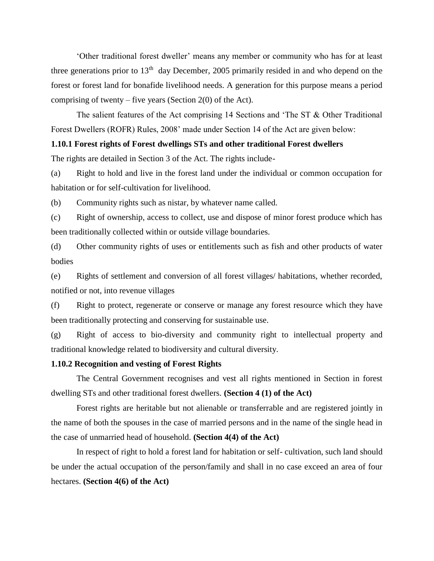'Other traditional forest dweller' means any member or community who has for at least three generations prior to  $13<sup>th</sup>$  day December, 2005 primarily resided in and who depend on the forest or forest land for bonafide livelihood needs. A generation for this purpose means a period comprising of twenty – five years (Section 2(0) of the Act).

The salient features of the Act comprising 14 Sections and 'The ST & Other Traditional Forest Dwellers (ROFR) Rules, 2008' made under Section 14 of the Act are given below:

## **1.10.1 Forest rights of Forest dwellings STs and other traditional Forest dwellers**

The rights are detailed in Section 3 of the Act. The rights include-

(a) Right to hold and live in the forest land under the individual or common occupation for habitation or for self-cultivation for livelihood.

(b) Community rights such as nistar, by whatever name called.

(c) Right of ownership, access to collect, use and dispose of minor forest produce which has been traditionally collected within or outside village boundaries.

(d) Other community rights of uses or entitlements such as fish and other products of water bodies

(e) Rights of settlement and conversion of all forest villages/ habitations, whether recorded, notified or not, into revenue villages

(f) Right to protect, regenerate or conserve or manage any forest resource which they have been traditionally protecting and conserving for sustainable use.

(g) Right of access to bio-diversity and community right to intellectual property and traditional knowledge related to biodiversity and cultural diversity.

## **1.10.2 Recognition and vesting of Forest Rights**

The Central Government recognises and vest all rights mentioned in Section in forest dwelling STs and other traditional forest dwellers. **(Section 4 (1) of the Act)**

Forest rights are heritable but not alienable or transferrable and are registered jointly in the name of both the spouses in the case of married persons and in the name of the single head in the case of unmarried head of household. **(Section 4(4) of the Act)**

In respect of right to hold a forest land for habitation or self- cultivation, such land should be under the actual occupation of the person/family and shall in no case exceed an area of four hectares. **(Section 4(6) of the Act)**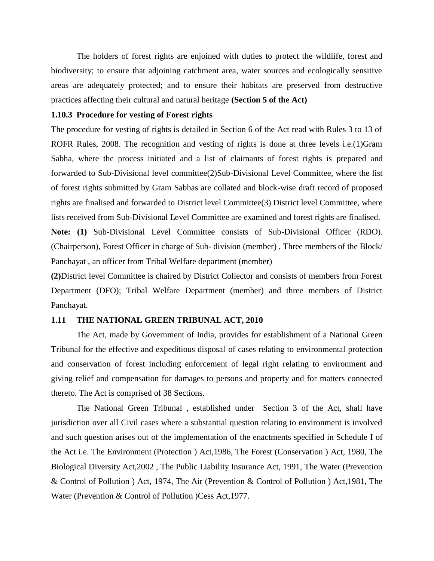The holders of forest rights are enjoined with duties to protect the wildlife, forest and biodiversity; to ensure that adjoining catchment area, water sources and ecologically sensitive areas are adequately protected; and to ensure their habitats are preserved from destructive practices affecting their cultural and natural heritage **(Section 5 of the Act)**

## **1.10.3 Procedure for vesting of Forest rights**

The procedure for vesting of rights is detailed in Section 6 of the Act read with Rules 3 to 13 of ROFR Rules, 2008. The recognition and vesting of rights is done at three levels i.e.(1)Gram Sabha, where the process initiated and a list of claimants of forest rights is prepared and forwarded to Sub-Divisional level committee(2)Sub-Divisional Level Committee, where the list of forest rights submitted by Gram Sabhas are collated and block-wise draft record of proposed rights are finalised and forwarded to District level Committee(3) District level Committee, where lists received from Sub-Divisional Level Committee are examined and forest rights are finalised. **Note: (1)** Sub-Divisional Level Committee consists of Sub-Divisional Officer (RDO). (Chairperson), Forest Officer in charge of Sub- division (member) , Three members of the Block/

Panchayat , an officer from Tribal Welfare department (member)

**(2)**District level Committee is chaired by District Collector and consists of members from Forest Department (DFO); Tribal Welfare Department (member) and three members of District Panchayat.

## **1.11 THE NATIONAL GREEN TRIBUNAL ACT, 2010**

The Act, made by Government of India, provides for establishment of a National Green Tribunal for the effective and expeditious disposal of cases relating to environmental protection and conservation of forest including enforcement of legal right relating to environment and giving relief and compensation for damages to persons and property and for matters connected thereto. The Act is comprised of 38 Sections.

The National Green Tribunal , established under Section 3 of the Act, shall have jurisdiction over all Civil cases where a substantial question relating to environment is involved and such question arises out of the implementation of the enactments specified in Schedule I of the Act i.e. The Environment (Protection ) Act,1986, The Forest (Conservation ) Act, 1980, The Biological Diversity Act,2002 , The Public Liability Insurance Act, 1991, The Water (Prevention & Control of Pollution ) Act, 1974, The Air (Prevention & Control of Pollution ) Act,1981, The Water (Prevention & Control of Pollution )Cess Act,1977.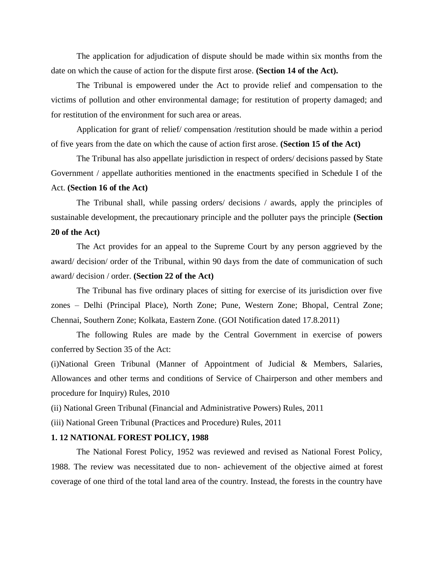The application for adjudication of dispute should be made within six months from the date on which the cause of action for the dispute first arose. **(Section 14 of the Act).**

The Tribunal is empowered under the Act to provide relief and compensation to the victims of pollution and other environmental damage; for restitution of property damaged; and for restitution of the environment for such area or areas.

Application for grant of relief/ compensation /restitution should be made within a period of five years from the date on which the cause of action first arose. **(Section 15 of the Act)**

The Tribunal has also appellate jurisdiction in respect of orders/ decisions passed by State Government / appellate authorities mentioned in the enactments specified in Schedule I of the Act. **(Section 16 of the Act)**

The Tribunal shall, while passing orders/ decisions / awards, apply the principles of sustainable development, the precautionary principle and the polluter pays the principle **(Section 20 of the Act)**

The Act provides for an appeal to the Supreme Court by any person aggrieved by the award/ decision/ order of the Tribunal, within 90 days from the date of communication of such award/ decision / order. **(Section 22 of the Act)**

The Tribunal has five ordinary places of sitting for exercise of its jurisdiction over five zones – Delhi (Principal Place), North Zone; Pune, Western Zone; Bhopal, Central Zone; Chennai, Southern Zone; Kolkata, Eastern Zone. (GOI Notification dated 17.8.2011)

The following Rules are made by the Central Government in exercise of powers conferred by Section 35 of the Act:

(i)National Green Tribunal (Manner of Appointment of Judicial & Members, Salaries, Allowances and other terms and conditions of Service of Chairperson and other members and procedure for Inquiry) Rules, 2010

(ii) National Green Tribunal (Financial and Administrative Powers) Rules, 2011

(iii) National Green Tribunal (Practices and Procedure) Rules, 2011

## **1. 12 NATIONAL FOREST POLICY, 1988**

The National Forest Policy, 1952 was reviewed and revised as National Forest Policy, 1988. The review was necessitated due to non- achievement of the objective aimed at forest coverage of one third of the total land area of the country. Instead, the forests in the country have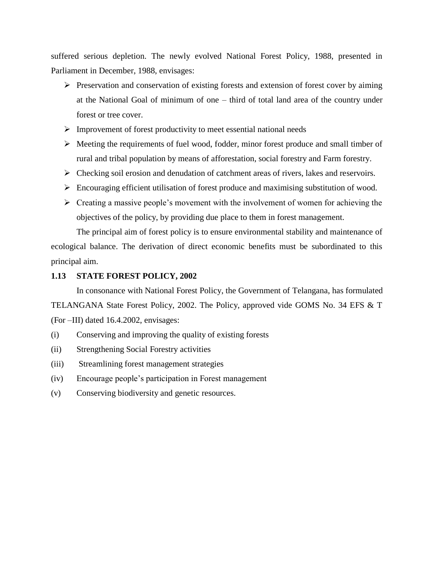suffered serious depletion. The newly evolved National Forest Policy, 1988, presented in Parliament in December, 1988, envisages:

- $\triangleright$  Preservation and conservation of existing forests and extension of forest cover by aiming at the National Goal of minimum of one – third of total land area of the country under forest or tree cover.
- $\triangleright$  Improvement of forest productivity to meet essential national needs
- $\triangleright$  Meeting the requirements of fuel wood, fodder, minor forest produce and small timber of rural and tribal population by means of afforestation, social forestry and Farm forestry.
- $\triangleright$  Checking soil erosion and denudation of catchment areas of rivers, lakes and reservoirs.
- $\triangleright$  Encouraging efficient utilisation of forest produce and maximising substitution of wood.
- $\triangleright$  Creating a massive people's movement with the involvement of women for achieving the objectives of the policy, by providing due place to them in forest management.

The principal aim of forest policy is to ensure environmental stability and maintenance of ecological balance. The derivation of direct economic benefits must be subordinated to this principal aim.

## **1.13 STATE FOREST POLICY, 2002**

In consonance with National Forest Policy, the Government of Telangana, has formulated TELANGANA State Forest Policy, 2002. The Policy, approved vide GOMS No. 34 EFS & T (For –III) dated 16.4.2002, envisages:

- (i) Conserving and improving the quality of existing forests
- (ii) Strengthening Social Forestry activities
- (iii) Streamlining forest management strategies
- (iv) Encourage people's participation in Forest management
- (v) Conserving biodiversity and genetic resources.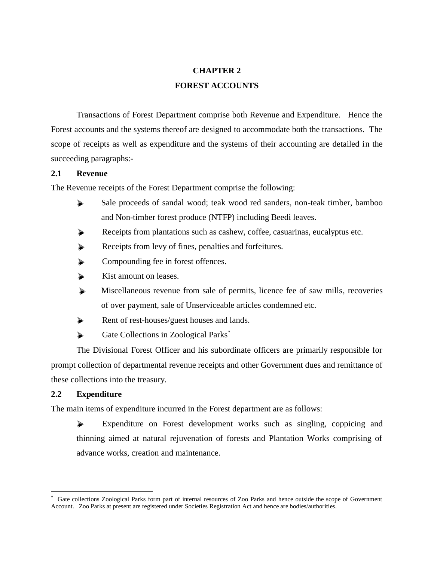# **CHAPTER 2 FOREST ACCOUNTS**

Transactions of Forest Department comprise both Revenue and Expenditure. Hence the Forest accounts and the systems thereof are designed to accommodate both the transactions. The scope of receipts as well as expenditure and the systems of their accounting are detailed in the succeeding paragraphs:-

## **2.1 Revenue**

The Revenue receipts of the Forest Department comprise the following:

- Sale proceeds of sandal wood; teak wood red sanders, non-teak timber, bamboo and Non-timber forest produce (NTFP) including Beedi leaves.
- Receipts from plantations such as cashew, coffee, casuarinas, eucalyptus etc.
- Receipts from levy of fines, penalties and forfeitures.
- Compounding fee in forest offences.
- Kist amount on leases.
- Miscellaneous revenue from sale of permits, licence fee of saw mills, recoveries of over payment, sale of Unserviceable articles condemned etc.
- Rent of rest-houses/guest houses and lands.
- Gate Collections in Zoological Parks<sup>\*</sup>

The Divisional Forest Officer and his subordinate officers are primarily responsible for prompt collection of departmental revenue receipts and other Government dues and remittance of these collections into the treasury.

## **2.2 Expenditure**

 $\overline{a}$ 

The main items of expenditure incurred in the Forest department are as follows:

Expenditure on Forest development works such as singling, coppicing and thinning aimed at natural rejuvenation of forests and Plantation Works comprising of advance works, creation and maintenance.

**<sup>\*</sup>** Gate collections Zoological Parks form part of internal resources of Zoo Parks and hence outside the scope of Government Account. Zoo Parks at present are registered under Societies Registration Act and hence are bodies/authorities.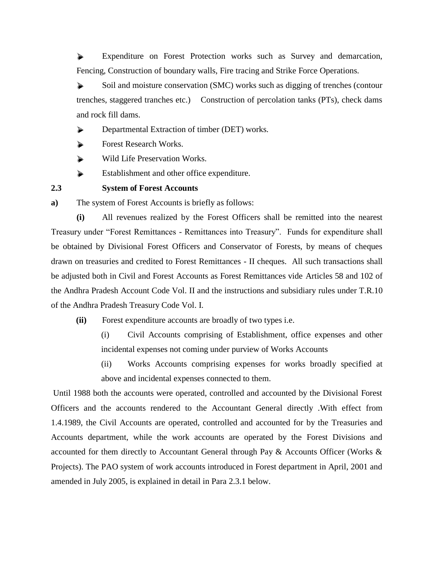Expenditure on Forest Protection works such as Survey and demarcation, Fencing, Construction of boundary walls, Fire tracing and Strike Force Operations.

Soil and moisture conservation (SMC) works such as digging of trenches (contour trenches, staggered tranches etc.) Construction of percolation tanks (PTs), check dams and rock fill dams.

Departmental Extraction of timber (DET) works.

Forest Research Works.

Wild Life Preservation Works.

Establishment and other office expenditure.

**2.3 System of Forest Accounts**

**a)** The system of Forest Accounts is briefly as follows:

**(i)** All revenues realized by the Forest Officers shall be remitted into the nearest Treasury under "Forest Remittances - Remittances into Treasury". Funds for expenditure shall be obtained by Divisional Forest Officers and Conservator of Forests, by means of cheques drawn on treasuries and credited to Forest Remittances - II cheques. All such transactions shall be adjusted both in Civil and Forest Accounts as Forest Remittances vide Articles 58 and 102 of the Andhra Pradesh Account Code Vol. II and the instructions and subsidiary rules under T.R.10 of the Andhra Pradesh Treasury Code Vol. I.

**(ii)** Forest expenditure accounts are broadly of two types i.e.

(i) Civil Accounts comprising of Establishment, office expenses and other incidental expenses not coming under purview of Works Accounts

(ii) Works Accounts comprising expenses for works broadly specified at above and incidental expenses connected to them.

Until 1988 both the accounts were operated, controlled and accounted by the Divisional Forest Officers and the accounts rendered to the Accountant General directly .With effect from 1.4.1989, the Civil Accounts are operated, controlled and accounted for by the Treasuries and Accounts department, while the work accounts are operated by the Forest Divisions and accounted for them directly to Accountant General through Pay & Accounts Officer (Works & Projects). The PAO system of work accounts introduced in Forest department in April, 2001 and amended in July 2005, is explained in detail in Para 2.3.1 below.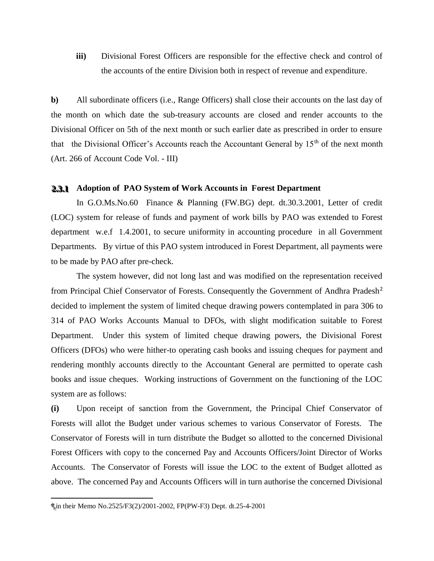**iii)** Divisional Forest Officers are responsible for the effective check and control of the accounts of the entire Division both in respect of revenue and expenditure.

**b)** All subordinate officers (i.e., Range Officers) shall close their accounts on the last day of the month on which date the sub-treasury accounts are closed and render accounts to the Divisional Officer on 5th of the next month or such earlier date as prescribed in order to ensure that the Divisional Officer's Accounts reach the Accountant General by  $15<sup>th</sup>$  of the next month (Art. 266 of Account Code Vol. - III)

# **2.3.1** Adoption of PAO System of Work Accounts in Forest Department

In G.O.Ms.No.60 Finance & Planning (FW.BG) dept. dt.30.3.2001, Letter of credit (LOC) system for release of funds and payment of work bills by PAO was extended to Forest department w.e.f 1.4.2001, to secure uniformity in accounting procedure in all Government Departments. By virtue of this PAO system introduced in Forest Department, all payments were to be made by PAO after pre-check.

The system however, did not long last and was modified on the representation received from Principal Chief Conservator of Forests. Consequently the Government of Andhra Pradesh<sup>2</sup> decided to implement the system of limited cheque drawing powers contemplated in para 306 to 314 of PAO Works Accounts Manual to DFOs, with slight modification suitable to Forest Department. Under this system of limited cheque drawing powers, the Divisional Forest Officers (DFOs) who were hither-to operating cash books and issuing cheques for payment and rendering monthly accounts directly to the Accountant General are permitted to operate cash books and issue cheques. Working instructions of Government on the functioning of the LOC system are as follows:

**(i)** Upon receipt of sanction from the Government, the Principal Chief Conservator of Forests will allot the Budget under various schemes to various Conservator of Forests. The Conservator of Forests will in turn distribute the Budget so allotted to the concerned Divisional Forest Officers with copy to the concerned Pay and Accounts Officers/Joint Director of Works Accounts. The Conservator of Forests will issue the LOC to the extent of Budget allotted as above. The concerned Pay and Accounts Officers will in turn authorise the concerned Divisional

 $\overline{a}$ 

<sup>2</sup> 22 in their Memo No.2525/F3(2)/2001-2002, FP(PW-F3) Dept. dt.25-4-2001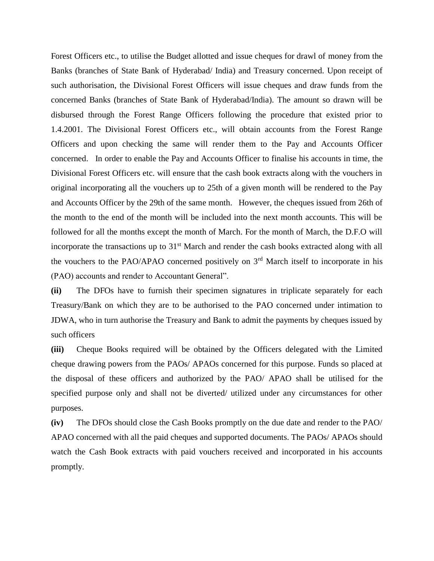Forest Officers etc., to utilise the Budget allotted and issue cheques for drawl of money from the Banks (branches of State Bank of Hyderabad/ India) and Treasury concerned. Upon receipt of such authorisation, the Divisional Forest Officers will issue cheques and draw funds from the concerned Banks (branches of State Bank of Hyderabad/India). The amount so drawn will be disbursed through the Forest Range Officers following the procedure that existed prior to 1.4.2001. The Divisional Forest Officers etc., will obtain accounts from the Forest Range Officers and upon checking the same will render them to the Pay and Accounts Officer concerned. In order to enable the Pay and Accounts Officer to finalise his accounts in time, the Divisional Forest Officers etc. will ensure that the cash book extracts along with the vouchers in original incorporating all the vouchers up to 25th of a given month will be rendered to the Pay and Accounts Officer by the 29th of the same month. However, the cheques issued from 26th of the month to the end of the month will be included into the next month accounts. This will be followed for all the months except the month of March. For the month of March, the D.F.O will incorporate the transactions up to  $31<sup>st</sup>$  March and render the cash books extracted along with all the vouchers to the PAO/APAO concerned positively on  $3<sup>rd</sup>$  March itself to incorporate in his (PAO) accounts and render to Accountant General".

**(ii)** The DFOs have to furnish their specimen signatures in triplicate separately for each Treasury/Bank on which they are to be authorised to the PAO concerned under intimation to JDWA, who in turn authorise the Treasury and Bank to admit the payments by cheques issued by such officers

**(iii)** Cheque Books required will be obtained by the Officers delegated with the Limited cheque drawing powers from the PAOs/ APAOs concerned for this purpose. Funds so placed at the disposal of these officers and authorized by the PAO/ APAO shall be utilised for the specified purpose only and shall not be diverted/ utilized under any circumstances for other purposes.

**(iv)** The DFOs should close the Cash Books promptly on the due date and render to the PAO/ APAO concerned with all the paid cheques and supported documents. The PAOs/ APAOs should watch the Cash Book extracts with paid vouchers received and incorporated in his accounts promptly.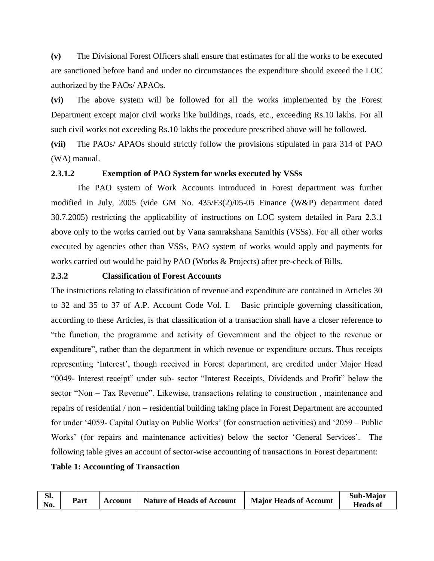**(v)** The Divisional Forest Officers shall ensure that estimates for all the works to be executed are sanctioned before hand and under no circumstances the expenditure should exceed the LOC authorized by the PAOs/ APAOs.

**(vi)** The above system will be followed for all the works implemented by the Forest Department except major civil works like buildings, roads, etc., exceeding Rs.10 lakhs. For all such civil works not exceeding Rs.10 lakhs the procedure prescribed above will be followed.

**(vii)** The PAOs/ APAOs should strictly follow the provisions stipulated in para 314 of PAO (WA) manual.

## **2.3.1.2 Exemption of PAO System for works executed by VSSs**

The PAO system of Work Accounts introduced in Forest department was further modified in July, 2005 (vide GM No. 435/F3(2)/05-05 Finance (W&P) department dated 30.7.2005) restricting the applicability of instructions on LOC system detailed in Para 2.3.1 above only to the works carried out by Vana samrakshana Samithis (VSSs). For all other works executed by agencies other than VSSs, PAO system of works would apply and payments for works carried out would be paid by PAO (Works & Projects) after pre-check of Bills.

## **2.3.2 Classification of Forest Accounts**

The instructions relating to classification of revenue and expenditure are contained in Articles 30 to 32 and 35 to 37 of A.P. Account Code Vol. I. Basic principle governing classification, according to these Articles, is that classification of a transaction shall have a closer reference to "the function, the programme and activity of Government and the object to the revenue or expenditure", rather than the department in which revenue or expenditure occurs. Thus receipts representing 'Interest', though received in Forest department, are credited under Major Head "0049- Interest receipt" under sub- sector "Interest Receipts, Dividends and Profit" below the sector "Non – Tax Revenue". Likewise, transactions relating to construction , maintenance and repairs of residential / non – residential building taking place in Forest Department are accounted for under '4059- Capital Outlay on Public Works' (for construction activities) and '2059 – Public Works' (for repairs and maintenance activities) below the sector 'General Services'. The following table gives an account of sector-wise accounting of transactions in Forest department:

## **Table 1: Accounting of Transaction**

| Sl.<br>No. | Part | Account | <b>Nature of Heads of Account</b> | <b>Major Heads of Account</b> | Sub-Major<br><b>Heads of</b> |
|------------|------|---------|-----------------------------------|-------------------------------|------------------------------|
|------------|------|---------|-----------------------------------|-------------------------------|------------------------------|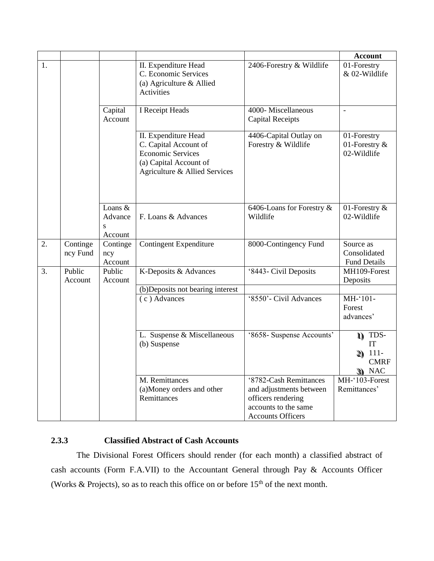|    |                      |                                               |                                                                                                                                      |                                                                                                                             | <b>Account</b>                                                    |
|----|----------------------|-----------------------------------------------|--------------------------------------------------------------------------------------------------------------------------------------|-----------------------------------------------------------------------------------------------------------------------------|-------------------------------------------------------------------|
| 1. |                      |                                               | II. Expenditure Head<br>C. Economic Services<br>(a) Agriculture & Allied<br><b>Activities</b>                                        | 2406-Forestry & Wildlife                                                                                                    | 01-Forestry<br>& 02-Wildlife                                      |
|    |                      | Capital<br>Account                            | I Receipt Heads                                                                                                                      | 4000-Miscellaneous<br><b>Capital Receipts</b>                                                                               | $\overline{a}$                                                    |
|    |                      |                                               | II. Expenditure Head<br>C. Capital Account of<br><b>Economic Services</b><br>(a) Capital Account of<br>Agriculture & Allied Services | 4406-Capital Outlay on<br>Forestry & Wildlife                                                                               | 01-Forestry<br>01-Forestry &<br>02-Wildlife                       |
|    |                      | Loans &<br>Advance<br>$\mathbf{s}$<br>Account | F. Loans & Advances                                                                                                                  | 6406-Loans for Forestry &<br>Wildlife                                                                                       | 01-Forestry &<br>02-Wildlife                                      |
| 2. | Continge<br>ncy Fund | Continge<br>ncy<br>Account                    | <b>Contingent Expenditure</b>                                                                                                        | 8000-Contingency Fund                                                                                                       | Source as<br>Consolidated<br><b>Fund Details</b>                  |
| 3. | Public<br>Account    | Public<br>Account                             | K-Deposits & Advances                                                                                                                | '8443- Civil Deposits                                                                                                       | MH109-Forest<br>Deposits                                          |
|    |                      |                                               | (b)Deposits not bearing interest                                                                                                     |                                                                                                                             |                                                                   |
|    |                      |                                               | (c) Advances                                                                                                                         | '8550'- Civil Advances                                                                                                      | MH-'101-<br>Forest<br>advances'                                   |
|    |                      |                                               | L. Suspense & Miscellaneous<br>(b) Suspense                                                                                          | '8658- Suspense Accounts'                                                                                                   | 1) TDS-<br>IT<br>$111-$<br>2)<br><b>CMRF</b><br>$\mathcal{R}$ NAC |
|    |                      |                                               | M. Remittances<br>(a)Money orders and other<br>Remittances                                                                           | '8782-Cash Remittances<br>and adjustments between<br>officers rendering<br>accounts to the same<br><b>Accounts Officers</b> | $\overline{MH^{-1}103}$ -Forest<br>Remittances'                   |

# **2.3.3 Classified Abstract of Cash Accounts**

The Divisional Forest Officers should render (for each month) a classified abstract of cash accounts (Form F.A.VII) to the Accountant General through Pay & Accounts Officer (Works & Projects), so as to reach this office on or before  $15<sup>th</sup>$  of the next month.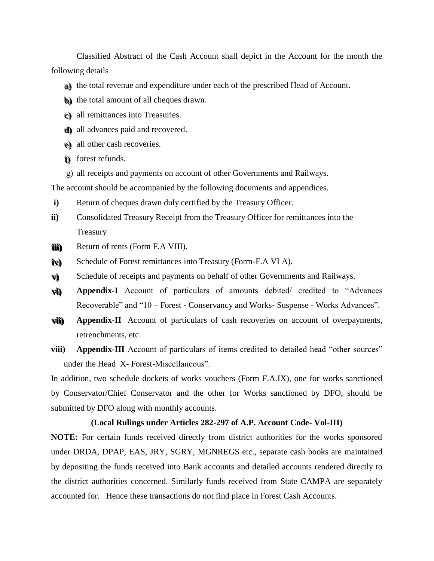Classified Abstract of the Cash Account shall depict in the Account for the month the following details

- a) the total revenue and expenditure under each of the prescribed Head of Account.
- b) the total amount of all cheques drawn.
- $e$ ) all remittances into Treasuries.
- d) all advances paid and recovered.
- e) all other cash recoveries.
- f) forest refunds.
- g) all receipts and payments on account of other Governments and Railways.

The account should be accompanied by the following documents and appendices.

- **i**) Return of cheques drawn duly certified by the Treasury Officer.
- **ii)** Consolidated Treasury Receipt from the Treasury Officer for remittances into the Treasury
- **i i i i i i ) )** Return of rents (Form F.A VIII).
- **i ivv) )** Schedule of Forest remittances into Treasury (Form-F.A VI A).
- **vv) )** Schedule of receipts and payments on behalf of other Governments and Railways.
- **vvi i ) ) Appendix-I** Account of particulars of amounts debited/ credited to "Advances Recoverable" and "10 – Forest - Conservancy and Works- Suspense - Works Advances".
- **vvi i i i ) ) Appendix-II** Account of particulars of cash recoveries on account of overpayments, retrenchments, etc.
- **viii) Appendix-III** Account of particulars of items credited to detailed head "other sources" under the Head X- Forest-Miscellaneous".

In addition, two schedule dockets of works vouchers (Form F.A.IX), one for works sanctioned by Conservator/Chief Conservator and the other for Works sanctioned by DFO, should be submitted by DFO along with monthly accounts.

#### **(Local Rulings under Articles 282-297 of A.P. Account Code- Vol-III)**

**NOTE:** For certain funds received directly from district authorities for the works sponsored under DRDA, DPAP, EAS, JRY, SGRY, MGNREGS etc., separate cash books are maintained by depositing the funds received into Bank accounts and detailed accounts rendered directly to the district authorities concerned. Similarly funds received from State CAMPA are separately accounted for. Hence these transactions do not find place in Forest Cash Accounts.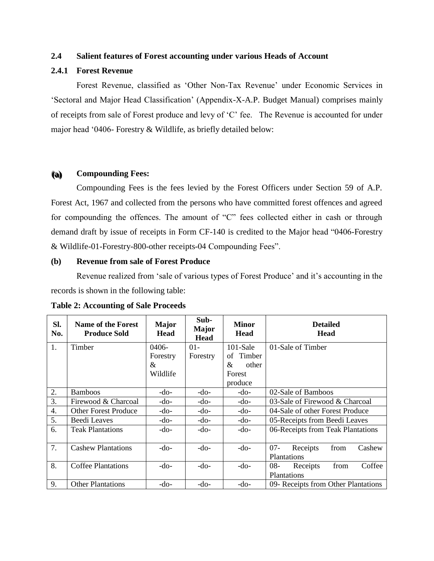# **2.4 Salient features of Forest accounting under various Heads of Account**

# **2.4.1 Forest Revenue**

Forest Revenue, classified as 'Other Non-Tax Revenue' under Economic Services in 'Sectoral and Major Head Classification' (Appendix-X-A.P. Budget Manual) comprises mainly of receipts from sale of Forest produce and levy of 'C' fee. The Revenue is accounted for under major head '0406- Forestry & Wildlife, as briefly detailed below:

#### **( (aa) ) Compounding Fees:**

Compounding Fees is the fees levied by the Forest Officers under Section 59 of A.P. Forest Act, 1967 and collected from the persons who have committed forest offences and agreed for compounding the offences. The amount of "C" fees collected either in cash or through demand draft by issue of receipts in Form CF-140 is credited to the Major head "0406-Forestry & Wildlife-01-Forestry-800-other receipts-04 Compounding Fees".

# **(b) Revenue from sale of Forest Produce**

Revenue realized from 'sale of various types of Forest Produce' and it's accounting in the records is shown in the following table:

| Sl.<br>No. | Name of the Forest<br><b>Produce Sold</b> | <b>Major</b><br>Head | Sub-<br>Major<br><b>Head</b> | <b>Minor</b><br><b>Head</b> | <b>Detailed</b><br><b>Head</b>                             |
|------------|-------------------------------------------|----------------------|------------------------------|-----------------------------|------------------------------------------------------------|
| 1.         | Timber                                    | $0406-$              | $01 -$                       | $101-Sale$                  | 01-Sale of Timber                                          |
|            |                                           | Forestry             | Forestry                     | Timber<br>οf                |                                                            |
|            |                                           | $\&$                 |                              | &<br>other                  |                                                            |
|            |                                           | Wildlife             |                              | Forest                      |                                                            |
|            |                                           |                      |                              | produce                     |                                                            |
| 2.         | <b>Bamboos</b>                            | -do-                 | -do-                         | -do-                        | 02-Sale of Bamboos                                         |
| 3.         | Firewood & Charcoal                       | -do-                 | -do-                         | -do-                        | 03-Sale of Firewood & Charcoal                             |
| 4.         | <b>Other Forest Produce</b>               | -do-                 | -do-                         | -do-                        | 04-Sale of other Forest Produce                            |
| 5.         | Beedi Leaves                              | -do-                 | -do-                         | -do-                        | 05-Receipts from Beedi Leaves                              |
| 6.         | <b>Teak Plantations</b>                   | -do-                 | -do-                         | -do-                        | 06-Receipts from Teak Plantations                          |
| 7.         | <b>Cashew Plantations</b>                 | -do-                 | -do-                         | -do-                        | $07 -$<br>Receipts<br>from<br>Cashew<br><b>Plantations</b> |
| 8.         | Coffee Plantations                        | -do-                 | -do-                         | -do-                        | Coffee<br>$08 -$<br>from<br>Receipts                       |
|            |                                           |                      |                              |                             | <b>Plantations</b>                                         |
| 9.         | <b>Other Plantations</b>                  | $-do-$               | $-do-$                       | -do-                        | 09- Receipts from Other Plantations                        |

#### **Table 2: Accounting of Sale Proceeds**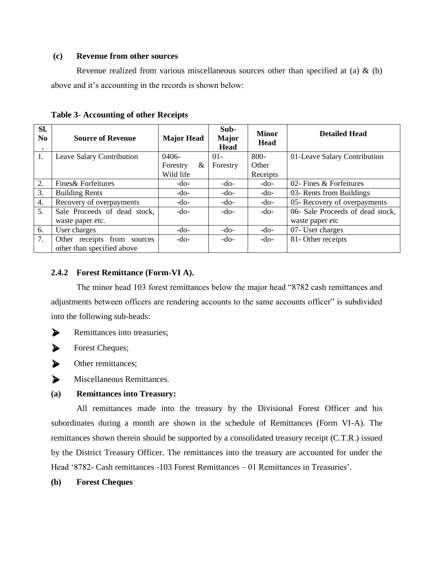# **(c) Revenue from other sources**

Revenue realized from various miscellaneous sources other than specified at (a)  $\&$  (b) above and it's accounting in the records is shown below:

| Sl.<br>N <sub>0</sub><br>٠ | <b>Source of Revenue</b>     | <b>Major Head</b> | Sub-<br><b>Major</b><br><b>Head</b> | <b>Minor</b><br><b>Head</b> | <b>Detailed Head</b>             |
|----------------------------|------------------------------|-------------------|-------------------------------------|-----------------------------|----------------------------------|
| 1.                         | Leave Salary Contribution    | $0406-$           | $01 -$                              | $800 -$                     | 01-Leave Salary Contribution     |
|                            |                              | &<br>Forestry     | Forestry                            | Other                       |                                  |
|                            |                              | Wild life         |                                     | Receipts                    |                                  |
| $\overline{2}$ .           | Fines & Forfeitures          | $-do-$            | $-do-$                              | $-do-$                      | 02- Fines & Forfeitures          |
| 3.                         | <b>Building Rents</b>        | $-do-$            | $-do-$                              | $-do-$                      | 03- Rents from Buildings         |
| 4.                         | Recovery of overpayments     | $-do-$            | $-do-$                              | $-do-$                      | 05- Recovery of overpayments     |
| 5.                         | Sale Proceeds of dead stock, | $-do-$            | $-do-$                              | $-do-$                      | 06- Sale Proceeds of dead stock, |
|                            | waste paper etc.             |                   |                                     |                             | waste paper etc                  |
| 6.                         | User charges                 | $-do-$            | $-do-$                              | $-do-$                      | 07- User charges                 |
| 7.                         | Other receipts from sources  | $-do-$            | $-do-$                              | $-do-$                      | 81-Other receipts                |
|                            | other than specified above   |                   |                                     |                             |                                  |

**Table 3- Accounting of other Receipts**

# **2.4.2 Forest Remittance (Form-VI A).**

The minor head 103 forest remittances below the major head "8782 cash remittances and adjustments between officers are rendering accounts to the same accounts officer" is subdivided into the following sub-heads:



Forest Cheques;



 $\triangleright$  Other remittances:

Miscellaneous Remittances.

# **(a) Remittances into Treasury:**

All remittances made into the treasury by the Divisional Forest Officer and his subordinates during a month are shown in the schedule of Remittances (Form VI-A). The remittances shown therein should be supported by a consolidated treasury receipt (C.T.R.) issued by the District Treasury Officer. The remittances into the treasury are accounted for under the Head '8782- Cash remittances -103 Forest Remittances – 01 Remittances in Treasuries'.

# **(b) Forest Cheques**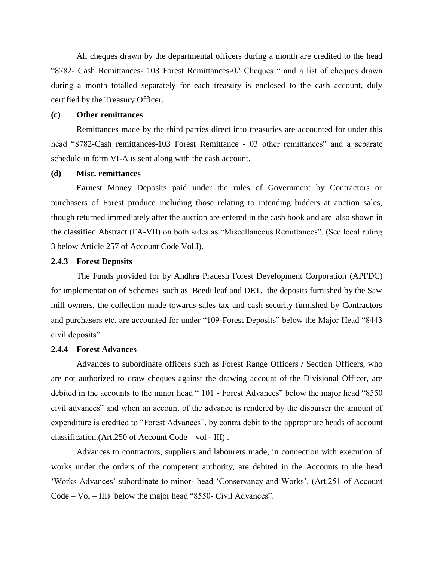All cheques drawn by the departmental officers during a month are credited to the head "8782- Cash Remittances- 103 Forest Remittances-02 Cheques " and a list of cheques drawn during a month totalled separately for each treasury is enclosed to the cash account, duly certified by the Treasury Officer.

#### **(c) Other remittances**

Remittances made by the third parties direct into treasuries are accounted for under this head "8782-Cash remittances-103 Forest Remittance - 03 other remittances" and a separate schedule in form VI-A is sent along with the cash account.

#### **(d) Misc. remittances**

Earnest Money Deposits paid under the rules of Government by Contractors or purchasers of Forest produce including those relating to intending bidders at auction sales, though returned immediately after the auction are entered in the cash book and are also shown in the classified Abstract (FA-VII) on both sides as "Miscellaneous Remittances". (See local ruling 3 below Article 257 of Account Code Vol.I).

#### **2.4.3 Forest Deposits**

The Funds provided for by Andhra Pradesh Forest Development Corporation (APFDC) for implementation of Schemes such as Beedi leaf and DET, the deposits furnished by the Saw mill owners, the collection made towards sales tax and cash security furnished by Contractors and purchasers etc. are accounted for under "109-Forest Deposits" below the Major Head "8443 civil deposits".

#### **2.4.4 Forest Advances**

Advances to subordinate officers such as Forest Range Officers / Section Officers, who are not authorized to draw cheques against the drawing account of the Divisional Officer, are debited in the accounts to the minor head " 101 - Forest Advances" below the major head "8550 civil advances" and when an account of the advance is rendered by the disburser the amount of expenditure is credited to "Forest Advances", by contra debit to the appropriate heads of account classification.(Art.250 of Account Code – vol - III) .

Advances to contractors, suppliers and labourers made, in connection with execution of works under the orders of the competent authority, are debited in the Accounts to the head 'Works Advances' subordinate to minor- head 'Conservancy and Works'. (Art.251 of Account Code – Vol – III) below the major head "8550- Civil Advances".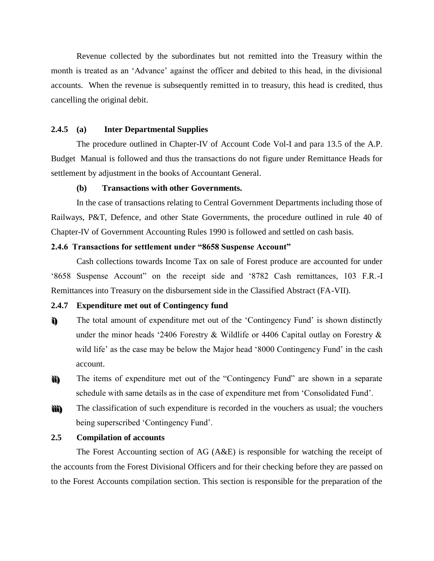Revenue collected by the subordinates but not remitted into the Treasury within the month is treated as an 'Advance' against the officer and debited to this head, in the divisional accounts. When the revenue is subsequently remitted in to treasury, this head is credited, thus cancelling the original debit.

#### **2.4.5 (a) Inter Departmental Supplies**

The procedure outlined in Chapter-IV of Account Code Vol-I and para 13.5 of the A.P. Budget Manual is followed and thus the transactions do not figure under Remittance Heads for settlement by adjustment in the books of Accountant General.

#### **(b) Transactions with other Governments.**

In the case of transactions relating to Central Government Departments including those of Railways, P&T, Defence, and other State Governments, the procedure outlined in rule 40 of Chapter-IV of Government Accounting Rules 1990 is followed and settled on cash basis.

# **2.4.6 Transactions for settlement under "8658 Suspense Account"**

Cash collections towards Income Tax on sale of Forest produce are accounted for under '8658 Suspense Account" on the receipt side and '8782 Cash remittances, 103 F.R.-I Remittances into Treasury on the disbursement side in the Classified Abstract (FA-VII).

#### **2.4.7 Expenditure met out of Contingency fund**

- **i i ) )** The total amount of expenditure met out of the 'Contingency Fund' is shown distinctly under the minor heads '2406 Forestry & Wildlife or 4406 Capital outlay on Forestry & wild life' as the case may be below the Major head '8000 Contingency Fund' in the cash account.
- **i i i i ) )** The items of expenditure met out of the "Contingency Fund" are shown in a separate schedule with same details as in the case of expenditure met from 'Consolidated Fund'.
- **i i i i i i ) )** The classification of such expenditure is recorded in the vouchers as usual; the vouchers being superscribed 'Contingency Fund'.

# **2.5 Compilation of accounts**

The Forest Accounting section of AG (A&E) is responsible for watching the receipt of the accounts from the Forest Divisional Officers and for their checking before they are passed on to the Forest Accounts compilation section. This section is responsible for the preparation of the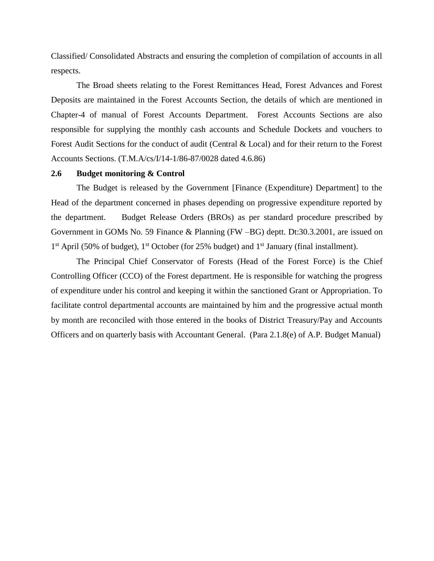Classified/ Consolidated Abstracts and ensuring the completion of compilation of accounts in all respects.

The Broad sheets relating to the Forest Remittances Head, Forest Advances and Forest Deposits are maintained in the Forest Accounts Section, the details of which are mentioned in Chapter-4 of manual of Forest Accounts Department. Forest Accounts Sections are also responsible for supplying the monthly cash accounts and Schedule Dockets and vouchers to Forest Audit Sections for the conduct of audit (Central & Local) and for their return to the Forest Accounts Sections. (T.M.A/cs/I/14-1/86-87/0028 dated 4.6.86)

#### **2.6 Budget monitoring & Control**

The Budget is released by the Government [Finance (Expenditure) Department] to the Head of the department concerned in phases depending on progressive expenditure reported by the department. Budget Release Orders (BROs) as per standard procedure prescribed by Government in GOMs No. 59 Finance & Planning (FW –BG) deptt. Dt:30.3.2001, are issued on 1<sup>st</sup> April (50% of budget), 1<sup>st</sup> October (for 25% budget) and 1<sup>st</sup> January (final installment).

The Principal Chief Conservator of Forests (Head of the Forest Force) is the Chief Controlling Officer (CCO) of the Forest department. He is responsible for watching the progress of expenditure under his control and keeping it within the sanctioned Grant or Appropriation. To facilitate control departmental accounts are maintained by him and the progressive actual month by month are reconciled with those entered in the books of District Treasury/Pay and Accounts Officers and on quarterly basis with Accountant General. (Para 2.1.8(e) of A.P. Budget Manual)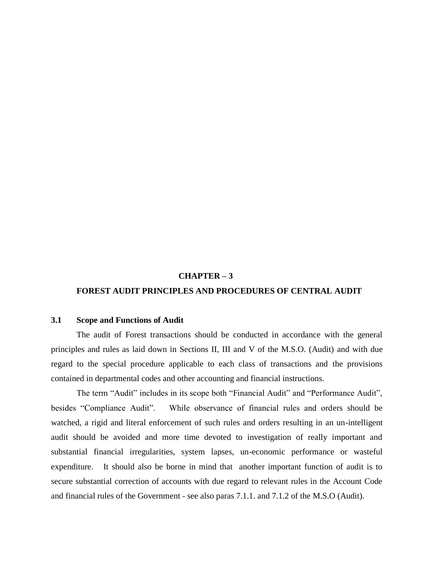#### **CHAPTER – 3**

### **FOREST AUDIT PRINCIPLES AND PROCEDURES OF CENTRAL AUDIT**

#### **3.1 Scope and Functions of Audit**

The audit of Forest transactions should be conducted in accordance with the general principles and rules as laid down in Sections II, III and V of the M.S.O. (Audit) and with due regard to the special procedure applicable to each class of transactions and the provisions contained in departmental codes and other accounting and financial instructions.

The term "Audit" includes in its scope both "Financial Audit" and "Performance Audit", besides "Compliance Audit". While observance of financial rules and orders should be watched, a rigid and literal enforcement of such rules and orders resulting in an un-intelligent audit should be avoided and more time devoted to investigation of really important and substantial financial irregularities, system lapses, un-economic performance or wasteful expenditure. It should also be borne in mind that another important function of audit is to secure substantial correction of accounts with due regard to relevant rules in the Account Code and financial rules of the Government - see also paras 7.1.1. and 7.1.2 of the M.S.O (Audit).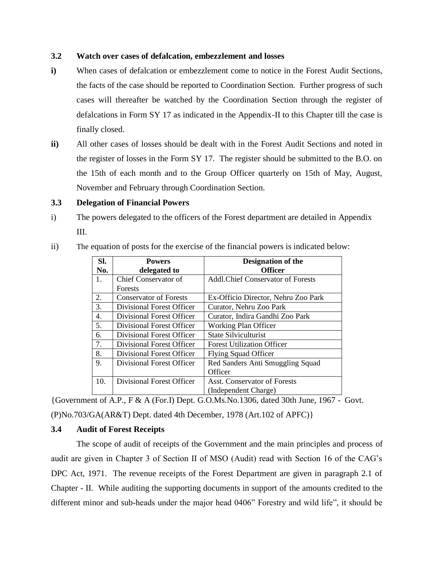# **3.2 Watch over cases of defalcation, embezzlement and losses**

- **i)** When cases of defalcation or embezzlement come to notice in the Forest Audit Sections, the facts of the case should be reported to Coordination Section. Further progress of such cases will thereafter be watched by the Coordination Section through the register of defalcations in Form SY 17 as indicated in the Appendix-II to this Chapter till the case is finally closed.
- **ii)** All other cases of losses should be dealt with in the Forest Audit Sections and noted in the register of losses in the Form SY 17. The register should be submitted to the B.O. on the 15th of each month and to the Group Officer quarterly on 15th of May, August, November and February through Coordination Section.

# **3.3 Delegation of Financial Powers**

- i) The powers delegated to the officers of the Forest department are detailed in Appendix III.
- ii) The equation of posts for the exercise of the financial powers is indicated below:

| Sl. | <b>Powers</b>                 | <b>Designation of the</b>                |
|-----|-------------------------------|------------------------------------------|
| No. | delegated to                  | <b>Officer</b>                           |
| 1.  | Chief Conservator of          | <b>Addl.Chief Conservator of Forests</b> |
|     | <b>Forests</b>                |                                          |
| 2.  | <b>Conservator of Forests</b> | Ex-Officio Director, Nehru Zoo Park      |
| 3.  | Divisional Forest Officer     | Curator, Nehru Zoo Park                  |
| 4.  | Divisional Forest Officer     | Curator, Indira Gandhi Zoo Park          |
| 5.  | Divisional Forest Officer     | <b>Working Plan Officer</b>              |
| 6.  | Divisional Forest Officer     | <b>State Silviculturist</b>              |
| 7.  | Divisional Forest Officer     | <b>Forest Utilization Officer</b>        |
| 8.  | Divisional Forest Officer     | <b>Flying Squad Officer</b>              |
| 9.  | Divisional Forest Officer     | Red Sanders Anti Smuggling Squad         |
|     |                               | Officer                                  |
| 10. | Divisional Forest Officer     | Asst. Conservator of Forests             |
|     |                               | (Independent Charge)                     |

{Government of A.P., F & A (For.I) Dept. G.O.Ms.No.1306, dated 30th June, 1967 - Govt. (P)No.703/GA(AR&T) Dept. dated 4th December, 1978 (Art.102 of APFC)}

# **3.4 Audit of Forest Receipts**

The scope of audit of receipts of the Government and the main principles and process of audit are given in Chapter 3 of Section II of MSO (Audit) read with Section 16 of the CAG's DPC Act, 1971. The revenue receipts of the Forest Department are given in paragraph 2.1 of Chapter - II. While auditing the supporting documents in support of the amounts credited to the different minor and sub-heads under the major head 0406" Forestry and wild life", it should be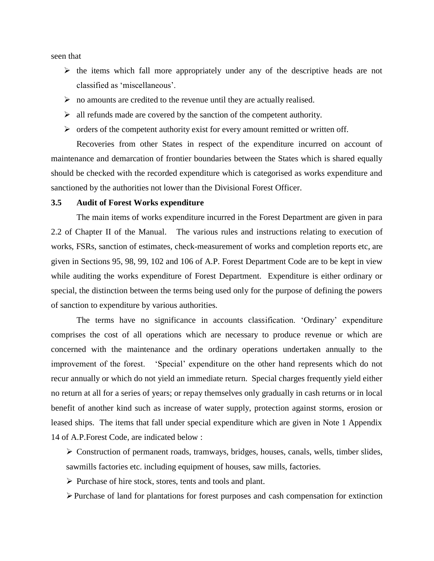seen that

- $\triangleright$  the items which fall more appropriately under any of the descriptive heads are not classified as 'miscellaneous'.
- $\triangleright$  no amounts are credited to the revenue until they are actually realised.
- $\triangleright$  all refunds made are covered by the sanction of the competent authority.
- $\triangleright$  orders of the competent authority exist for every amount remitted or written off.

Recoveries from other States in respect of the expenditure incurred on account of maintenance and demarcation of frontier boundaries between the States which is shared equally should be checked with the recorded expenditure which is categorised as works expenditure and sanctioned by the authorities not lower than the Divisional Forest Officer.

# **3.5 Audit of Forest Works expenditure**

The main items of works expenditure incurred in the Forest Department are given in para 2.2 of Chapter II of the Manual. The various rules and instructions relating to execution of works, FSRs, sanction of estimates, check-measurement of works and completion reports etc, are given in Sections 95, 98, 99, 102 and 106 of A.P. Forest Department Code are to be kept in view while auditing the works expenditure of Forest Department. Expenditure is either ordinary or special, the distinction between the terms being used only for the purpose of defining the powers of sanction to expenditure by various authorities.

The terms have no significance in accounts classification. 'Ordinary' expenditure comprises the cost of all operations which are necessary to produce revenue or which are concerned with the maintenance and the ordinary operations undertaken annually to the improvement of the forest. 'Special' expenditure on the other hand represents which do not recur annually or which do not yield an immediate return. Special charges frequently yield either no return at all for a series of years; or repay themselves only gradually in cash returns or in local benefit of another kind such as increase of water supply, protection against storms, erosion or leased ships. The items that fall under special expenditure which are given in Note 1 Appendix 14 of A.P.Forest Code, are indicated below :

 Construction of permanent roads, tramways, bridges, houses, canals, wells, timber slides, sawmills factories etc. including equipment of houses, saw mills, factories.

 $\triangleright$  Purchase of hire stock, stores, tents and tools and plant.

 $\triangleright$  Purchase of land for plantations for forest purposes and cash compensation for extinction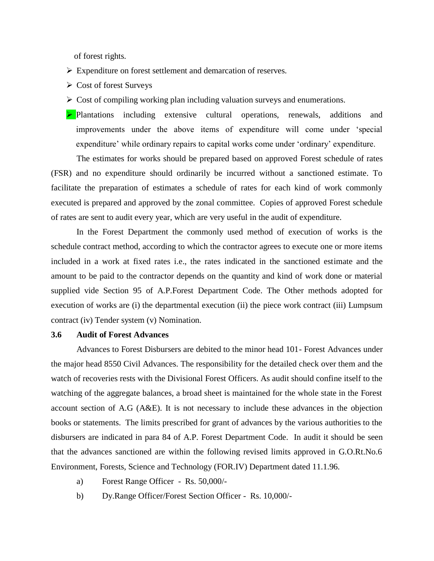of forest rights.

- Expenditure on forest settlement and demarcation of reserves.
- Cost of forest Surveys
- $\triangleright$  Cost of compiling working plan including valuation surveys and enumerations.
- Plantations including extensive cultural operations, renewals, additions and improvements under the above items of expenditure will come under 'special expenditure' while ordinary repairs to capital works come under 'ordinary' expenditure.

The estimates for works should be prepared based on approved Forest schedule of rates (FSR) and no expenditure should ordinarily be incurred without a sanctioned estimate. To facilitate the preparation of estimates a schedule of rates for each kind of work commonly executed is prepared and approved by the zonal committee. Copies of approved Forest schedule of rates are sent to audit every year, which are very useful in the audit of expenditure.

In the Forest Department the commonly used method of execution of works is the schedule contract method, according to which the contractor agrees to execute one or more items included in a work at fixed rates i.e., the rates indicated in the sanctioned estimate and the amount to be paid to the contractor depends on the quantity and kind of work done or material supplied vide Section 95 of A.P.Forest Department Code. The Other methods adopted for execution of works are (i) the departmental execution (ii) the piece work contract (iii) Lumpsum contract (iv) Tender system (v) Nomination.

#### **3.6 Audit of Forest Advances**

Advances to Forest Disbursers are debited to the minor head 101- Forest Advances under the major head 8550 Civil Advances. The responsibility for the detailed check over them and the watch of recoveries rests with the Divisional Forest Officers. As audit should confine itself to the watching of the aggregate balances, a broad sheet is maintained for the whole state in the Forest account section of A.G (A&E). It is not necessary to include these advances in the objection books or statements. The limits prescribed for grant of advances by the various authorities to the disbursers are indicated in para 84 of A.P. Forest Department Code. In audit it should be seen that the advances sanctioned are within the following revised limits approved in G.O.Rt.No.6 Environment, Forests, Science and Technology (FOR.IV) Department dated 11.1.96.

- a) Forest Range Officer Rs. 50,000/-
- b) Dy.Range Officer/Forest Section Officer Rs. 10,000/-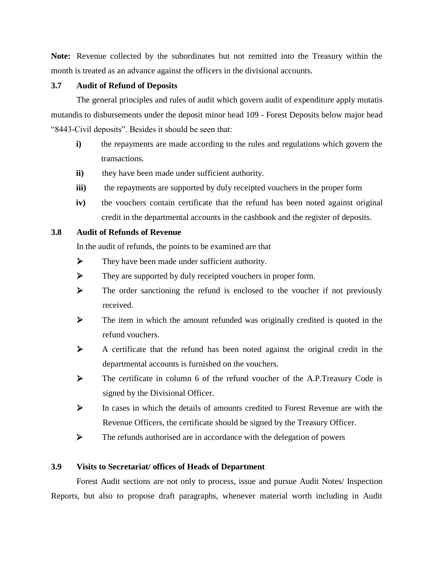**Note:** Revenue collected by the subordinates but not remitted into the Treasury within the month is treated as an advance against the officers in the divisional accounts.

# **3.7 Audit of Refund of Deposits**

The general principles and rules of audit which govern audit of expenditure apply mutatis mutandis to disbursements under the deposit minor head 109 - Forest Deposits below major head "8443-Civil deposits". Besides it should be seen that:

- **i)** the repayments are made according to the rules and regulations which govern the transactions.
- **ii)** they have been made under sufficient authority.
- **iii**) the repayments are supported by duly receipted vouchers in the proper form
- **iv**) the vouchers contain certificate that the refund has been noted against original credit in the departmental accounts in the cashbook and the register of deposits.

# **3.8 Audit of Refunds of Revenue**

In the audit of refunds, the points to be examined are that

- $\triangleright$  They have been made under sufficient authority.
- $\triangleright$  They are supported by duly receipted vouchers in proper form.
- $\triangleright$  The order sanctioning the refund is enclosed to the voucher if not previously received.
- $\triangleright$  The item in which the amount refunded was originally credited is quoted in the refund vouchers.
- A certificate that the refund has been noted against the original credit in the departmental accounts is furnished on the vouchers.
- The certificate in column 6 of the refund voucher of the A.P.Treasury Code is signed by the Divisional Officer.
- $\triangleright$  In cases in which the details of amounts credited to Forest Revenue are with the Revenue Officers, the certificate should be signed by the Treasury Officer.
- $\triangleright$  The refunds authorised are in accordance with the delegation of powers

# **3.9 Visits to Secretariat/ offices of Heads of Department**

Forest Audit sections are not only to process, issue and pursue Audit Notes/ Inspection Reports, but also to propose draft paragraphs, whenever material worth including in Audit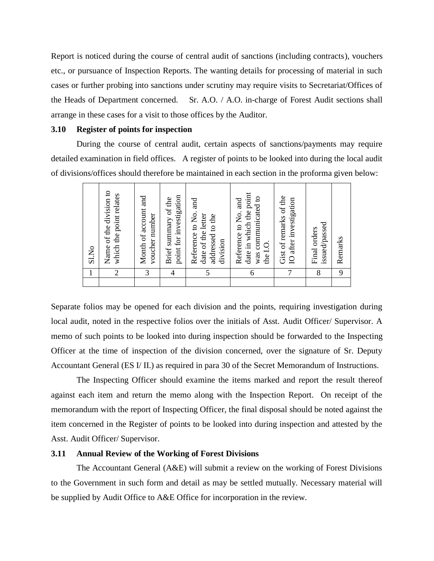Report is noticed during the course of central audit of sanctions (including contracts), vouchers etc., or pursuance of Inspection Reports. The wanting details for processing of material in such cases or further probing into sanctions under scrutiny may require visits to Secretariat/Offices of the Heads of Department concerned. Sr. A.O. / A.O. in-charge of Forest Audit sections shall arrange in these cases for a visit to those offices by the Auditor.

#### **3.10 Register of points for inspection**

During the course of central audit, certain aspects of sanctions/payments may require detailed examination in field offices. A register of points to be looked into during the local audit of divisions/offices should therefore be maintained in each section in the proforma given below:

| 1              | Name of the division to<br>Sl.No                                                   |
|----------------|------------------------------------------------------------------------------------|
| $\overline{2}$ | which the point relates                                                            |
| 3              | Month of account and<br>voucher number                                             |
| 4              | point for investigation<br>Brief summary of the                                    |
| 5              | Reference to No. and<br>date of the letter<br>addressed to the<br>division         |
| 6              | date in which the point<br>was communicated to<br>Reference to No. and<br>the I.O. |
| 7              | Gist of remarks of the<br>IO after investigation                                   |
| 8              | issued/passed<br>Final orders                                                      |
| 9              | Remarks                                                                            |

Separate folios may be opened for each division and the points, requiring investigation during local audit, noted in the respective folios over the initials of Asst. Audit Officer/ Supervisor. A memo of such points to be looked into during inspection should be forwarded to the Inspecting Officer at the time of inspection of the division concerned, over the signature of Sr. Deputy Accountant General (ES I/ II.) as required in para 30 of the Secret Memorandum of Instructions.

The Inspecting Officer should examine the items marked and report the result thereof against each item and return the memo along with the Inspection Report. On receipt of the memorandum with the report of Inspecting Officer, the final disposal should be noted against the item concerned in the Register of points to be looked into during inspection and attested by the Asst. Audit Officer/ Supervisor.

#### **3.11 Annual Review of the Working of Forest Divisions**

The Accountant General (A&E) will submit a review on the working of Forest Divisions to the Government in such form and detail as may be settled mutually. Necessary material will be supplied by Audit Office to A&E Office for incorporation in the review.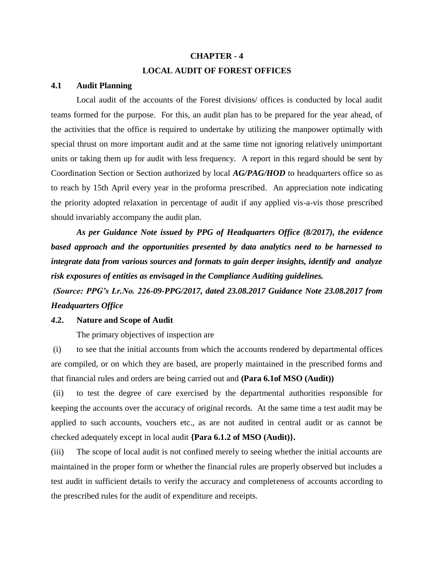# **CHAPTER - 4 LOCAL AUDIT OF FOREST OFFICES**

#### **4.1 Audit Planning**

Local audit of the accounts of the Forest divisions/ offices is conducted by local audit teams formed for the purpose. For this, an audit plan has to be prepared for the year ahead, of the activities that the office is required to undertake by utilizing the manpower optimally with special thrust on more important audit and at the same time not ignoring relatively unimportant units or taking them up for audit with less frequency. A report in this regard should be sent by Coordination Section or Section authorized by local *AG/PAG/HOD* to headquarters office so as to reach by 15th April every year in the proforma prescribed. An appreciation note indicating the priority adopted relaxation in percentage of audit if any applied vis-a-vis those prescribed should invariably accompany the audit plan.

*As per Guidance Note issued by PPG of Headquarters Office (8/2017), the evidence based approach and the opportunities presented by data analytics need to be harnessed to integrate data from various sources and formats to gain deeper insights, identify and analyze risk exposures of entities as envisaged in the Compliance Auditing guidelines.*

*(Source: PPG's Lr.No. 226-09-PPG/2017, dated 23.08.2017 Guidance Note 23.08.2017 from Headquarters Office* 

#### *4***.2. Nature and Scope of Audit**

The primary objectives of inspection are

(i) to see that the initial accounts from which the accounts rendered by departmental offices are compiled, or on which they are based, are properly maintained in the prescribed forms and that financial rules and orders are being carried out and **(Para 6.1of MSO (Audit))**

(ii) to test the degree of care exercised by the departmental authorities responsible for keeping the accounts over the accuracy of original records. At the same time a test audit may be applied to such accounts, vouchers etc., as are not audited in central audit or as cannot be checked adequately except in local audit **{Para 6.1.2 of MSO (Audit)}.**

(iii) The scope of local audit is not confined merely to seeing whether the initial accounts are maintained in the proper form or whether the financial rules are properly observed but includes a test audit in sufficient details to verify the accuracy and completeness of accounts according to the prescribed rules for the audit of expenditure and receipts.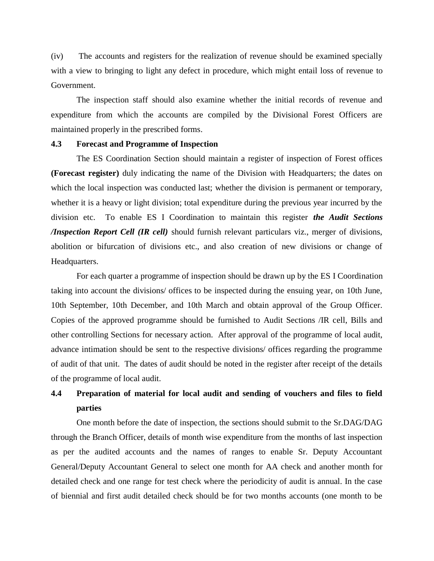(iv) The accounts and registers for the realization of revenue should be examined specially with a view to bringing to light any defect in procedure, which might entail loss of revenue to Government.

The inspection staff should also examine whether the initial records of revenue and expenditure from which the accounts are compiled by the Divisional Forest Officers are maintained properly in the prescribed forms.

#### **4.3 Forecast and Programme of Inspection**

The ES Coordination Section should maintain a register of inspection of Forest offices **(Forecast register)** duly indicating the name of the Division with Headquarters; the dates on which the local inspection was conducted last; whether the division is permanent or temporary, whether it is a heavy or light division; total expenditure during the previous year incurred by the division etc. To enable ES I Coordination to maintain this register *the Audit Sections /Inspection Report Cell (IR cell)* should furnish relevant particulars viz., merger of divisions, abolition or bifurcation of divisions etc., and also creation of new divisions or change of Headquarters.

For each quarter a programme of inspection should be drawn up by the ES I Coordination taking into account the divisions/ offices to be inspected during the ensuing year, on 10th June, 10th September, 10th December, and 10th March and obtain approval of the Group Officer. Copies of the approved programme should be furnished to Audit Sections /IR cell, Bills and other controlling Sections for necessary action. After approval of the programme of local audit, advance intimation should be sent to the respective divisions/ offices regarding the programme of audit of that unit. The dates of audit should be noted in the register after receipt of the details of the programme of local audit.

# **4.4 Preparation of material for local audit and sending of vouchers and files to field parties**

One month before the date of inspection, the sections should submit to the Sr.DAG/DAG through the Branch Officer, details of month wise expenditure from the months of last inspection as per the audited accounts and the names of ranges to enable Sr. Deputy Accountant General/Deputy Accountant General to select one month for AA check and another month for detailed check and one range for test check where the periodicity of audit is annual. In the case of biennial and first audit detailed check should be for two months accounts (one month to be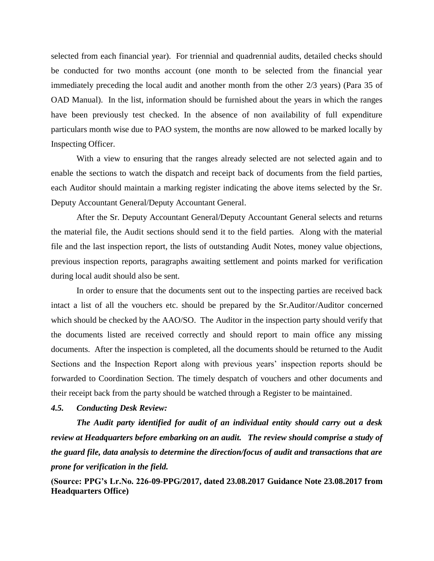selected from each financial year). For triennial and quadrennial audits, detailed checks should be conducted for two months account (one month to be selected from the financial year immediately preceding the local audit and another month from the other 2/3 years) (Para 35 of OAD Manual). In the list, information should be furnished about the years in which the ranges have been previously test checked. In the absence of non availability of full expenditure particulars month wise due to PAO system, the months are now allowed to be marked locally by Inspecting Officer.

With a view to ensuring that the ranges already selected are not selected again and to enable the sections to watch the dispatch and receipt back of documents from the field parties, each Auditor should maintain a marking register indicating the above items selected by the Sr. Deputy Accountant General/Deputy Accountant General.

After the Sr. Deputy Accountant General/Deputy Accountant General selects and returns the material file, the Audit sections should send it to the field parties. Along with the material file and the last inspection report, the lists of outstanding Audit Notes, money value objections, previous inspection reports, paragraphs awaiting settlement and points marked for verification during local audit should also be sent.

In order to ensure that the documents sent out to the inspecting parties are received back intact a list of all the vouchers etc. should be prepared by the Sr.Auditor/Auditor concerned which should be checked by the AAO/SO. The Auditor in the inspection party should verify that the documents listed are received correctly and should report to main office any missing documents. After the inspection is completed, all the documents should be returned to the Audit Sections and the Inspection Report along with previous years' inspection reports should be forwarded to Coordination Section. The timely despatch of vouchers and other documents and their receipt back from the party should be watched through a Register to be maintained.

#### *4.5. Conducting Desk Review:*

*The Audit party identified for audit of an individual entity should carry out a desk review at Headquarters before embarking on an audit. The review should comprise a study of the guard file, data analysis to determine the direction/focus of audit and transactions that are prone for verification in the field.* 

**(Source: PPG's Lr.No. 226-09-PPG/2017, dated 23.08.2017 Guidance Note 23.08.2017 from Headquarters Office)**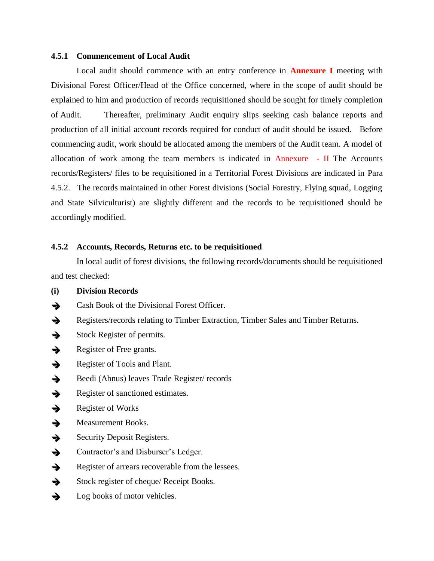#### **4.5.1 Commencement of Local Audit**

Local audit should commence with an entry conference in **Annexure I** meeting with Divisional Forest Officer/Head of the Office concerned, where in the scope of audit should be explained to him and production of records requisitioned should be sought for timely completion of Audit. Thereafter, preliminary Audit enquiry slips seeking cash balance reports and production of all initial account records required for conduct of audit should be issued. Before commencing audit, work should be allocated among the members of the Audit team. A model of allocation of work among the team members is indicated in Annexure  $-$  II The Accounts records/Registers/ files to be requisitioned in a Territorial Forest Divisions are indicated in Para 4.5.2. The records maintained in other Forest divisions (Social Forestry, Flying squad, Logging and State Silviculturist) are slightly different and the records to be requisitioned should be accordingly modified.

### **4.5.2 Accounts, Records, Returns etc. to be requisitioned**

In local audit of forest divisions, the following records/documents should be requisitioned and test checked:

- **(i) Division Records**
- Cash Book of the Divisional Forest Officer.
- Registers/records relating to Timber Extraction, Timber Sales and Timber Returns.
- $\rightarrow$  Stock Register of permits.
- Register of Free grants.
- $\rightarrow$  Register of Tools and Plant.
- $\rightarrow$  Beedi (Abnus) leaves Trade Register/ records
- Register of sanctioned estimates.
- $\rightarrow$  Register of Works
- $\rightarrow$  Measurement Books.
- $\rightarrow$  Security Deposit Registers.
- Subsetequently Contractor's and Disburser's Ledger.
- Register of arrears recoverable from the lessees.
- $\rightarrow$  Stock register of cheque/ Receipt Books.
- $\rightarrow$  Log books of motor vehicles.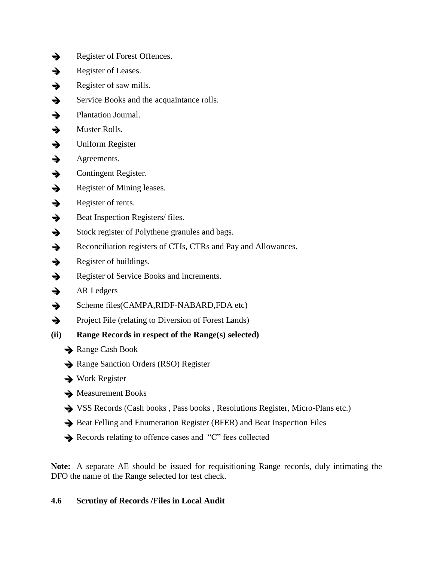- Register of Forest Offences.
- $\rightarrow$  Register of Leases.
- Register of saw mills.
- $\rightarrow$  Service Books and the acquaintance rolls.
- Plantation Journal.
- $\rightarrow$  Muster Rolls.
- $\rightarrow$  Uniform Register
- $\rightarrow$  Agreements.
- $\rightarrow$  Contingent Register.
- $\rightarrow$  Register of Mining leases.
- $\rightarrow$  Register of rents.
- $\rightarrow$  Beat Inspection Registers/ files.
- $\rightarrow$  Stock register of Polythene granules and bags.
- Reconciliation registers of CTIs, CTRs and Pay and Allowances.
- $\rightarrow$  Register of buildings.
- Register of Service Books and increments.
- $\rightarrow$  AR Ledgers
- $\rightarrow$  Scheme files(CAMPA,RIDF-NABARD,FDA etc)
- $\rightarrow$  Project File (relating to Diversion of Forest Lands)
- **(ii) Range Records in respect of the Range(s) selected)**
	- $\rightarrow$  Range Cash Book
	- Range Sanction Orders (RSO) Register
	- $\rightarrow$  Work Register
	- $\rightarrow$  Measurement Books
	- VSS Records (Cash books , Pass books , Resolutions Register, Micro-Plans etc.)
	- Beat Felling and Enumeration Register (BFER) and Beat Inspection Files
	- Records relating to offence cases and "C" fees collected

**Note:** A separate AE should be issued for requisitioning Range records, duly intimating the DFO the name of the Range selected for test check.

# **4.6 Scrutiny of Records /Files in Local Audit**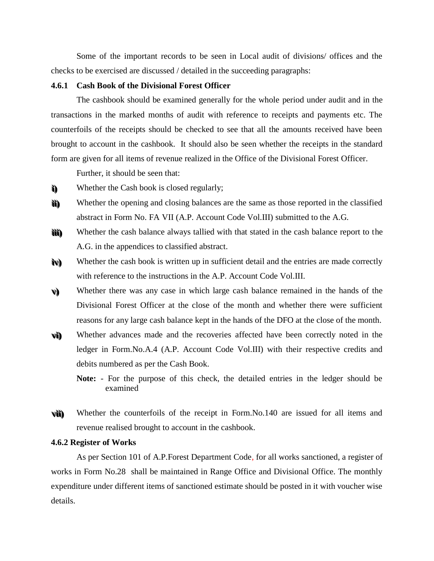Some of the important records to be seen in Local audit of divisions/ offices and the checks to be exercised are discussed / detailed in the succeeding paragraphs:

#### **4.6.1 Cash Book of the Divisional Forest Officer**

The cashbook should be examined generally for the whole period under audit and in the transactions in the marked months of audit with reference to receipts and payments etc. The counterfoils of the receipts should be checked to see that all the amounts received have been brought to account in the cashbook. It should also be seen whether the receipts in the standard form are given for all items of revenue realized in the Office of the Divisional Forest Officer.

Further, it should be seen that:

- **i i ) )** Whether the Cash book is closed regularly;
- **i i i i ) )** Whether the opening and closing balances are the same as those reported in the classified abstract in Form No. FA VII (A.P. Account Code Vol.III) submitted to the A.G.
- **i i i i i i))** Whether the cash balance always tallied with that stated in the cash balance report to the A.G. in the appendices to classified abstract.
- **i ivv) )** Whether the cash book is written up in sufficient detail and the entries are made correctly with reference to the instructions in the A.P. Account Code Vol.III.
- **vv) )** Whether there was any case in which large cash balance remained in the hands of the Divisional Forest Officer at the close of the month and whether there were sufficient reasons for any large cash balance kept in the hands of the DFO at the close of the month.
- **vvi i ) )** Whether advances made and the recoveries affected have been correctly noted in the ledger in Form.No.A.4 (A.P. Account Code Vol.III) with their respective credits and debits numbered as per the Cash Book.
	- **Note:**  For the purpose of this check, the detailed entries in the ledger should be examined
- **vvi i i i ) )** Whether the counterfoils of the receipt in Form.No.140 are issued for all items and revenue realised brought to account in the cashbook.

#### **4.6.2 Register of Works**

As per Section 101 of A.P.Forest Department Code, for all works sanctioned, a register of works in Form No.28 shall be maintained in Range Office and Divisional Office. The monthly expenditure under different items of sanctioned estimate should be posted in it with voucher wise details.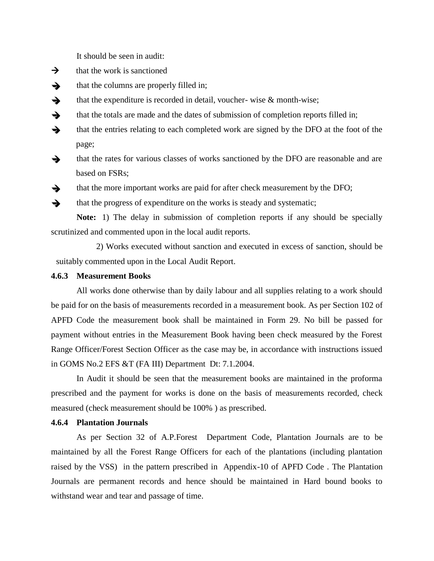It should be seen in audit:

- $\rightarrow$  that the work is sanctioned
- $\rightarrow$  that the columns are properly filled in;
- that the expenditure is recorded in detail, voucher-wise  $\&$  month-wise;
- $\rightarrow$  that the totals are made and the dates of submission of completion reports filled in;
- $\rightarrow$  that the entries relating to each completed work are signed by the DFO at the foot of the page;
- that the rates for various classes of works sanctioned by the DFO are reasonable and are based on FSRs;
- $\rightarrow$  that the more important works are paid for after check measurement by the DFO;
- $\rightarrow$  that the progress of expenditure on the works is steady and systematic;

**Note:** 1) The delay in submission of completion reports if any should be specially scrutinized and commented upon in the local audit reports.

2) Works executed without sanction and executed in excess of sanction, should be suitably commented upon in the Local Audit Report.

#### **4.6.3 Measurement Books**

All works done otherwise than by daily labour and all supplies relating to a work should be paid for on the basis of measurements recorded in a measurement book. As per Section 102 of APFD Code the measurement book shall be maintained in Form 29. No bill be passed for payment without entries in the Measurement Book having been check measured by the Forest Range Officer/Forest Section Officer as the case may be, in accordance with instructions issued in GOMS No.2 EFS &T (FA III) Department Dt: 7.1.2004.

In Audit it should be seen that the measurement books are maintained in the proforma prescribed and the payment for works is done on the basis of measurements recorded, check measured (check measurement should be 100% ) as prescribed.

#### **4.6.4 Plantation Journals**

As per Section 32 of A.P.Forest Department Code, Plantation Journals are to be maintained by all the Forest Range Officers for each of the plantations (including plantation raised by the VSS) in the pattern prescribed in Appendix-10 of APFD Code . The Plantation Journals are permanent records and hence should be maintained in Hard bound books to withstand wear and tear and passage of time.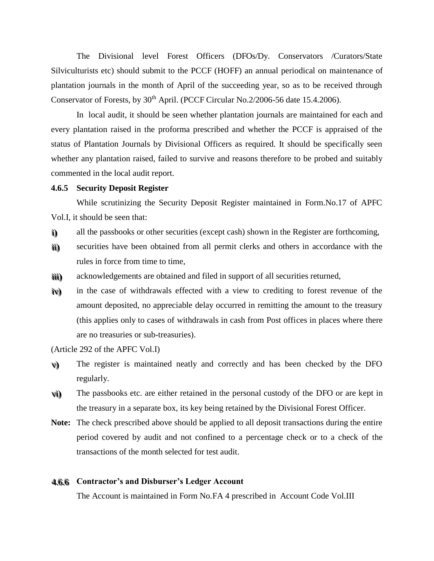The Divisional level Forest Officers (DFOs/Dy. Conservators /Curators/State Silviculturists etc) should submit to the PCCF (HOFF) an annual periodical on maintenance of plantation journals in the month of April of the succeeding year, so as to be received through Conservator of Forests, by 30<sup>th</sup> April. (PCCF Circular No.2/2006-56 date 15.4.2006).

In local audit, it should be seen whether plantation journals are maintained for each and every plantation raised in the proforma prescribed and whether the PCCF is appraised of the status of Plantation Journals by Divisional Officers as required. It should be specifically seen whether any plantation raised, failed to survive and reasons therefore to be probed and suitably commented in the local audit report.

#### **4.6.5 Security Deposit Register**

While scrutinizing the Security Deposit Register maintained in Form.No.17 of APFC Vol.I, it should be seen that:

- i) all the passbooks or other securities (except cash) shown in the Register are forthcoming,
- ù) ) securities have been obtained from all permit clerks and others in accordance with the rules in force from time to time,
- ììì) ) acknowledgements are obtained and filed in support of all securities returned,
- i ivv) ) in the case of withdrawals effected with a view to crediting to forest revenue of the amount deposited, no appreciable delay occurred in remitting the amount to the treasury (this applies only to cases of withdrawals in cash from Post offices in places where there are no treasuries or sub-treasuries).

(Article 292 of the APFC Vol.I)

- v) The register is maintained neatly and correctly and has been checked by the DFO regularly.
- vi) ) The passbooks etc. are either retained in the personal custody of the DFO or are kept in the treasury in a separate box, its key being retained by the Divisional Forest Officer.
- **Note:** The check prescribed above should be applied to all deposit transactions during the entire period covered by audit and not confined to a percentage check or to a check of the transactions of the month selected for test audit.

# 44. ..66. ..66 **Contractor's and Disburser's Ledger Account**

The Account is maintained in Form No.FA 4 prescribed in Account Code Vol.III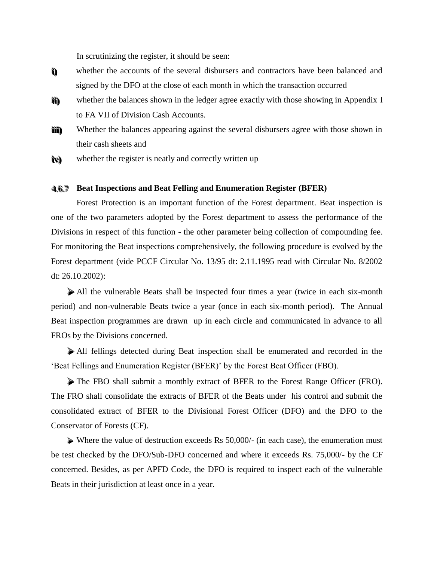In scrutinizing the register, it should be seen:

- **i i ) )** whether the accounts of the several disbursers and contractors have been balanced and signed by the DFO at the close of each month in which the transaction occurred
- **i i i i ) )** whether the balances shown in the ledger agree exactly with those showing in Appendix I to FA VII of Division Cash Accounts.
- **i i i i i i ) )** Whether the balances appearing against the several disbursers agree with those shown in their cash sheets and
- **i ivv) )** whether the register is neatly and correctly written up

# 44. ..66. ..77 **Beat Inspections and Beat Felling and Enumeration Register (BFER)**

Forest Protection is an important function of the Forest department. Beat inspection is one of the two parameters adopted by the Forest department to assess the performance of the Divisions in respect of this function - the other parameter being collection of compounding fee. For monitoring the Beat inspections comprehensively, the following procedure is evolved by the Forest department (vide PCCF Circular No. 13/95 dt: 2.11.1995 read with Circular No. 8/2002 dt: 26.10.2002):

All the vulnerable Beats shall be inspected four times a year (twice in each six-month period) and non-vulnerable Beats twice a year (once in each six-month period). The Annual Beat inspection programmes are drawn up in each circle and communicated in advance to all FROs by the Divisions concerned.

All fellings detected during Beat inspection shall be enumerated and recorded in the 'Beat Fellings and Enumeration Register (BFER)' by the Forest Beat Officer (FBO).

The FBO shall submit a monthly extract of BFER to the Forest Range Officer (FRO). The FRO shall consolidate the extracts of BFER of the Beats under his control and submit the consolidated extract of BFER to the Divisional Forest Officer (DFO) and the DFO to the Conservator of Forests (CF).

 Where the value of destruction exceeds Rs 50,000/- (in each case), the enumeration must be test checked by the DFO/Sub-DFO concerned and where it exceeds Rs. 75,000/- by the CF concerned. Besides, as per APFD Code, the DFO is required to inspect each of the vulnerable Beats in their jurisdiction at least once in a year.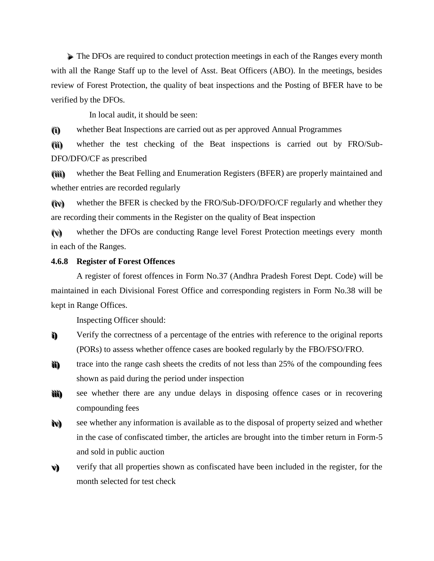The DFOs are required to conduct protection meetings in each of the Ranges every month with all the Range Staff up to the level of Asst. Beat Officers (ABO). In the meetings, besides review of Forest Protection, the quality of beat inspections and the Posting of BFER have to be verified by the DFOs.

In local audit, it should be seen:

(i) ) whether Beat Inspections are carried out as per approved Annual Programmes

( ( i i i i ) ) whether the test checking of the Beat inspections is carried out by FRO/Sub-DFO/DFO/CF as prescribed

(îŭ) ) whether the Beat Felling and Enumeration Registers (BFER) are properly maintained and whether entries are recorded regularly

( ( i ivv) ) whether the BFER is checked by the FRO/Sub-DFO/DFO/CF regularly and whether they are recording their comments in the Register on the quality of Beat inspection

(v) whether the DFOs are conducting Range level Forest Protection meetings every month in each of the Ranges.

#### **4.6.8 Register of Forest Offences**

A register of forest offences in Form No.37 (Andhra Pradesh Forest Dept. Code) will be maintained in each Divisional Forest Office and corresponding registers in Form No.38 will be kept in Range Offices.

Inspecting Officer should:

- **i i ) )** Verify the correctness of a percentage of the entries with reference to the original reports (PORs) to assess whether offence cases are booked regularly by the FBO/FSO/FRO.
- **i i i i))** trace into the range cash sheets the credits of not less than 25% of the compounding fees shown as paid during the period under inspection
- **i i i i i i ) )** see whether there are any undue delays in disposing offence cases or in recovering compounding fees
- **i ivv) )** see whether any information is available as to the disposal of property seized and whether in the case of confiscated timber, the articles are brought into the timber return in Form-5 and sold in public auction
- **vv) )** verify that all properties shown as confiscated have been included in the register, for the month selected for test check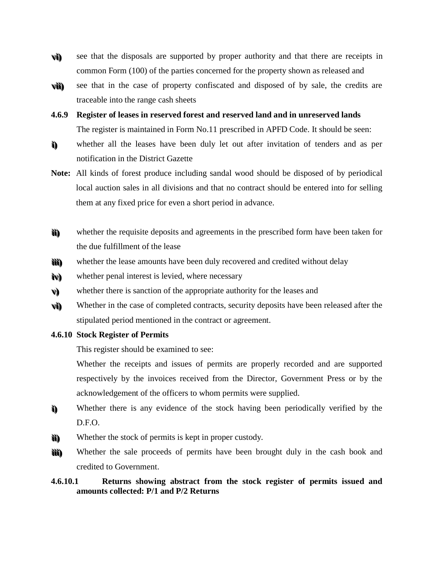- **vvi i ) )** see that the disposals are supported by proper authority and that there are receipts in common Form (100) of the parties concerned for the property shown as released and
- **vvi i i i ) )** see that in the case of property confiscated and disposed of by sale, the credits are traceable into the range cash sheets
- **4.6.9 Register of leases in reserved forest and reserved land and in unreserved lands**  The register is maintained in Form No.11 prescribed in APFD Code. It should be seen:
- **i i ) )** whether all the leases have been duly let out after invitation of tenders and as per notification in the District Gazette
- **Note:** All kinds of forest produce including sandal wood should be disposed of by periodical local auction sales in all divisions and that no contract should be entered into for selling them at any fixed price for even a short period in advance.
- **i i i i))** whether the requisite deposits and agreements in the prescribed form have been taken for the due fulfillment of the lease
- **i i i i i i ) )** whether the lease amounts have been duly recovered and credited without delay
- **i ivv) )** whether penal interest is levied, where necessary
- **vv) )** whether there is sanction of the appropriate authority for the leases and
- **vvi i ) )** Whether in the case of completed contracts, security deposits have been released after the stipulated period mentioned in the contract or agreement.
- **4.6.10 Stock Register of Permits**

This register should be examined to see:

Whether the receipts and issues of permits are properly recorded and are supported respectively by the invoices received from the Director, Government Press or by the acknowledgement of the officers to whom permits were supplied.

- **i i ) )** Whether there is any evidence of the stock having been periodically verified by the D.F.O.
- **i i i i ) )** Whether the stock of permits is kept in proper custody.
- **i i i i i i ) )** Whether the sale proceeds of permits have been brought duly in the cash book and credited to Government.

# **4.6.10.1 Returns showing abstract from the stock register of permits issued and amounts collected: P/1 and P/2 Returns**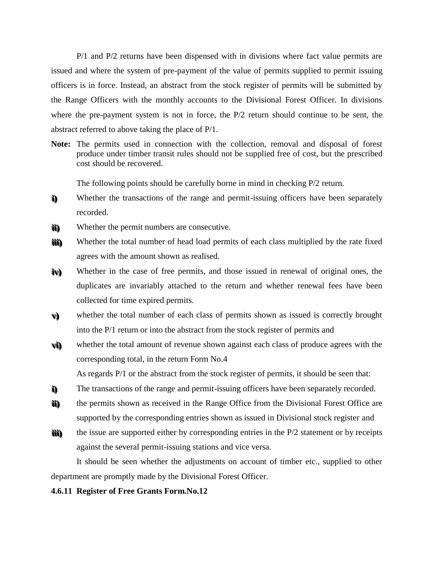P/1 and P/2 returns have been dispensed with in divisions where fact value permits are issued and where the system of pre-payment of the value of permits supplied to permit issuing officers is in force. Instead, an abstract from the stock register of permits will be submitted by the Range Officers with the monthly accounts to the Divisional Forest Officer. In divisions where the pre-payment system is not in force, the P/2 return should continue to be sent, the abstract referred to above taking the place of P/1.

**Note:** The permits used in connection with the collection, removal and disposal of forest produce under timber transit rules should not be supplied free of cost, but the prescribed cost should be recovered.

The following points should be carefully borne in mind in checking P/2 return.

- **i i))** Whether the transactions of the range and permit-issuing officers have been separately recorded.
- **i i i i ) )** Whether the permit numbers are consecutive.
- **i i i i i i ) )** Whether the total number of head load permits of each class multiplied by the rate fixed agrees with the amount shown as realised.
- **i ivv) )** Whether in the case of free permits, and those issued in renewal of original ones, the duplicates are invariably attached to the return and whether renewal fees have been collected for time expired permits.
- **vv) )** whether the total number of each class of permits shown as issued is correctly brought into the P/1 return or into the abstract from the stock register of permits and
- **vvi i ) )** whether the total amount of revenue shown against each class of produce agrees with the corresponding total, in the return Form No.4

As regards P/1 or the abstract from the stock register of permits, it should be seen that:

- **i i ) )** The transactions of the range and permit-issuing officers have been separately recorded.
- **i i i i ) )** the permits shown as received in the Range Office from the Divisional Forest Office are supported by the corresponding entries shown as issued in Divisional stock register and
- **i i i i i i ) )** the issue are supported either by corresponding entries in the P/2 statement or by receipts against the several permit-issuing stations and vice versa.

It should be seen whether the adjustments on account of timber etc., supplied to other department are promptly made by the Divisional Forest Officer.

#### **4.6.11 Register of Free Grants Form.No.12**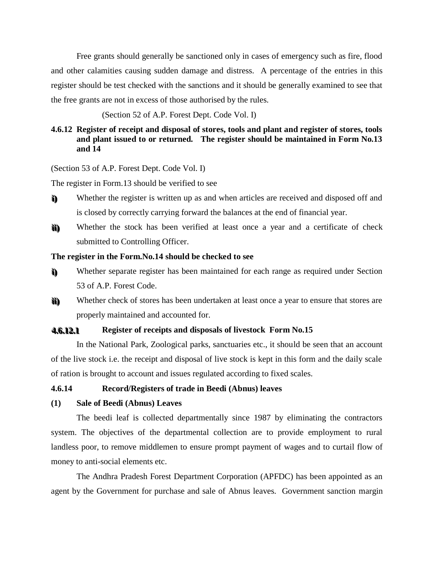Free grants should generally be sanctioned only in cases of emergency such as fire, flood and other calamities causing sudden damage and distress. A percentage of the entries in this register should be test checked with the sanctions and it should be generally examined to see that the free grants are not in excess of those authorised by the rules.

(Section 52 of A.P. Forest Dept. Code Vol. I)

# **4.6.12 Register of receipt and disposal of stores, tools and plant and register of stores, tools and plant issued to or returned. The register should be maintained in Form No.13 and 14**

(Section 53 of A.P. Forest Dept. Code Vol. I)

The register in Form.13 should be verified to see

- **i i))** Whether the register is written up as and when articles are received and disposed off and is closed by correctly carrying forward the balances at the end of financial year.
- **i i i i ) )** Whether the stock has been verified at least once a year and a certificate of check submitted to Controlling Officer.

#### **The register in the Form.No.14 should be checked to see**

- **i i ) )** Whether separate register has been maintained for each range as required under Section 53 of A.P. Forest Code.
- **i i i i ) )** Whether check of stores has been undertaken at least once a year to ensure that stores are properly maintained and accounted for.

#### **44. .66. .1122. .11 Register of receipts and disposals of livestock Form No.15**

In the National Park, Zoological parks, sanctuaries etc., it should be seen that an account of the live stock i.e. the receipt and disposal of live stock is kept in this form and the daily scale of ration is brought to account and issues regulated according to fixed scales.

## **4.6.14 Record/Registers of trade in Beedi (Abnus) leaves**

### **(1) Sale of Beedi (Abnus) Leaves**

The beedi leaf is collected departmentally since 1987 by eliminating the contractors system. The objectives of the departmental collection are to provide employment to rural landless poor, to remove middlemen to ensure prompt payment of wages and to curtail flow of money to anti-social elements etc.

The Andhra Pradesh Forest Department Corporation (APFDC) has been appointed as an agent by the Government for purchase and sale of Abnus leaves. Government sanction margin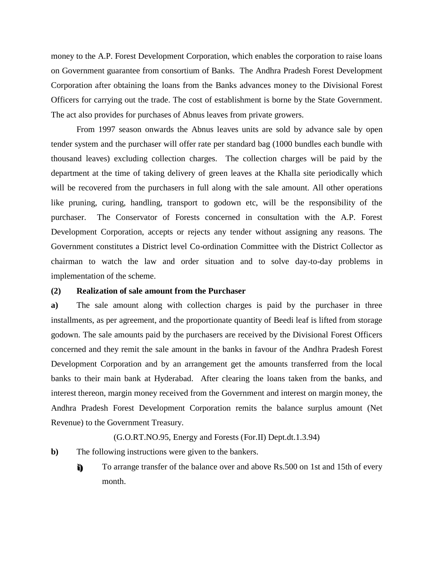money to the A.P. Forest Development Corporation, which enables the corporation to raise loans on Government guarantee from consortium of Banks. The Andhra Pradesh Forest Development Corporation after obtaining the loans from the Banks advances money to the Divisional Forest Officers for carrying out the trade. The cost of establishment is borne by the State Government. The act also provides for purchases of Abnus leaves from private growers.

From 1997 season onwards the Abnus leaves units are sold by advance sale by open tender system and the purchaser will offer rate per standard bag (1000 bundles each bundle with thousand leaves) excluding collection charges. The collection charges will be paid by the department at the time of taking delivery of green leaves at the Khalla site periodically which will be recovered from the purchasers in full along with the sale amount. All other operations like pruning, curing, handling, transport to godown etc, will be the responsibility of the purchaser. The Conservator of Forests concerned in consultation with the A.P. Forest Development Corporation, accepts or rejects any tender without assigning any reasons. The Government constitutes a District level Co-ordination Committee with the District Collector as chairman to watch the law and order situation and to solve day-to-day problems in implementation of the scheme.

#### **(2) Realization of sale amount from the Purchaser**

**a)** The sale amount along with collection charges is paid by the purchaser in three installments, as per agreement, and the proportionate quantity of Beedi leaf is lifted from storage godown. The sale amounts paid by the purchasers are received by the Divisional Forest Officers concerned and they remit the sale amount in the banks in favour of the Andhra Pradesh Forest Development Corporation and by an arrangement get the amounts transferred from the local banks to their main bank at Hyderabad. After clearing the loans taken from the banks, and interest thereon, margin money received from the Government and interest on margin money, the Andhra Pradesh Forest Development Corporation remits the balance surplus amount (Net Revenue) to the Government Treasury.

#### (G.O.RT.NO.95, Energy and Forests (For.II) Dept.dt.1.3.94)

- **b)** The following instructions were given to the bankers.
	- **i i ) )** To arrange transfer of the balance over and above Rs.500 on 1st and 15th of every month.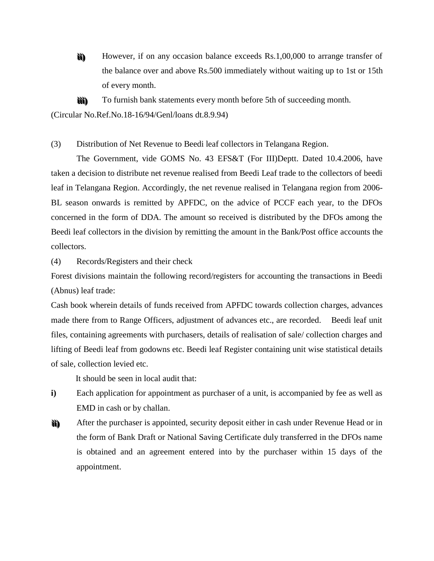**i i i i ) )** However, if on any occasion balance exceeds Rs.1,00,000 to arrange transfer of the balance over and above Rs.500 immediately without waiting up to 1st or 15th of every month.

**i i i i i i ) )** To furnish bank statements every month before 5th of succeeding month.

(Circular No.Ref.No.18-16/94/Genl/loans dt.8.9.94)

(3) Distribution of Net Revenue to Beedi leaf collectors in Telangana Region.

The Government, vide GOMS No. 43 EFS&T (For III)Deptt. Dated 10.4.2006, have taken a decision to distribute net revenue realised from Beedi Leaf trade to the collectors of beedi leaf in Telangana Region. Accordingly, the net revenue realised in Telangana region from 2006- BL season onwards is remitted by APFDC, on the advice of PCCF each year, to the DFOs concerned in the form of DDA. The amount so received is distributed by the DFOs among the Beedi leaf collectors in the division by remitting the amount in the Bank/Post office accounts the collectors.

(4) Records/Registers and their check

Forest divisions maintain the following record/registers for accounting the transactions in Beedi (Abnus) leaf trade:

Cash book wherein details of funds received from APFDC towards collection charges, advances made there from to Range Officers, adjustment of advances etc., are recorded. Beedi leaf unit files, containing agreements with purchasers, details of realisation of sale/ collection charges and lifting of Beedi leaf from godowns etc. Beedi leaf Register containing unit wise statistical details of sale, collection levied etc.

It should be seen in local audit that:

- **i)** Each application for appointment as purchaser of a unit, is accompanied by fee as well as EMD in cash or by challan.
- **i i i i ) )** After the purchaser is appointed, security deposit either in cash under Revenue Head or in the form of Bank Draft or National Saving Certificate duly transferred in the DFOs name is obtained and an agreement entered into by the purchaser within 15 days of the appointment.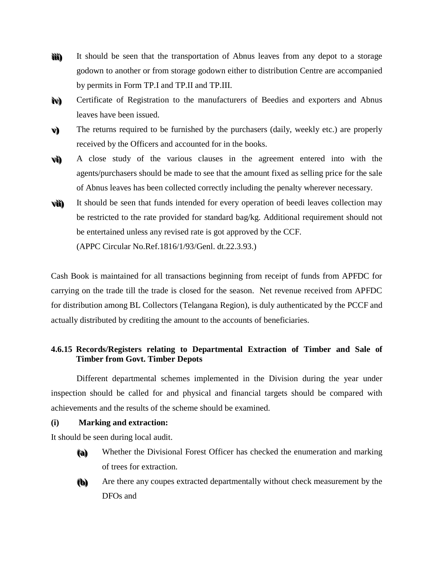- **i i i i i i ) )** It should be seen that the transportation of Abnus leaves from any depot to a storage godown to another or from storage godown either to distribution Centre are accompanied by permits in Form TP.I and TP.II and TP.III.
- **i ivv) )** Certificate of Registration to the manufacturers of Beedies and exporters and Abnus leaves have been issued.
- **vv) )** The returns required to be furnished by the purchasers (daily, weekly etc.) are properly received by the Officers and accounted for in the books.
- **vvi i ) )** A close study of the various clauses in the agreement entered into with the agents/purchasers should be made to see that the amount fixed as selling price for the sale of Abnus leaves has been collected correctly including the penalty wherever necessary.
- **vvi i i i ) )** It should be seen that funds intended for every operation of beedi leaves collection may be restricted to the rate provided for standard bag/kg. Additional requirement should not be entertained unless any revised rate is got approved by the CCF. (APPC Circular No.Ref.1816/1/93/Genl. dt.22.3.93.)

Cash Book is maintained for all transactions beginning from receipt of funds from APFDC for carrying on the trade till the trade is closed for the season. Net revenue received from APFDC for distribution among BL Collectors (Telangana Region), is duly authenticated by the PCCF and actually distributed by crediting the amount to the accounts of beneficiaries.

# **4.6.15 Records/Registers relating to Departmental Extraction of Timber and Sale of Timber from Govt. Timber Depots**

Different departmental schemes implemented in the Division during the year under inspection should be called for and physical and financial targets should be compared with achievements and the results of the scheme should be examined.

**(i) Marking and extraction:**

It should be seen during local audit.

- **( (aa) )** Whether the Divisional Forest Officer has checked the enumeration and marking of trees for extraction.
- **( (bb) )** Are there any coupes extracted departmentally without check measurement by the DFOs and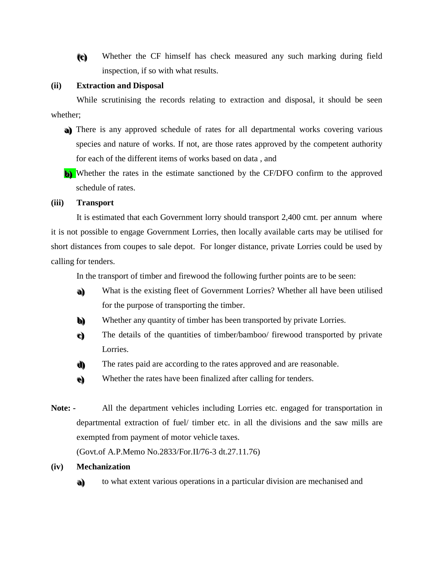**( (cc) )** Whether the CF himself has check measured any such marking during field inspection, if so with what results.

#### **(ii) Extraction and Disposal**

While scrutinising the records relating to extraction and disposal, it should be seen whether;

- a) There is any approved schedule of rates for all departmental works covering various species and nature of works. If not, are those rates approved by the competent authority for each of the different items of works based on data , and
- **b)** Whether the rates in the estimate sanctioned by the CF/DFO confirm to the approved schedule of rates.

### **(iii) Transport**

It is estimated that each Government lorry should transport 2,400 cmt. per annum where it is not possible to engage Government Lorries, then locally available carts may be utilised for short distances from coupes to sale depot. For longer distance, private Lorries could be used by calling for tenders.

In the transport of timber and firewood the following further points are to be seen:

- **aa) )** What is the existing fleet of Government Lorries? Whether all have been utilised for the purpose of transporting the timber.
- **bb) )** Whether any quantity of timber has been transported by private Lorries.
- **cc) )** The details of the quantities of timber/bamboo/ firewood transported by private Lorries.
- **d)** The rates paid are according to the rates approved and are reasonable.
- **ee) )** Whether the rates have been finalized after calling for tenders.
- **Note: -** All the department vehicles including Lorries etc. engaged for transportation in departmental extraction of fuel/ timber etc. in all the divisions and the saw mills are exempted from payment of motor vehicle taxes.

(Govt.of A.P.Memo No.2833/For.II/76-3 dt.27.11.76)

#### **(iv) Mechanization**

**aa) )** to what extent various operations in a particular division are mechanised and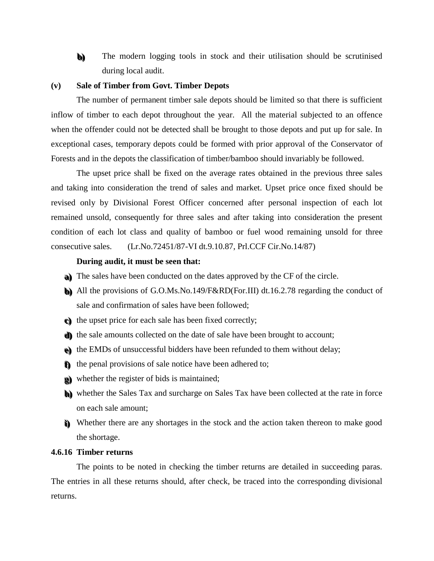**bb) )** The modern logging tools in stock and their utilisation should be scrutinised during local audit.

# **(v) Sale of Timber from Govt. Timber Depots**

The number of permanent timber sale depots should be limited so that there is sufficient inflow of timber to each depot throughout the year. All the material subjected to an offence when the offender could not be detected shall be brought to those depots and put up for sale. In exceptional cases, temporary depots could be formed with prior approval of the Conservator of Forests and in the depots the classification of timber/bamboo should invariably be followed.

The upset price shall be fixed on the average rates obtained in the previous three sales and taking into consideration the trend of sales and market. Upset price once fixed should be revised only by Divisional Forest Officer concerned after personal inspection of each lot remained unsold, consequently for three sales and after taking into consideration the present condition of each lot class and quality of bamboo or fuel wood remaining unsold for three consecutive sales. (Lr.No.72451/87-VI dt.9.10.87, Prl.CCF Cir.No.14/87)

#### **During audit, it must be seen that:**

- a) The sales have been conducted on the dates approved by the CF of the circle.
- **bb) )** All the provisions of G.O.Ms.No.149/F&RD(For.III) dt.16.2.78 regarding the conduct of sale and confirmation of sales have been followed;
- **cc) )** the upset price for each sale has been fixed correctly;
- **d)** the sale amounts collected on the date of sale have been brought to account;
- $e$ ) the EMDs of unsuccessful bidders have been refunded to them without delay;
- **ff** the penal provisions of sale notice have been adhered to;
- **gg) )** whether the register of bids is maintained;
- **hh) )** whether the Sales Tax and surcharge on Sales Tax have been collected at the rate in force on each sale amount;
- **i**) Whether there are any shortages in the stock and the action taken thereon to make good the shortage.

# **4.6.16 Timber returns**

The points to be noted in checking the timber returns are detailed in succeeding paras. The entries in all these returns should, after check, be traced into the corresponding divisional returns.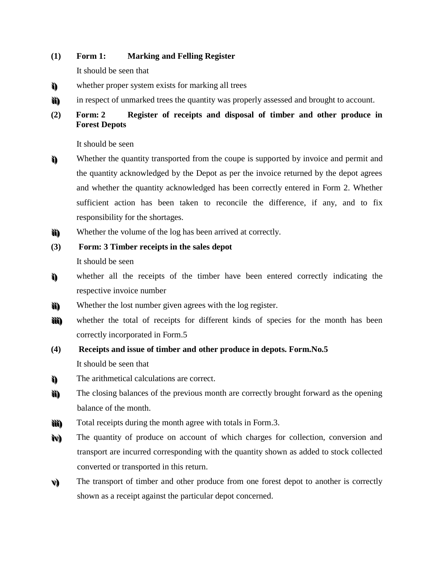# **(1) Form 1: Marking and Felling Register**

It should be seen that

- **i i ) )** whether proper system exists for marking all trees
- **i i i i ) )** in respect of unmarked trees the quantity was properly assessed and brought to account.

# **(2) Form: 2 Register of receipts and disposal of timber and other produce in Forest Depots**

It should be seen

- **i i ) )** Whether the quantity transported from the coupe is supported by invoice and permit and the quantity acknowledged by the Depot as per the invoice returned by the depot agrees and whether the quantity acknowledged has been correctly entered in Form 2. Whether sufficient action has been taken to reconcile the difference, if any, and to fix responsibility for the shortages.
- **i i i i))** Whether the volume of the log has been arrived at correctly.
- **(3) Form: 3 Timber receipts in the sales depot** It should be seen
- **i i ) )** whether all the receipts of the timber have been entered correctly indicating the respective invoice number
- **i i i i ) )** Whether the lost number given agrees with the log register.
- **i i i i i i ) )** whether the total of receipts for different kinds of species for the month has been correctly incorporated in Form.5

# **(4) Receipts and issue of timber and other produce in depots. Form.No.5** It should be seen that

- **i i ) )** The arithmetical calculations are correct.
- **i i i i ) )** The closing balances of the previous month are correctly brought forward as the opening balance of the month.
- **i i i i i i ) )** Total receipts during the month agree with totals in Form.3.
- **i ivv) )** The quantity of produce on account of which charges for collection, conversion and transport are incurred corresponding with the quantity shown as added to stock collected converted or transported in this return.
- **vv) )** The transport of timber and other produce from one forest depot to another is correctly shown as a receipt against the particular depot concerned.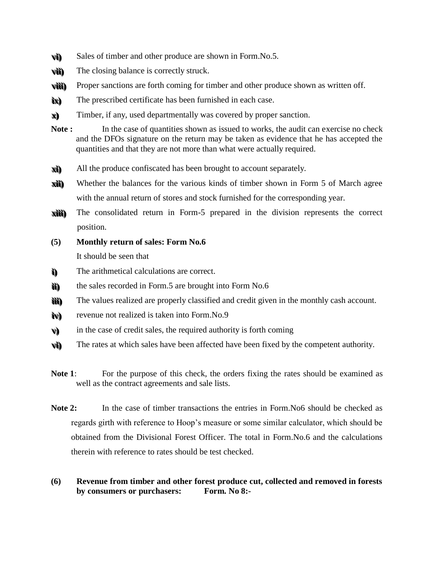- **vvi i ) )** Sales of timber and other produce are shown in Form.No.5.
- **vvi i i i ) )** The closing balance is correctly struck.
- **vvi i i i i i ) )** Proper sanctions are forth coming for timber and other produce shown as written off.
- **i ixx) )** The prescribed certificate has been furnished in each case.
- **xx) )** Timber, if any, used departmentally was covered by proper sanction.
- **Note :** In the case of quantities shown as issued to works, the audit can exercise no check and the DFOs signature on the return may be taken as evidence that he has accepted the quantities and that they are not more than what were actually required.
- **xxi i ) )** All the produce confiscated has been brought to account separately.
- **xxi i i i ) )** Whether the balances for the various kinds of timber shown in Form 5 of March agree with the annual return of stores and stock furnished for the corresponding year.
- **xxi i i i i i ) )** The consolidated return in Form-5 prepared in the division represents the correct position.
- **(5) Monthly return of sales: Form No.6**

It should be seen that

- **i i ) )** The arithmetical calculations are correct.
- **i i i i ) )** the sales recorded in Form.5 are brought into Form No.6
- **i i i i i i ) )** The values realized are properly classified and credit given in the monthly cash account.
- **i ivv) )** revenue not realized is taken into Form.No.9
- **vv) )** in the case of credit sales, the required authority is forth coming
- **vvi i ) )** The rates at which sales have been affected have been fixed by the competent authority.
- Note 1: For the purpose of this check, the orders fixing the rates should be examined as well as the contract agreements and sale lists.
- **Note 2:** In the case of timber transactions the entries in Form. No6 should be checked as regards girth with reference to Hoop's measure or some similar calculator, which should be obtained from the Divisional Forest Officer. The total in Form.No.6 and the calculations therein with reference to rates should be test checked.
- **(6) Revenue from timber and other forest produce cut, collected and removed in forests by consumers or purchasers: Form. No 8:-**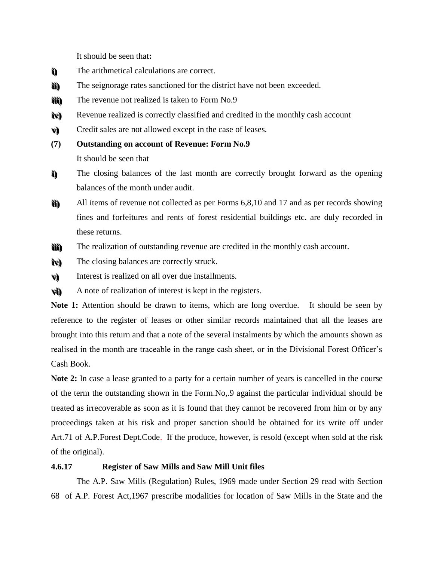It should be seen that**:**

- **i i ) )** The arithmetical calculations are correct.
- **i i i i ) )** The seignorage rates sanctioned for the district have not been exceeded.
- **i i i i i i ) )** The revenue not realized is taken to Form No.9
- **i ivv) )** Revenue realized is correctly classified and credited in the monthly cash account
- **vv) )** Credit sales are not allowed except in the case of leases.
- **(7) Outstanding on account of Revenue: Form No.9** It should be seen that
- **i i ) )** The closing balances of the last month are correctly brought forward as the opening balances of the month under audit.
- **i i i i ) )** All items of revenue not collected as per Forms 6,8,10 and 17 and as per records showing fines and forfeitures and rents of forest residential buildings etc. are duly recorded in these returns.
- **i i i i i i ) )** The realization of outstanding revenue are credited in the monthly cash account.
- **i ivv) )** The closing balances are correctly struck.
- **vv) )** Interest is realized on all over due installments.
- **vvi i ) )** A note of realization of interest is kept in the registers.

Note 1: Attention should be drawn to items, which are long overdue. It should be seen by reference to the register of leases or other similar records maintained that all the leases are brought into this return and that a note of the several instalments by which the amounts shown as realised in the month are traceable in the range cash sheet, or in the Divisional Forest Officer's Cash Book.

**Note 2:** In case a lease granted to a party for a certain number of years is cancelled in the course of the term the outstanding shown in the Form.No,.9 against the particular individual should be treated as irrecoverable as soon as it is found that they cannot be recovered from him or by any proceedings taken at his risk and proper sanction should be obtained for its write off under Art.71 of A.P.Forest Dept.Code. If the produce, however, is resold (except when sold at the risk of the original).

# **4.6.17 Register of Saw Mills and Saw Mill Unit files**

The A.P. Saw Mills (Regulation) Rules, 1969 made under Section 29 read with Section 68 of A.P. Forest Act,1967 prescribe modalities for location of Saw Mills in the State and the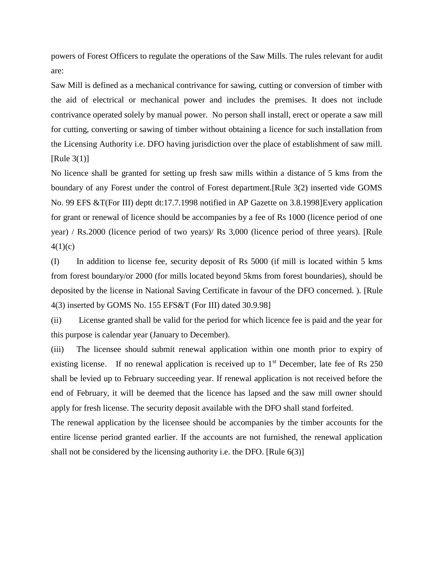powers of Forest Officers to regulate the operations of the Saw Mills. The rules relevant for audit are:

Saw Mill is defined as a mechanical contrivance for sawing, cutting or conversion of timber with the aid of electrical or mechanical power and includes the premises. It does not include contrivance operated solely by manual power. No person shall install, erect or operate a saw mill for cutting, converting or sawing of timber without obtaining a licence for such installation from the Licensing Authority i.e. DFO having jurisdiction over the place of establishment of saw mill. [Rule  $3(1)$ ]

No licence shall be granted for setting up fresh saw mills within a distance of 5 kms from the boundary of any Forest under the control of Forest department.[Rule 3(2) inserted vide GOMS No. 99 EFS &T(For III) deptt dt:17.7.1998 notified in AP Gazette on 3.8.1998]Every application for grant or renewal of licence should be accompanies by a fee of Rs 1000 (licence period of one year) / Rs.2000 (licence period of two years)/ Rs 3,000 (licence period of three years). [Rule  $4(1)(c)$ 

(I) In addition to license fee, security deposit of Rs 5000 (if mill is located within 5 kms from forest boundary/or 2000 (for mills located beyond 5kms from forest boundaries), should be deposited by the license in National Saving Certificate in favour of the DFO concerned. ). [Rule 4(3) inserted by GOMS No. 155 EFS&T (For III) dated 30.9.98]

(ii) License granted shall be valid for the period for which licence fee is paid and the year for this purpose is calendar year (January to December).

(iii) The licensee should submit renewal application within one month prior to expiry of existing license. If no renewal application is received up to  $1<sup>st</sup>$  December, late fee of Rs 250 shall be levied up to February succeeding year. If renewal application is not received before the end of February, it will be deemed that the licence has lapsed and the saw mill owner should apply for fresh license. The security deposit available with the DFO shall stand forfeited.

The renewal application by the licensee should be accompanies by the timber accounts for the entire license period granted earlier. If the accounts are not furnished, the renewal application shall not be considered by the licensing authority i.e. the DFO. [Rule 6(3)]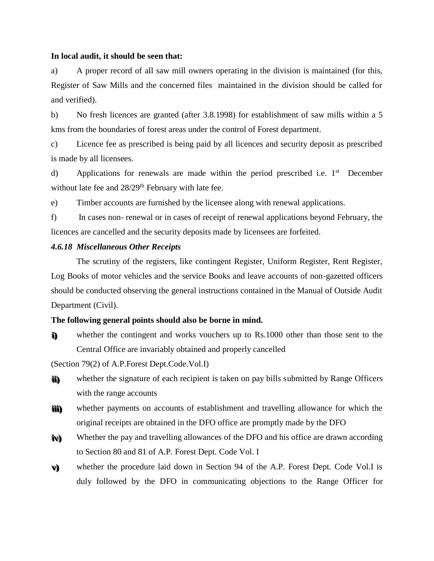#### **In local audit, it should be seen that:**

a) A proper record of all saw mill owners operating in the division is maintained (for this, Register of Saw Mills and the concerned files maintained in the division should be called for and verified).

b) No fresh licences are granted (after 3.8.1998) for establishment of saw mills within a 5 kms from the boundaries of forest areas under the control of Forest department.

c) Licence fee as prescribed is being paid by all licences and security deposit as prescribed is made by all licensees.

d) Applications for renewals are made within the period prescribed i.e. 1<sup>st</sup> December without late fee and  $28/29$ <sup>th</sup> February with late fee.

e) Timber accounts are furnished by the licensee along with renewal applications.

f) In cases non- renewal or in cases of receipt of renewal applications beyond February, the licences are cancelled and the security deposits made by licensees are forfeited.

# *4.6.18 Miscellaneous Other Receipts*

The scrutiny of the registers, like contingent Register, Uniform Register, Rent Register, Log Books of motor vehicles and the service Books and leave accounts of non-gazetted officers should be conducted observing the general instructions contained in the Manual of Outside Audit Department (Civil).

#### **The following general points should also be borne in mind.**

**i i ) )** whether the contingent and works vouchers up to Rs.1000 other than those sent to the Central Office are invariably obtained and properly cancelled

(Section 79(2) of A.P.Forest Dept.Code.Vol.I)

- **i i i i ) )** whether the signature of each recipient is taken on pay bills submitted by Range Officers with the range accounts
- **i i i i i i ) )** whether payments on accounts of establishment and travelling allowance for which the original receipts are obtained in the DFO office are promptly made by the DFO
- **i ivv) )** Whether the pay and travelling allowances of the DFO and his office are drawn according to Section 80 and 81 of A.P. Forest Dept. Code Vol. I
- **vv) )** whether the procedure laid down in Section 94 of the A.P. Forest Dept. Code Vol.I is duly followed by the DFO in communicating objections to the Range Officer for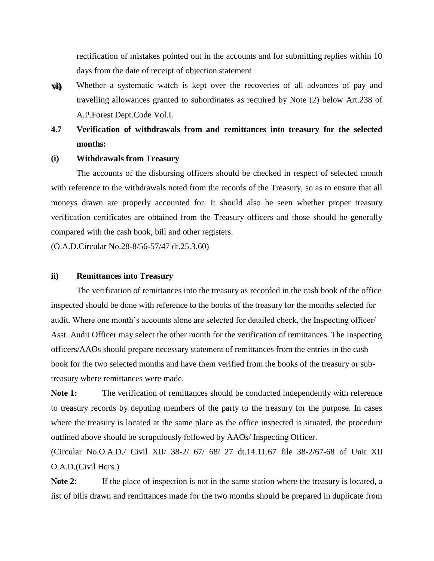rectification of mistakes pointed out in the accounts and for submitting replies within 10 days from the date of receipt of objection statement

**vvi i ) )** Whether a systematic watch is kept over the recoveries of all advances of pay and travelling allowances granted to subordinates as required by Note (2) below Art.238 of A.P.Forest Dept.Code Vol.I.

# **4.7 Verification of withdrawals from and remittances into treasury for the selected months:**

# **(i) Withdrawals from Treasury**

The accounts of the disbursing officers should be checked in respect of selected month with reference to the withdrawals noted from the records of the Treasury, so as to ensure that all moneys drawn are properly accounted for. It should also be seen whether proper treasury verification certificates are obtained from the Treasury officers and those should be generally compared with the cash book, bill and other registers.

(O.A.D.Circular No.28-8/56-57/47 dt.25.3.60)

#### **ii) Remittances into Treasury**

The verification of remittances into the treasury as recorded in the cash book of the office inspected should be done with reference to the books of the treasury for the months selected for audit. Where one month's accounts alone are selected for detailed check, the Inspecting officer/ Asst. Audit Officer may select the other month for the verification of remittances. The Inspecting officers/AAOs should prepare necessary statement of remittances from the entries in the cash book for the two selected months and have them verified from the books of the treasury or subtreasury where remittances were made.

Note 1: The verification of remittances should be conducted independently with reference to treasury records by deputing members of the party to the treasury for the purpose. In cases where the treasury is located at the same place as the office inspected is situated, the procedure outlined above should be scrupulously followed by AAOs/ Inspecting Officer.

(Circular No.O.A.D./ Civil XII/ 38-2/ 67/ 68/ 27 dt.14.11.67 file 38-2/67-68 of Unit XII O.A.D.(Civil Hqrs.)

Note 2: If the place of inspection is not in the same station where the treasury is located, a list of bills drawn and remittances made for the two months should be prepared in duplicate from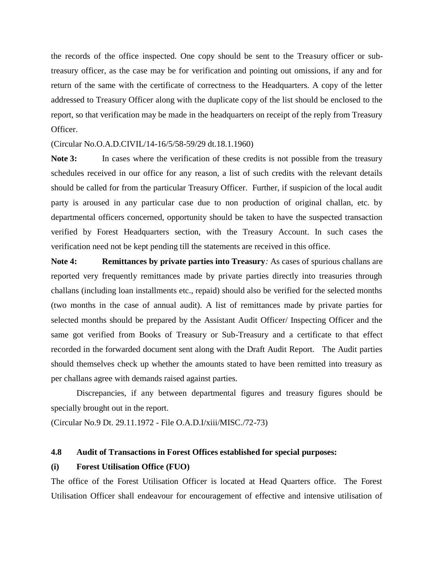the records of the office inspected. One copy should be sent to the Treasury officer or subtreasury officer, as the case may be for verification and pointing out omissions, if any and for return of the same with the certificate of correctness to the Headquarters. A copy of the letter addressed to Treasury Officer along with the duplicate copy of the list should be enclosed to the report, so that verification may be made in the headquarters on receipt of the reply from Treasury Officer.

(Circular No.O.A.D.CIVIL/14-16/5/58-59/29 dt.18.1.1960)

Note 3: In cases where the verification of these credits is not possible from the treasury schedules received in our office for any reason, a list of such credits with the relevant details should be called for from the particular Treasury Officer. Further, if suspicion of the local audit party is aroused in any particular case due to non production of original challan, etc. by departmental officers concerned, opportunity should be taken to have the suspected transaction verified by Forest Headquarters section, with the Treasury Account. In such cases the verification need not be kept pending till the statements are received in this office.

**Note 4: Remittances by private parties into Treasury***:* As cases of spurious challans are reported very frequently remittances made by private parties directly into treasuries through challans (including loan installments etc., repaid) should also be verified for the selected months (two months in the case of annual audit). A list of remittances made by private parties for selected months should be prepared by the Assistant Audit Officer/ Inspecting Officer and the same got verified from Books of Treasury or Sub-Treasury and a certificate to that effect recorded in the forwarded document sent along with the Draft Audit Report. The Audit parties should themselves check up whether the amounts stated to have been remitted into treasury as per challans agree with demands raised against parties.

Discrepancies, if any between departmental figures and treasury figures should be specially brought out in the report.

(Circular No.9 Dt. 29.11.1972 - File O.A.D.I/xiii/MISC./72-73)

#### **4.8 Audit of Transactions in Forest Offices established for special purposes:**

#### **(i) Forest Utilisation Office (FUO)**

The office of the Forest Utilisation Officer is located at Head Quarters office. The Forest Utilisation Officer shall endeavour for encouragement of effective and intensive utilisation of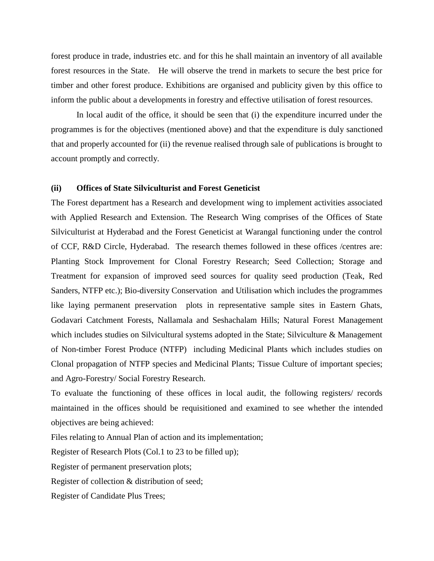forest produce in trade, industries etc. and for this he shall maintain an inventory of all available forest resources in the State. He will observe the trend in markets to secure the best price for timber and other forest produce. Exhibitions are organised and publicity given by this office to inform the public about a developments in forestry and effective utilisation of forest resources.

In local audit of the office, it should be seen that (i) the expenditure incurred under the programmes is for the objectives (mentioned above) and that the expenditure is duly sanctioned that and properly accounted for (ii) the revenue realised through sale of publications is brought to account promptly and correctly.

#### **(ii) Offices of State Silviculturist and Forest Geneticist**

The Forest department has a Research and development wing to implement activities associated with Applied Research and Extension. The Research Wing comprises of the Offices of State Silviculturist at Hyderabad and the Forest Geneticist at Warangal functioning under the control of CCF, R&D Circle, Hyderabad. The research themes followed in these offices /centres are: Planting Stock Improvement for Clonal Forestry Research; Seed Collection; Storage and Treatment for expansion of improved seed sources for quality seed production (Teak, Red Sanders, NTFP etc.); Bio-diversity Conservation and Utilisation which includes the programmes like laying permanent preservation plots in representative sample sites in Eastern Ghats, Godavari Catchment Forests, Nallamala and Seshachalam Hills; Natural Forest Management which includes studies on Silvicultural systems adopted in the State; Silviculture & Management of Non-timber Forest Produce (NTFP) including Medicinal Plants which includes studies on Clonal propagation of NTFP species and Medicinal Plants; Tissue Culture of important species; and Agro-Forestry/ Social Forestry Research.

To evaluate the functioning of these offices in local audit, the following registers/ records maintained in the offices should be requisitioned and examined to see whether the intended objectives are being achieved:

Files relating to Annual Plan of action and its implementation;

Register of Research Plots (Col.1 to 23 to be filled up);

Register of permanent preservation plots;

Register of collection & distribution of seed;

Register of Candidate Plus Trees;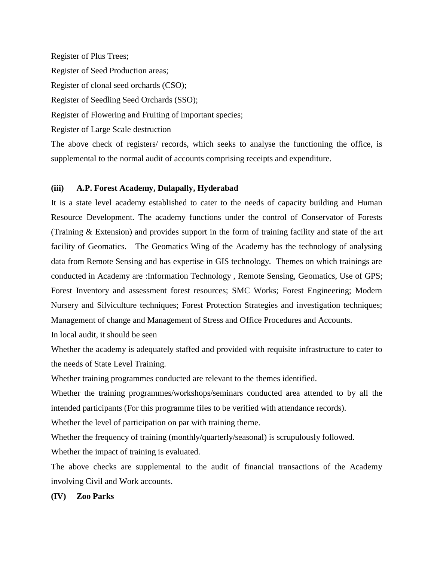Register of Plus Trees;

Register of Seed Production areas;

Register of clonal seed orchards (CSO);

Register of Seedling Seed Orchards (SSO);

Register of Flowering and Fruiting of important species;

Register of Large Scale destruction

The above check of registers/ records, which seeks to analyse the functioning the office, is supplemental to the normal audit of accounts comprising receipts and expenditure.

# **(iii) A.P. Forest Academy, Dulapally, Hyderabad**

It is a state level academy established to cater to the needs of capacity building and Human Resource Development. The academy functions under the control of Conservator of Forests (Training & Extension) and provides support in the form of training facility and state of the art facility of Geomatics. The Geomatics Wing of the Academy has the technology of analysing data from Remote Sensing and has expertise in GIS technology. Themes on which trainings are conducted in Academy are :Information Technology , Remote Sensing, Geomatics, Use of GPS; Forest Inventory and assessment forest resources; SMC Works; Forest Engineering; Modern Nursery and Silviculture techniques; Forest Protection Strategies and investigation techniques; Management of change and Management of Stress and Office Procedures and Accounts.

In local audit, it should be seen

Whether the academy is adequately staffed and provided with requisite infrastructure to cater to the needs of State Level Training.

Whether training programmes conducted are relevant to the themes identified.

Whether the training programmes/workshops/seminars conducted area attended to by all the intended participants (For this programme files to be verified with attendance records).

Whether the level of participation on par with training theme.

Whether the frequency of training (monthly/quarterly/seasonal) is scrupulously followed.

Whether the impact of training is evaluated.

The above checks are supplemental to the audit of financial transactions of the Academy involving Civil and Work accounts.

# **(IV) Zoo Parks**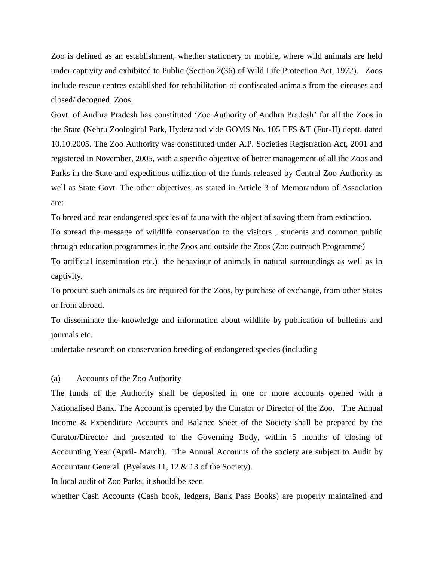Zoo is defined as an establishment, whether stationery or mobile, where wild animals are held under captivity and exhibited to Public (Section 2(36) of Wild Life Protection Act, 1972). Zoos include rescue centres established for rehabilitation of confiscated animals from the circuses and closed/ decogned Zoos.

Govt. of Andhra Pradesh has constituted 'Zoo Authority of Andhra Pradesh' for all the Zoos in the State (Nehru Zoological Park, Hyderabad vide GOMS No. 105 EFS &T (For-II) deptt. dated 10.10.2005. The Zoo Authority was constituted under A.P. Societies Registration Act, 2001 and registered in November, 2005, with a specific objective of better management of all the Zoos and Parks in the State and expeditious utilization of the funds released by Central Zoo Authority as well as State Govt. The other objectives, as stated in Article 3 of Memorandum of Association are:

To breed and rear endangered species of fauna with the object of saving them from extinction.

To spread the message of wildlife conservation to the visitors , students and common public through education programmes in the Zoos and outside the Zoos (Zoo outreach Programme)

To artificial insemination etc.) the behaviour of animals in natural surroundings as well as in captivity.

To procure such animals as are required for the Zoos, by purchase of exchange, from other States or from abroad.

To disseminate the knowledge and information about wildlife by publication of bulletins and journals etc.

undertake research on conservation breeding of endangered species (including

#### (a) Accounts of the Zoo Authority

The funds of the Authority shall be deposited in one or more accounts opened with a Nationalised Bank. The Account is operated by the Curator or Director of the Zoo. The Annual Income & Expenditure Accounts and Balance Sheet of the Society shall be prepared by the Curator/Director and presented to the Governing Body, within 5 months of closing of Accounting Year (April- March). The Annual Accounts of the society are subject to Audit by Accountant General (Byelaws 11, 12 & 13 of the Society).

In local audit of Zoo Parks, it should be seen

whether Cash Accounts (Cash book, ledgers, Bank Pass Books) are properly maintained and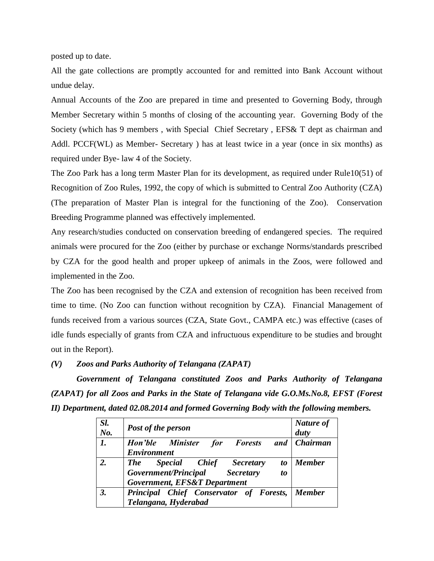posted up to date.

All the gate collections are promptly accounted for and remitted into Bank Account without undue delay.

Annual Accounts of the Zoo are prepared in time and presented to Governing Body, through Member Secretary within 5 months of closing of the accounting year. Governing Body of the Society (which has 9 members , with Special Chief Secretary , EFS& T dept as chairman and Addl. PCCF(WL) as Member- Secretary ) has at least twice in a year (once in six months) as required under Bye- law 4 of the Society.

The Zoo Park has a long term Master Plan for its development, as required under Rule10(51) of Recognition of Zoo Rules, 1992, the copy of which is submitted to Central Zoo Authority (CZA) (The preparation of Master Plan is integral for the functioning of the Zoo). Conservation Breeding Programme planned was effectively implemented.

Any research/studies conducted on conservation breeding of endangered species. The required animals were procured for the Zoo (either by purchase or exchange Norms/standards prescribed by CZA for the good health and proper upkeep of animals in the Zoos, were followed and implemented in the Zoo.

The Zoo has been recognised by the CZA and extension of recognition has been received from time to time. (No Zoo can function without recognition by CZA). Financial Management of funds received from a various sources (CZA, State Govt., CAMPA etc.) was effective (cases of idle funds especially of grants from CZA and infructuous expenditure to be studies and brought out in the Report).

*(V) Zoos and Parks Authority of Telangana (ZAPAT)*

*Government of Telangana constituted Zoos and Parks Authority of Telangana (ZAPAT) for all Zoos and Parks in the State of Telangana vide G.O.Ms.No.8, EFST (Forest II) Department, dated 02.08.2014 and formed Governing Body with the following members.*

| Sl.<br>No.     | <b>Post of the person</b>                                                                                                              | Nature of<br>duty |
|----------------|----------------------------------------------------------------------------------------------------------------------------------------|-------------------|
| $\mathbf{I}$ . | Hon'ble Minister for Forests and<br><b>Environment</b>                                                                                 | <b>Chairman</b>   |
| 2.             | Special Chief Secretary<br><b>The</b><br>t <sub>0</sub><br>Government/Principal Secretary<br><i>to</i><br>Government, EFS&T Department | <b>Member</b>     |
| 3.             | Principal Chief Conservator of Forests, Member<br>Telangana, Hyderabad                                                                 |                   |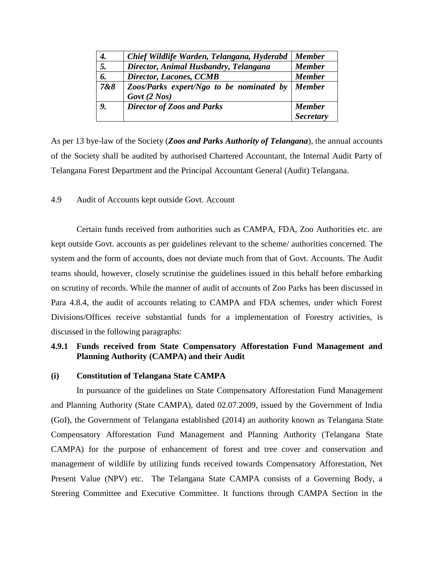| 4.  | Chief Wildlife Warden, Telangana, Hyderabd                    | <b>Member</b>    |
|-----|---------------------------------------------------------------|------------------|
| 5.  | Director, Animal Husbandry, Telangana                         | <b>Member</b>    |
| 6.  | <b>Director, Lacones, CCMB</b>                                | <b>Member</b>    |
| 7&8 | Zoos/Parks expert/Ngo to be nominated by<br>$Govt$ (2 $Nos$ ) | <b>Member</b>    |
| 9.  | <b>Director of Zoos and Parks</b>                             | <b>Member</b>    |
|     |                                                               | <b>Secretary</b> |

As per 13 bye-law of the Society (*Zoos and Parks Authority of Telangana*), the annual accounts of the Society shall be audited by authorised Chartered Accountant, the Internal Audit Party of Telangana Forest Department and the Principal Accountant General (Audit) Telangana.

4.9 Audit of Accounts kept outside Govt. Account

Certain funds received from authorities such as CAMPA, FDA, Zoo Authorities etc. are kept outside Govt. accounts as per guidelines relevant to the scheme/ authorities concerned. The system and the form of accounts, does not deviate much from that of Govt. Accounts. The Audit teams should, however, closely scrutinise the guidelines issued in this behalf before embarking on scrutiny of records. While the manner of audit of accounts of Zoo Parks has been discussed in Para 4.8.4, the audit of accounts relating to CAMPA and FDA schemes, under which Forest Divisions/Offices receive substantial funds for a implementation of Forestry activities, is discussed in the following paragraphs:

# **4.9.1 Funds received from State Compensatory Afforestation Fund Management and Planning Authority (CAMPA) and their Audit**

#### **(i) Constitution of Telangana State CAMPA**

In pursuance of the guidelines on State Compensatory Afforestation Fund Management and Planning Authority (State CAMPA), dated 02.07.2009, issued by the Government of India (GoI), the Government of Telangana established (2014) an authority known as Telangana State Compensatory Afforestation Fund Management and Planning Authority (Telangana State CAMPA) for the purpose of enhancement of forest and tree cover and conservation and management of wildlife by utilizing funds received towards Compensatory Afforestation, Net Present Value (NPV) etc. The Telangana State CAMPA consists of a Governing Body, a Steering Committee and Executive Committee. It functions through CAMPA Section in the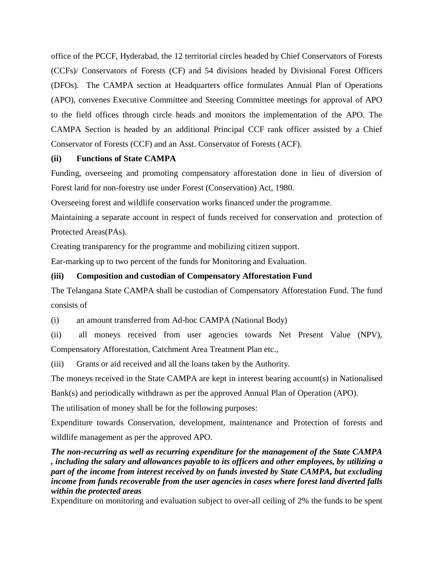office of the PCCF, Hyderabad, the 12 territorial circles headed by Chief Conservators of Forests (CCFs)/ Conservators of Forests (CF) and 54 divisions headed by Divisional Forest Officers (DFOs). The CAMPA section at Headquarters office formulates Annual Plan of Operations (APO), convenes Executive Committee and Steering Committee meetings for approval of APO to the field offices through circle heads and monitors the implementation of the APO. The CAMPA Section is headed by an additional Principal CCF rank officer assisted by a Chief Conservator of Forests (CCF) and an Asst. Conservator of Forests (ACF).

# **(ii) Functions of State CAMPA**

Funding, overseeing and promoting compensatory afforestation done in lieu of diversion of Forest land for non-forestry use under Forest (Conservation) Act, 1980.

Overseeing forest and wildlife conservation works financed under the programme.

Maintaining a separate account in respect of funds received for conservation and protection of Protected Areas(PAs).

Creating transparency for the programme and mobilizing citizen support.

Ear-marking up to two percent of the funds for Monitoring and Evaluation.

#### **(iii) Composition and custodian of Compensatory Afforestation Fund**

The Telangana State CAMPA shall be custodian of Compensatory Afforestation Fund. The fund consists of

(i) an amount transferred from Ad-hoc CAMPA (National Body)

(ii) all moneys received from user agencies towards Net Present Value (NPV), Compensatory Afforestation, Catchment Area Treatment Plan etc.,

(iii) Grants or aid received and all the loans taken by the Authority.

The moneys received in the State CAMPA are kept in interest bearing account(s) in Nationalised

Bank(s) and periodically withdrawn as per the approved Annual Plan of Operation (APO).

The utilisation of money shall be for the following purposes:

Expenditure towards Conservation, development, maintenance and Protection of forests and wildlife management as per the approved APO.

*The non-recurring as well as recurring expenditure for the management of the State CAMPA , including the salary and allowances payable to its officers and other employees, by utilizing a part of the income from interest received by on funds invested by State CAMPA, but excluding income from funds recoverable from the user agencies in cases where forest land diverted falls within the protected areas*

Expenditure on monitoring and evaluation subject to over-all ceiling of 2% the funds to be spent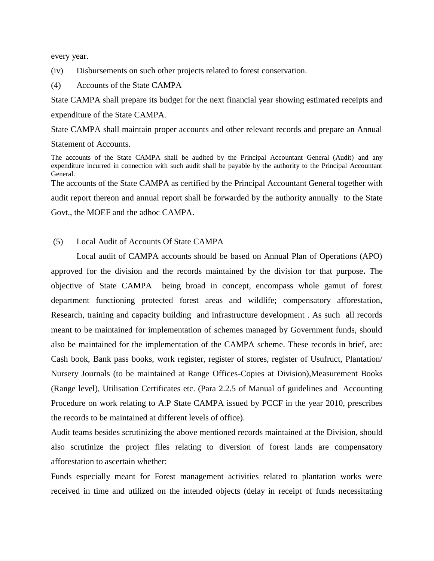every year.

(iv) Disbursements on such other projects related to forest conservation.

(4) Accounts of the State CAMPA

State CAMPA shall prepare its budget for the next financial year showing estimated receipts and expenditure of the State CAMPA.

State CAMPA shall maintain proper accounts and other relevant records and prepare an Annual Statement of Accounts.

The accounts of the State CAMPA shall be audited by the Principal Accountant General (Audit) and any expenditure incurred in connection with such audit shall be payable by the authority to the Principal Accountant General. The accounts of the State CAMPA as certified by the Principal Accountant General together with audit report thereon and annual report shall be forwarded by the authority annually to the State Govt., the MOEF and the adhoc CAMPA.

(5) Local Audit of Accounts Of State CAMPA

Local audit of CAMPA accounts should be based on Annual Plan of Operations (APO) approved for the division and the records maintained by the division for that purpose**.** The objective of State CAMPA being broad in concept, encompass whole gamut of forest department functioning protected forest areas and wildlife; compensatory afforestation, Research, training and capacity building and infrastructure development . As such all records meant to be maintained for implementation of schemes managed by Government funds, should also be maintained for the implementation of the CAMPA scheme. These records in brief, are: Cash book, Bank pass books, work register, register of stores, register of Usufruct, Plantation/ Nursery Journals (to be maintained at Range Offices-Copies at Division),Measurement Books (Range level), Utilisation Certificates etc. (Para 2.2.5 of Manual of guidelines and Accounting Procedure on work relating to A.P State CAMPA issued by PCCF in the year 2010, prescribes the records to be maintained at different levels of office).

Audit teams besides scrutinizing the above mentioned records maintained at the Division, should also scrutinize the project files relating to diversion of forest lands are compensatory afforestation to ascertain whether:

Funds especially meant for Forest management activities related to plantation works were received in time and utilized on the intended objects (delay in receipt of funds necessitating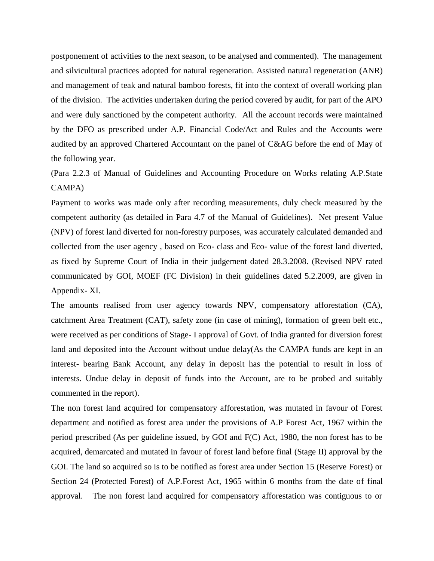postponement of activities to the next season, to be analysed and commented). The management and silvicultural practices adopted for natural regeneration. Assisted natural regeneration (ANR) and management of teak and natural bamboo forests, fit into the context of overall working plan of the division. The activities undertaken during the period covered by audit, for part of the APO and were duly sanctioned by the competent authority. All the account records were maintained by the DFO as prescribed under A.P. Financial Code/Act and Rules and the Accounts were audited by an approved Chartered Accountant on the panel of C&AG before the end of May of the following year.

# (Para 2.2.3 of Manual of Guidelines and Accounting Procedure on Works relating A.P.State CAMPA)

Payment to works was made only after recording measurements, duly check measured by the competent authority (as detailed in Para 4.7 of the Manual of Guidelines). Net present Value (NPV) of forest land diverted for non-forestry purposes, was accurately calculated demanded and collected from the user agency , based on Eco- class and Eco- value of the forest land diverted, as fixed by Supreme Court of India in their judgement dated 28.3.2008. (Revised NPV rated communicated by GOI, MOEF (FC Division) in their guidelines dated 5.2.2009, are given in Appendix- XI.

The amounts realised from user agency towards NPV, compensatory afforestation (CA), catchment Area Treatment (CAT), safety zone (in case of mining), formation of green belt etc., were received as per conditions of Stage- I approval of Govt. of India granted for diversion forest land and deposited into the Account without undue delay(As the CAMPA funds are kept in an interest- bearing Bank Account, any delay in deposit has the potential to result in loss of interests. Undue delay in deposit of funds into the Account, are to be probed and suitably commented in the report).

The non forest land acquired for compensatory afforestation, was mutated in favour of Forest department and notified as forest area under the provisions of A.P Forest Act, 1967 within the period prescribed (As per guideline issued, by GOI and F(C) Act, 1980, the non forest has to be acquired, demarcated and mutated in favour of forest land before final (Stage II) approval by the GOI. The land so acquired so is to be notified as forest area under Section 15 (Reserve Forest) or Section 24 (Protected Forest) of A.P.Forest Act, 1965 within 6 months from the date of final approval. The non forest land acquired for compensatory afforestation was contiguous to or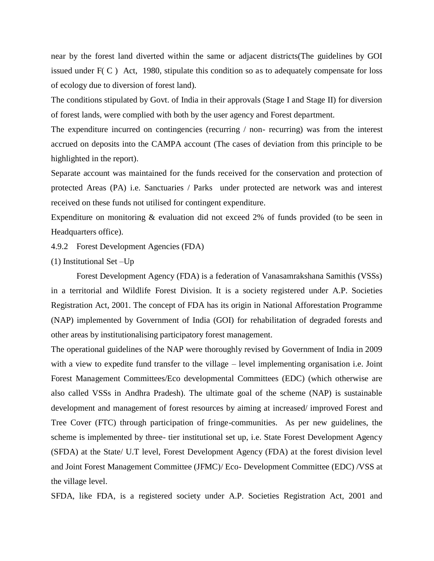near by the forest land diverted within the same or adjacent districts(The guidelines by GOI issued under  $F(C)$  Act, 1980, stipulate this condition so as to adequately compensate for loss of ecology due to diversion of forest land).

The conditions stipulated by Govt. of India in their approvals (Stage I and Stage II) for diversion of forest lands, were complied with both by the user agency and Forest department.

The expenditure incurred on contingencies (recurring / non- recurring) was from the interest accrued on deposits into the CAMPA account (The cases of deviation from this principle to be highlighted in the report).

Separate account was maintained for the funds received for the conservation and protection of protected Areas (PA) i.e. Sanctuaries / Parks under protected are network was and interest received on these funds not utilised for contingent expenditure.

Expenditure on monitoring & evaluation did not exceed 2% of funds provided (to be seen in Headquarters office).

4.9.2 Forest Development Agencies (FDA)

(1) Institutional Set –Up

Forest Development Agency (FDA) is a federation of Vanasamrakshana Samithis (VSSs) in a territorial and Wildlife Forest Division. It is a society registered under A.P. Societies Registration Act, 2001. The concept of FDA has its origin in National Afforestation Programme (NAP) implemented by Government of India (GOI) for rehabilitation of degraded forests and other areas by institutionalising participatory forest management.

The operational guidelines of the NAP were thoroughly revised by Government of India in 2009 with a view to expedite fund transfer to the village – level implementing organisation i.e. Joint Forest Management Committees/Eco developmental Committees (EDC) (which otherwise are also called VSSs in Andhra Pradesh). The ultimate goal of the scheme (NAP) is sustainable development and management of forest resources by aiming at increased/ improved Forest and Tree Cover (FTC) through participation of fringe-communities. As per new guidelines, the scheme is implemented by three- tier institutional set up, i.e. State Forest Development Agency (SFDA) at the State/ U.T level, Forest Development Agency (FDA) at the forest division level and Joint Forest Management Committee (JFMC)/ Eco- Development Committee (EDC) /VSS at the village level.

SFDA, like FDA, is a registered society under A.P. Societies Registration Act, 2001 and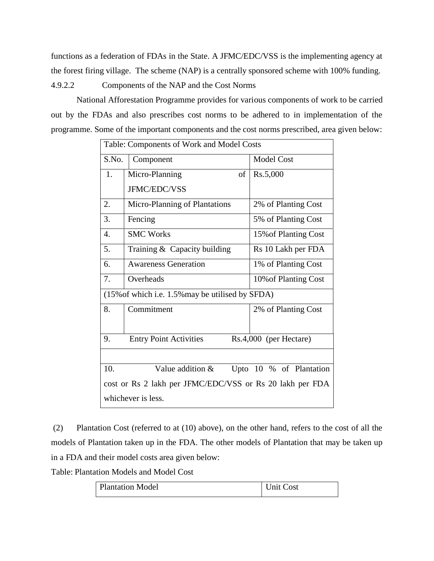functions as a federation of FDAs in the State. A JFMC/EDC/VSS is the implementing agency at the forest firing village. The scheme (NAP) is a centrally sponsored scheme with 100% funding.

4.9.2.2 Components of the NAP and the Cost Norms

National Afforestation Programme provides for various components of work to be carried out by the FDAs and also prescribes cost norms to be adhered to in implementation of the programme. Some of the important components and the cost norms prescribed, area given below:

| Table: Components of Work and Model Costs                     |                                                      |                         |
|---------------------------------------------------------------|------------------------------------------------------|-------------------------|
| S.No.                                                         | Component                                            | <b>Model Cost</b>       |
| 1.                                                            | Micro-Planning<br>οf                                 | Rs.5,000                |
|                                                               | <b>JFMC/EDC/VSS</b>                                  |                         |
| 2.                                                            | Micro-Planning of Plantations                        | 2% of Planting Cost     |
| 3.                                                            | Fencing                                              | 5% of Planting Cost     |
| $\overline{4}$ .                                              | <b>SMC Works</b><br>15% of Planting Cost             |                         |
| 5.                                                            | Training $&$ Capacity building<br>Rs 10 Lakh per FDA |                         |
| б.                                                            | <b>Awareness Generation</b>                          | 1% of Planting Cost     |
| 7.                                                            | Overheads<br>10% of Planting Cost                    |                         |
|                                                               | (15% of which i.e. 1.5% may be utilised by SFDA)     |                         |
| 8.                                                            | Commitment                                           | 2% of Planting Cost     |
|                                                               |                                                      |                         |
| 9.<br><b>Entry Point Activities</b><br>Rs.4,000 (per Hectare) |                                                      |                         |
|                                                               |                                                      |                         |
| 10.                                                           | Value addition $\&$                                  | Upto 10 % of Plantation |
| cost or Rs 2 lakh per JFMC/EDC/VSS or Rs 20 lakh per FDA      |                                                      |                         |
| whichever is less.                                            |                                                      |                         |

(2) Plantation Cost (referred to at (10) above), on the other hand, refers to the cost of all the models of Plantation taken up in the FDA. The other models of Plantation that may be taken up in a FDA and their model costs area given below:

Table: Plantation Models and Model Cost

| Unit Cost<br><b>Plantation Model</b> |  |
|--------------------------------------|--|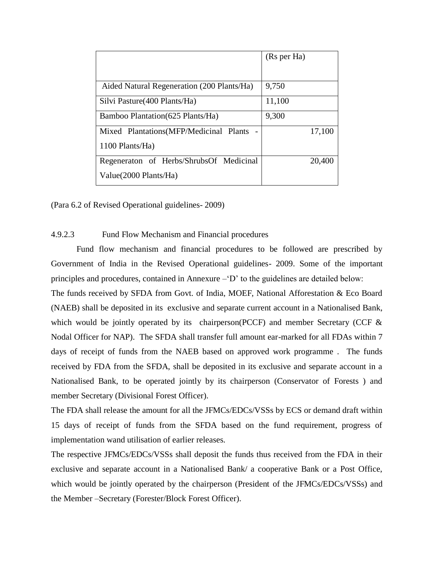|                                            | (Rs per Ha) |
|--------------------------------------------|-------------|
|                                            |             |
| Aided Natural Regeneration (200 Plants/Ha) | 9,750       |
| Silvi Pasture (400 Plants/Ha)              | 11,100      |
| Bamboo Plantation (625 Plants/Ha)          | 9,300       |
| Mixed Plantations (MFP/Medicinal Plants    | 17,100      |
| 1100 Plants/Ha)                            |             |
| Regeneraton of Herbs/ShrubsOf Medicinal    | 20,400      |
| Value (2000 Plants/Ha)                     |             |

(Para 6.2 of Revised Operational guidelines- 2009)

#### 4.9.2.3 Fund Flow Mechanism and Financial procedures

Fund flow mechanism and financial procedures to be followed are prescribed by Government of India in the Revised Operational guidelines- 2009. Some of the important principles and procedures, contained in Annexure –'D' to the guidelines are detailed below:

The funds received by SFDA from Govt. of India, MOEF, National Afforestation & Eco Board (NAEB) shall be deposited in its exclusive and separate current account in a Nationalised Bank, which would be jointly operated by its chairperson(PCCF) and member Secretary (CCF  $\&$ Nodal Officer for NAP). The SFDA shall transfer full amount ear-marked for all FDAs within 7 days of receipt of funds from the NAEB based on approved work programme . The funds received by FDA from the SFDA, shall be deposited in its exclusive and separate account in a Nationalised Bank, to be operated jointly by its chairperson (Conservator of Forests ) and member Secretary (Divisional Forest Officer).

The FDA shall release the amount for all the JFMCs/EDCs/VSSs by ECS or demand draft within 15 days of receipt of funds from the SFDA based on the fund requirement, progress of implementation wand utilisation of earlier releases.

The respective JFMCs/EDCs/VSSs shall deposit the funds thus received from the FDA in their exclusive and separate account in a Nationalised Bank/ a cooperative Bank or a Post Office, which would be jointly operated by the chairperson (President of the JFMCs/EDCs/VSSs) and the Member –Secretary (Forester/Block Forest Officer).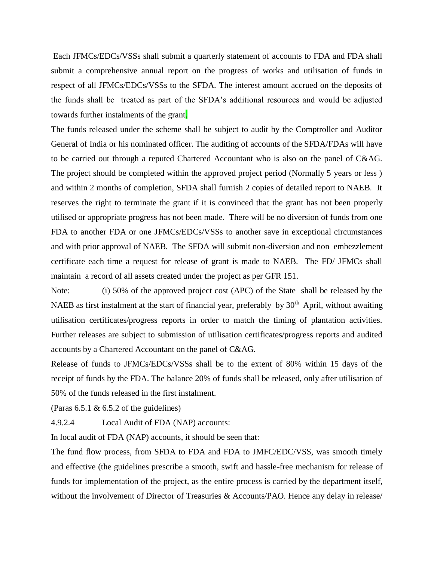Each JFMCs/EDCs/VSSs shall submit a quarterly statement of accounts to FDA and FDA shall submit a comprehensive annual report on the progress of works and utilisation of funds in respect of all JFMCs/EDCs/VSSs to the SFDA. The interest amount accrued on the deposits of the funds shall be treated as part of the SFDA's additional resources and would be adjusted towards further instalments of the grant.

The funds released under the scheme shall be subject to audit by the Comptroller and Auditor General of India or his nominated officer. The auditing of accounts of the SFDA/FDAs will have to be carried out through a reputed Chartered Accountant who is also on the panel of C&AG. The project should be completed within the approved project period (Normally 5 years or less ) and within 2 months of completion, SFDA shall furnish 2 copies of detailed report to NAEB. It reserves the right to terminate the grant if it is convinced that the grant has not been properly utilised or appropriate progress has not been made. There will be no diversion of funds from one FDA to another FDA or one JFMCs/EDCs/VSSs to another save in exceptional circumstances and with prior approval of NAEB. The SFDA will submit non-diversion and non–embezzlement certificate each time a request for release of grant is made to NAEB. The FD/ JFMCs shall maintain a record of all assets created under the project as per GFR 151.

Note: (i) 50% of the approved project cost (APC) of the State shall be released by the NAEB as first instalment at the start of financial year, preferably by  $30<sup>th</sup>$  April, without awaiting utilisation certificates/progress reports in order to match the timing of plantation activities. Further releases are subject to submission of utilisation certificates/progress reports and audited accounts by a Chartered Accountant on the panel of C&AG.

Release of funds to JFMCs/EDCs/VSSs shall be to the extent of 80% within 15 days of the receipt of funds by the FDA. The balance 20% of funds shall be released, only after utilisation of 50% of the funds released in the first instalment.

(Paras  $6.5.1 \& 6.5.2$  of the guidelines)

4.9.2.4 Local Audit of FDA (NAP) accounts:

In local audit of FDA (NAP) accounts, it should be seen that:

The fund flow process, from SFDA to FDA and FDA to JMFC/EDC/VSS, was smooth timely and effective (the guidelines prescribe a smooth, swift and hassle-free mechanism for release of funds for implementation of the project, as the entire process is carried by the department itself, without the involvement of Director of Treasuries & Accounts/PAO. Hence any delay in release/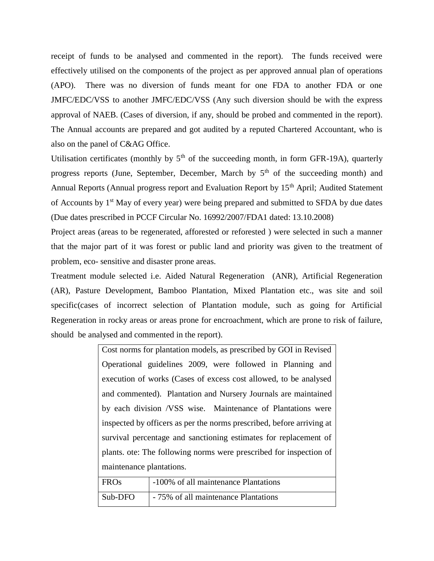receipt of funds to be analysed and commented in the report). The funds received were effectively utilised on the components of the project as per approved annual plan of operations (APO). There was no diversion of funds meant for one FDA to another FDA or one JMFC/EDC/VSS to another JMFC/EDC/VSS (Any such diversion should be with the express approval of NAEB. (Cases of diversion, if any, should be probed and commented in the report). The Annual accounts are prepared and got audited by a reputed Chartered Accountant, who is also on the panel of C&AG Office.

Utilisation certificates (monthly by  $5<sup>th</sup>$  of the succeeding month, in form GFR-19A), quarterly progress reports (June, September, December, March by  $5<sup>th</sup>$  of the succeeding month) and Annual Reports (Annual progress report and Evaluation Report by 15<sup>th</sup> April; Audited Statement of Accounts by 1<sup>st</sup> May of every year) were being prepared and submitted to SFDA by due dates (Due dates prescribed in PCCF Circular No. 16992/2007/FDA1 dated: 13.10.2008)

Project areas (areas to be regenerated, afforested or reforested ) were selected in such a manner that the major part of it was forest or public land and priority was given to the treatment of problem, eco- sensitive and disaster prone areas.

Treatment module selected i.e. Aided Natural Regeneration (ANR), Artificial Regeneration (AR), Pasture Development, Bamboo Plantation, Mixed Plantation etc., was site and soil specific(cases of incorrect selection of Plantation module, such as going for Artificial Regeneration in rocky areas or areas prone for encroachment, which are prone to risk of failure, should be analysed and commented in the report).

| Cost norms for plantation models, as prescribed by GOI in Revised     |
|-----------------------------------------------------------------------|
| Operational guidelines 2009, were followed in Planning and            |
| execution of works (Cases of excess cost allowed, to be analysed      |
| and commented). Plantation and Nursery Journals are maintained        |
| by each division /VSS wise. Maintenance of Plantations were           |
| inspected by officers as per the norms prescribed, before arriving at |
| survival percentage and sanctioning estimates for replacement of      |
| plants, ote: The following norms were prescribed for inspection of    |
| maintenance plantations.                                              |
|                                                                       |

| <b>FROs</b> | -100% of all maintenance Plantations |
|-------------|--------------------------------------|
| Sub-DFO     | - 75% of all maintenance Plantations |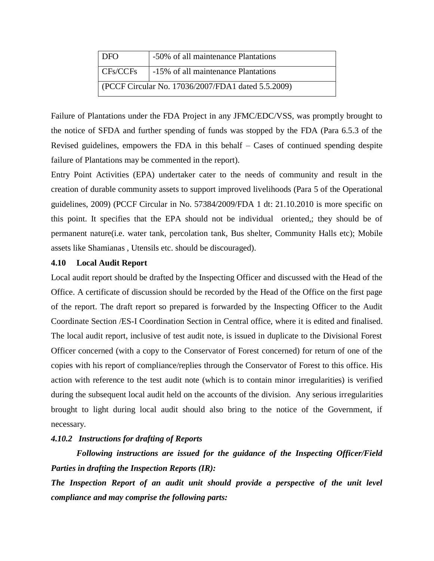| <b>DFO</b>                                         | -50% of all maintenance Plantations |  |
|----------------------------------------------------|-------------------------------------|--|
| CFs/CCFs                                           | -15% of all maintenance Plantations |  |
| (PCCF Circular No. 17036/2007/FDA1 dated 5.5.2009) |                                     |  |

Failure of Plantations under the FDA Project in any JFMC/EDC/VSS, was promptly brought to the notice of SFDA and further spending of funds was stopped by the FDA (Para 6.5.3 of the Revised guidelines, empowers the FDA in this behalf – Cases of continued spending despite failure of Plantations may be commented in the report).

Entry Point Activities (EPA) undertaker cater to the needs of community and result in the creation of durable community assets to support improved livelihoods (Para 5 of the Operational guidelines, 2009) (PCCF Circular in No. 57384/2009/FDA 1 dt: 21.10.2010 is more specific on this point. It specifies that the EPA should not be individual oriented,; they should be of permanent nature(i.e. water tank, percolation tank, Bus shelter, Community Halls etc); Mobile assets like Shamianas , Utensils etc. should be discouraged).

#### **4.10 Local Audit Report**

Local audit report should be drafted by the Inspecting Officer and discussed with the Head of the Office. A certificate of discussion should be recorded by the Head of the Office on the first page of the report. The draft report so prepared is forwarded by the Inspecting Officer to the Audit Coordinate Section /ES-I Coordination Section in Central office, where it is edited and finalised. The local audit report, inclusive of test audit note, is issued in duplicate to the Divisional Forest Officer concerned (with a copy to the Conservator of Forest concerned) for return of one of the copies with his report of compliance/replies through the Conservator of Forest to this office. His action with reference to the test audit note (which is to contain minor irregularities) is verified during the subsequent local audit held on the accounts of the division. Any serious irregularities brought to light during local audit should also bring to the notice of the Government, if necessary.

## *4.10.2 Instructions for drafting of Reports*

*Following instructions are issued for the guidance of the Inspecting Officer/Field Parties in drafting the Inspection Reports (IR):* 

*The Inspection Report of an audit unit should provide a perspective of the unit level compliance and may comprise the following parts:*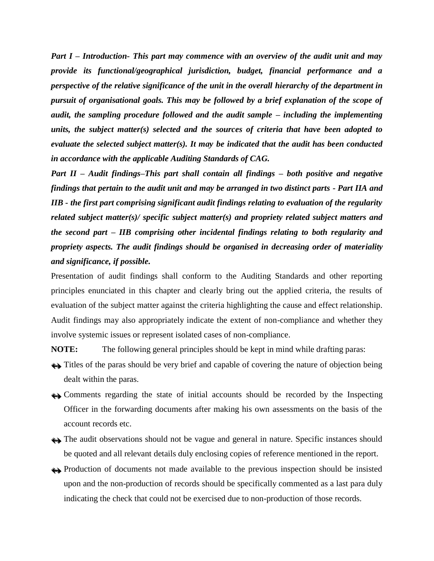*Part I – Introduction- This part may commence with an overview of the audit unit and may provide its functional/geographical jurisdiction, budget, financial performance and a perspective of the relative significance of the unit in the overall hierarchy of the department in pursuit of organisational goals. This may be followed by a brief explanation of the scope of audit, the sampling procedure followed and the audit sample – including the implementing units, the subject matter(s) selected and the sources of criteria that have been adopted to evaluate the selected subject matter(s). It may be indicated that the audit has been conducted in accordance with the applicable Auditing Standards of CAG.* 

*Part II – Audit findings–This part shall contain all findings – both positive and negative findings that pertain to the audit unit and may be arranged in two distinct parts - Part IIA and IIB - the first part comprising significant audit findings relating to evaluation of the regularity related subject matter(s)/ specific subject matter(s) and propriety related subject matters and the second part – IIB comprising other incidental findings relating to both regularity and propriety aspects. The audit findings should be organised in decreasing order of materiality and significance, if possible.* 

Presentation of audit findings shall conform to the Auditing Standards and other reporting principles enunciated in this chapter and clearly bring out the applied criteria, the results of evaluation of the subject matter against the criteria highlighting the cause and effect relationship. Audit findings may also appropriately indicate the extent of non-compliance and whether they involve systemic issues or represent isolated cases of non-compliance.

**NOTE:** The following general principles should be kept in mind while drafting paras:

- $\leftrightarrow$  Titles of the paras should be very brief and capable of covering the nature of objection being dealt within the paras.
- Comments regarding the state of initial accounts should be recorded by the Inspecting Officer in the forwarding documents after making his own assessments on the basis of the account records etc.
- $\leftrightarrow$  The audit observations should not be vague and general in nature. Specific instances should be quoted and all relevant details duly enclosing copies of reference mentioned in the report.
- Production of documents not made available to the previous inspection should be insisted upon and the non-production of records should be specifically commented as a last para duly indicating the check that could not be exercised due to non-production of those records.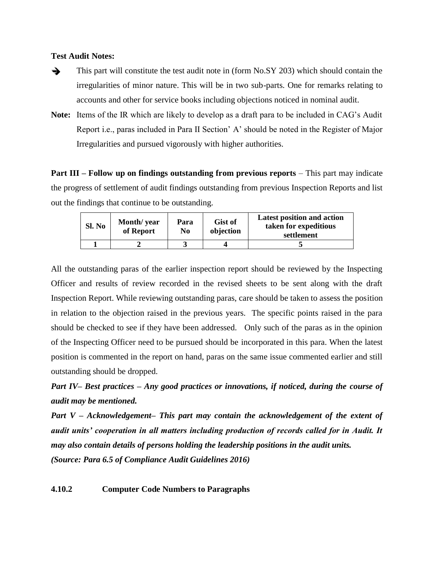#### **Test Audit Notes:**

 $\rightarrow$  This part will constitute the test audit note in (form No.SY 203) which should contain the irregularities of minor nature. This will be in two sub-parts. One for remarks relating to accounts and other for service books including objections noticed in nominal audit.

**Note:** Items of the IR which are likely to develop as a draft para to be included in CAG's Audit Report i.e., paras included in Para II Section' A' should be noted in the Register of Major Irregularities and pursued vigorously with higher authorities.

**Part III – Follow up on findings outstanding from previous reports – This part may indicate** the progress of settlement of audit findings outstanding from previous Inspection Reports and list out the findings that continue to be outstanding.

| Sl. No | Month/year<br>of Report | Para<br>N <sub>0</sub> | <b>Gist of</b><br>objection | <b>Latest position and action</b><br>taken for expeditious<br>settlement |
|--------|-------------------------|------------------------|-----------------------------|--------------------------------------------------------------------------|
|        |                         |                        |                             |                                                                          |

All the outstanding paras of the earlier inspection report should be reviewed by the Inspecting Officer and results of review recorded in the revised sheets to be sent along with the draft Inspection Report. While reviewing outstanding paras, care should be taken to assess the position in relation to the objection raised in the previous years. The specific points raised in the para should be checked to see if they have been addressed. Only such of the paras as in the opinion of the Inspecting Officer need to be pursued should be incorporated in this para. When the latest position is commented in the report on hand, paras on the same issue commented earlier and still outstanding should be dropped.

*Part IV– Best practices – Any good practices or innovations, if noticed, during the course of audit may be mentioned.* 

*Part V – Acknowledgement– This part may contain the acknowledgement of the extent of audit units' cooperation in all matters including production of records called for in Audit. It may also contain details of persons holding the leadership positions in the audit units. (Source: Para 6.5 of Compliance Audit Guidelines 2016)*

**4.10.2 Computer Code Numbers to Paragraphs**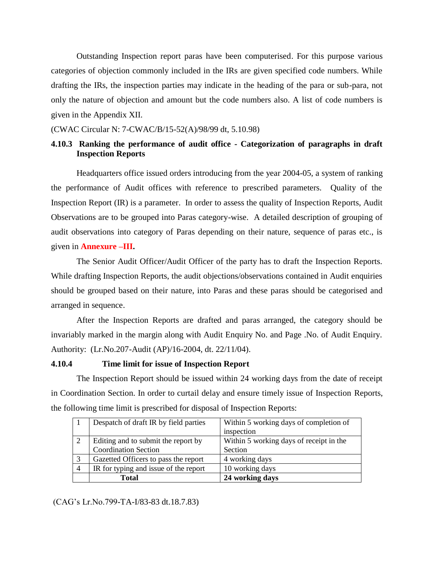Outstanding Inspection report paras have been computerised. For this purpose various categories of objection commonly included in the IRs are given specified code numbers. While drafting the IRs, the inspection parties may indicate in the heading of the para or sub-para, not only the nature of objection and amount but the code numbers also. A list of code numbers is given in the Appendix XII.

(CWAC Circular N: 7-CWAC/B/15-52(A)/98/99 dt, 5.10.98)

# **4.10.3 Ranking the performance of audit office - Categorization of paragraphs in draft Inspection Reports**

Headquarters office issued orders introducing from the year 2004-05, a system of ranking the performance of Audit offices with reference to prescribed parameters. Quality of the Inspection Report (IR) is a parameter. In order to assess the quality of Inspection Reports, Audit Observations are to be grouped into Paras category-wise. A detailed description of grouping of audit observations into category of Paras depending on their nature, sequence of paras etc., is given in **Annexure –III.**

The Senior Audit Officer/Audit Officer of the party has to draft the Inspection Reports. While drafting Inspection Reports, the audit objections/observations contained in Audit enquiries should be grouped based on their nature, into Paras and these paras should be categorised and arranged in sequence.

After the Inspection Reports are drafted and paras arranged, the category should be invariably marked in the margin along with Audit Enquiry No. and Page .No. of Audit Enquiry. Authority: (Lr.No.207-Audit (AP)/16-2004, dt. 22/11/04).

# **4.10.4 Time limit for issue of Inspection Report**

The Inspection Report should be issued within 24 working days from the date of receipt in Coordination Section. In order to curtail delay and ensure timely issue of Inspection Reports, the following time limit is prescribed for disposal of Inspection Reports:

|   | Despatch of draft IR by field parties | Within 5 working days of completion of  |
|---|---------------------------------------|-----------------------------------------|
|   |                                       | inspection                              |
| 2 | Editing and to submit the report by   | Within 5 working days of receipt in the |
|   | <b>Coordination Section</b>           | Section                                 |
| 3 | Gazetted Officers to pass the report  | 4 working days                          |
|   | IR for typing and issue of the report | 10 working days                         |
|   | Total                                 | 24 working days                         |

(CAG's Lr.No.799-TA-I/83-83 dt.18.7.83)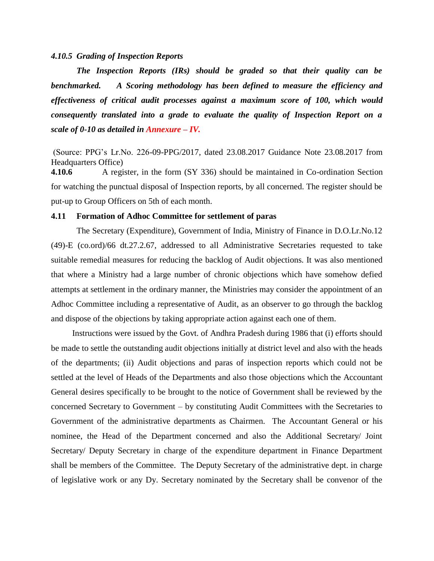#### *4.10.5 Grading of Inspection Reports*

*The Inspection Reports (IRs) should be graded so that their quality can be benchmarked. A Scoring methodology has been defined to measure the efficiency and effectiveness of critical audit processes against a maximum score of 100, which would consequently translated into a grade to evaluate the quality of Inspection Report on a scale of 0-10 as detailed in Annexure – IV.*

(Source: PPG's Lr.No. 226-09-PPG/2017, dated 23.08.2017 Guidance Note 23.08.2017 from Headquarters Office)

**4.10.6** A register, in the form (SY 336) should be maintained in Co-ordination Section for watching the punctual disposal of Inspection reports, by all concerned. The register should be put-up to Group Officers on 5th of each month.

#### **4.11 Formation of Adhoc Committee for settlement of paras**

The Secretary (Expenditure), Government of India, Ministry of Finance in D.O.Lr.No.12 (49)-E (co.ord)/66 dt.27.2.67, addressed to all Administrative Secretaries requested to take suitable remedial measures for reducing the backlog of Audit objections. It was also mentioned that where a Ministry had a large number of chronic objections which have somehow defied attempts at settlement in the ordinary manner, the Ministries may consider the appointment of an Adhoc Committee including a representative of Audit, as an observer to go through the backlog and dispose of the objections by taking appropriate action against each one of them.

Instructions were issued by the Govt. of Andhra Pradesh during 1986 that (i) efforts should be made to settle the outstanding audit objections initially at district level and also with the heads of the departments; (ii) Audit objections and paras of inspection reports which could not be settled at the level of Heads of the Departments and also those objections which the Accountant General desires specifically to be brought to the notice of Government shall be reviewed by the concerned Secretary to Government – by constituting Audit Committees with the Secretaries to Government of the administrative departments as Chairmen. The Accountant General or his nominee, the Head of the Department concerned and also the Additional Secretary/ Joint Secretary/ Deputy Secretary in charge of the expenditure department in Finance Department shall be members of the Committee. The Deputy Secretary of the administrative dept. in charge of legislative work or any Dy. Secretary nominated by the Secretary shall be convenor of the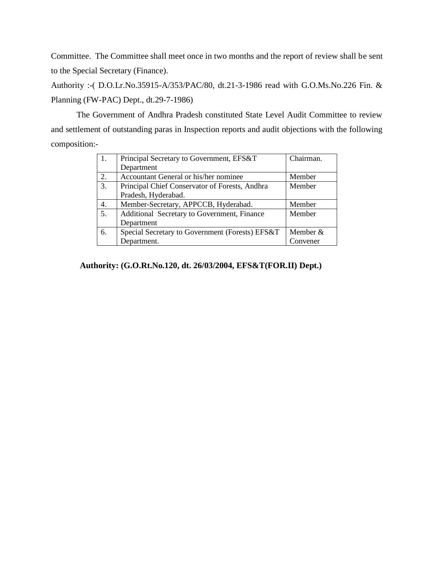Committee. The Committee shall meet once in two months and the report of review shall be sent to the Special Secretary (Finance).

Authority :-( D.O.Lr.No.35915-A/353/PAC/80, dt.21-3-1986 read with G.O.Ms.No.226 Fin. & Planning (FW-PAC) Dept., dt.29-7-1986)

The Government of Andhra Pradesh constituted State Level Audit Committee to review and settlement of outstanding paras in Inspection reports and audit objections with the following composition:-

| 1. | Chairman.<br>Principal Secretary to Government, EFS&T |            |
|----|-------------------------------------------------------|------------|
|    | Department                                            |            |
| 2. | Accountant General or his/her nominee                 | Member     |
| 3. | Principal Chief Conservator of Forests, Andhra        | Member     |
|    | Pradesh, Hyderabad.                                   |            |
| 4. | Member-Secretary, APPCCB, Hyderabad.                  | Member     |
| 5. | Additional Secretary to Government, Finance           | Member     |
|    | Department                                            |            |
| 6. | Special Secretary to Government (Forests) EFS&T       | Member $&$ |
|    | Department.                                           | Convener   |

# **Authority: (G.O.Rt.No.120, dt. 26/03/2004, EFS&T(FOR.II) Dept.)**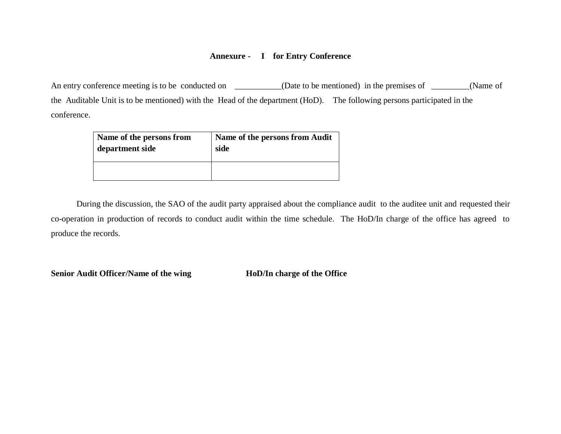# **Annexure - I for Entry Conference**

An entry conference meeting is to be conducted on \_\_\_\_\_\_\_\_\_(Date to be mentioned) in the premises of \_\_\_\_\_\_(Name of the Auditable Unit is to be mentioned) with the Head of the department (HoD). The following persons participated in the conference.

| Name of the persons from | Name of the persons from Audit |
|--------------------------|--------------------------------|
| department side          | side                           |
|                          |                                |

During the discussion, the SAO of the audit party appraised about the compliance audit to the auditee unit and requested their co-operation in production of records to conduct audit within the time schedule. The HoD/In charge of the office has agreed to produce the records.

**Senior Audit Officer/Name of the wing HoD/In charge of the Office**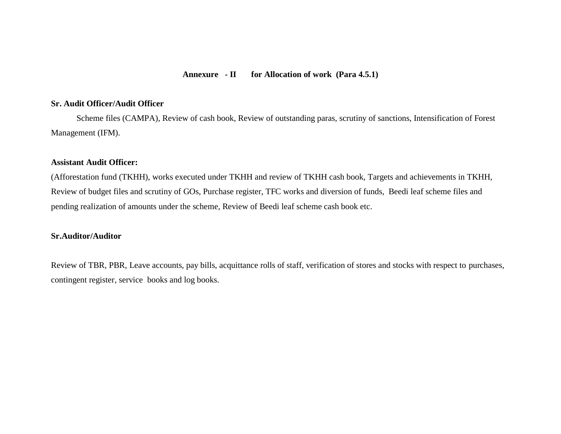#### **Annexure - II for Allocation of work (Para 4.5.1)**

# **Sr. Audit Officer/Audit Officer**

Scheme files (CAMPA), Review of cash book, Review of outstanding paras, scrutiny of sanctions, Intensification of Forest Management (IFM).

# **Assistant Audit Officer:**

(Afforestation fund (TKHH), works executed under TKHH and review of TKHH cash book, Targets and achievements in TKHH, Review of budget files and scrutiny of GOs, Purchase register, TFC works and diversion of funds, Beedi leaf scheme files and pending realization of amounts under the scheme, Review of Beedi leaf scheme cash book etc.

#### **Sr.Auditor/Auditor**

Review of TBR, PBR, Leave accounts, pay bills, acquittance rolls of staff, verification of stores and stocks with respect to purchases, contingent register, service books and log books.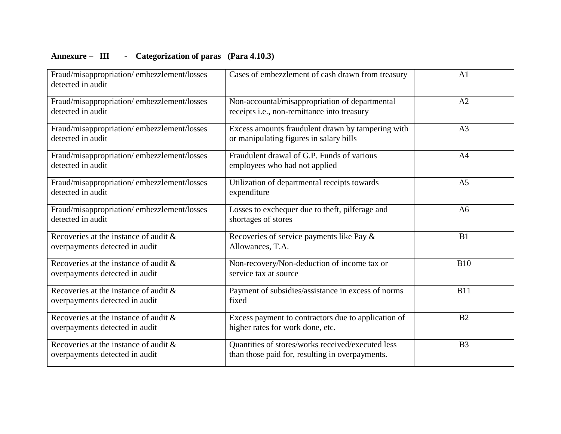# **Annexure – III - Categorization of paras (Para 4.10.3)**

| Fraud/misappropriation/embezzlement/losses<br>detected in audit            | Cases of embezzlement of cash drawn from treasury                                                    | A <sub>1</sub> |
|----------------------------------------------------------------------------|------------------------------------------------------------------------------------------------------|----------------|
| Fraud/misappropriation/embezzlement/losses<br>detected in audit            | Non-accountal/misappropriation of departmental<br>receipts i.e., non-remittance into treasury        | A2             |
| Fraud/misappropriation/embezzlement/losses<br>detected in audit            | Excess amounts fraudulent drawn by tampering with<br>or manipulating figures in salary bills         | A <sub>3</sub> |
| Fraud/misappropriation/embezzlement/losses<br>detected in audit            | Fraudulent drawal of G.P. Funds of various<br>employees who had not applied                          | A4             |
| Fraud/misappropriation/embezzlement/losses<br>detected in audit            | Utilization of departmental receipts towards<br>expenditure                                          | A <sub>5</sub> |
| Fraud/misappropriation/embezzlement/losses<br>detected in audit            | Losses to exchequer due to theft, pilferage and<br>shortages of stores                               | A6             |
| Recoveries at the instance of audit &<br>overpayments detected in audit    | Recoveries of service payments like Pay &<br>Allowances, T.A.                                        | B <sub>1</sub> |
| Recoveries at the instance of audit &<br>overpayments detected in audit    | Non-recovery/Non-deduction of income tax or<br>service tax at source                                 | <b>B10</b>     |
| Recoveries at the instance of audit $\&$<br>overpayments detected in audit | Payment of subsidies/assistance in excess of norms<br>fixed                                          | <b>B11</b>     |
| Recoveries at the instance of audit &<br>overpayments detected in audit    | Excess payment to contractors due to application of<br>higher rates for work done, etc.              | B <sub>2</sub> |
| Recoveries at the instance of audit $\&$<br>overpayments detected in audit | Quantities of stores/works received/executed less<br>than those paid for, resulting in overpayments. | B <sub>3</sub> |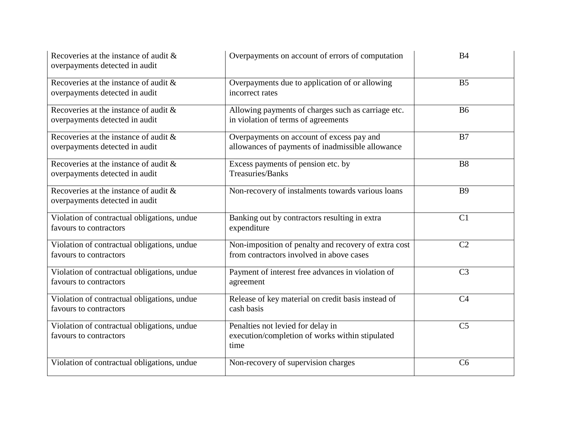| Recoveries at the instance of audit &<br>overpayments detected in audit    | Overpayments on account of errors of computation                                                 | B <sub>4</sub> |
|----------------------------------------------------------------------------|--------------------------------------------------------------------------------------------------|----------------|
| Recoveries at the instance of audit $\&$<br>overpayments detected in audit | Overpayments due to application of or allowing<br>incorrect rates                                | B <sub>5</sub> |
| Recoveries at the instance of audit &<br>overpayments detected in audit    | Allowing payments of charges such as carriage etc.<br>in violation of terms of agreements        | <b>B6</b>      |
| Recoveries at the instance of audit $\&$<br>overpayments detected in audit | Overpayments on account of excess pay and<br>allowances of payments of inadmissible allowance    | B7             |
| Recoveries at the instance of audit $\&$<br>overpayments detected in audit | Excess payments of pension etc. by<br><b>Treasuries/Banks</b>                                    | <b>B8</b>      |
| Recoveries at the instance of audit &<br>overpayments detected in audit    | Non-recovery of instalments towards various loans                                                | <b>B</b> 9     |
| Violation of contractual obligations, undue<br>favours to contractors      | Banking out by contractors resulting in extra<br>expenditure                                     | C1             |
| Violation of contractual obligations, undue<br>favours to contractors      | Non-imposition of penalty and recovery of extra cost<br>from contractors involved in above cases | C <sub>2</sub> |
| Violation of contractual obligations, undue<br>favours to contractors      | Payment of interest free advances in violation of<br>agreement                                   | C <sub>3</sub> |
| Violation of contractual obligations, undue<br>favours to contractors      | Release of key material on credit basis instead of<br>cash basis                                 | C <sub>4</sub> |
| Violation of contractual obligations, undue<br>favours to contractors      | Penalties not levied for delay in<br>execution/completion of works within stipulated<br>time     | C <sub>5</sub> |
| Violation of contractual obligations, undue                                | Non-recovery of supervision charges                                                              | C <sub>6</sub> |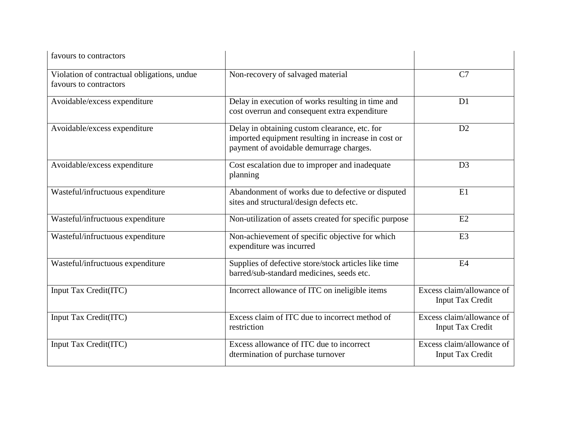| favours to contractors                                                |                                                                                                                                                 |                                                      |
|-----------------------------------------------------------------------|-------------------------------------------------------------------------------------------------------------------------------------------------|------------------------------------------------------|
| Violation of contractual obligations, undue<br>favours to contractors | Non-recovery of salvaged material                                                                                                               | C7                                                   |
| Avoidable/excess expenditure                                          | Delay in execution of works resulting in time and<br>cost overrun and consequent extra expenditure                                              | D <sub>1</sub>                                       |
| Avoidable/excess expenditure                                          | Delay in obtaining custom clearance, etc. for<br>imported equipment resulting in increase in cost or<br>payment of avoidable demurrage charges. | D2                                                   |
| Avoidable/excess expenditure                                          | Cost escalation due to improper and inadequate<br>planning                                                                                      | D <sub>3</sub>                                       |
| Wasteful/infructuous expenditure                                      | Abandonment of works due to defective or disputed<br>sites and structural/design defects etc.                                                   | E1                                                   |
| Wasteful/infructuous expenditure                                      | Non-utilization of assets created for specific purpose                                                                                          | E2                                                   |
| Wasteful/infructuous expenditure                                      | Non-achievement of specific objective for which<br>expenditure was incurred                                                                     | E3                                                   |
| Wasteful/infructuous expenditure                                      | Supplies of defective store/stock articles like time<br>barred/sub-standard medicines, seeds etc.                                               | E4                                                   |
| Input Tax Credit(ITC)                                                 | Incorrect allowance of ITC on ineligible items                                                                                                  | Excess claim/allowance of<br><b>Input Tax Credit</b> |
| Input Tax Credit(ITC)                                                 | Excess claim of ITC due to incorrect method of<br>restriction                                                                                   | Excess claim/allowance of<br><b>Input Tax Credit</b> |
| Input Tax Credit(ITC)                                                 | Excess allowance of ITC due to incorrect<br>dtermination of purchase turnover                                                                   | Excess claim/allowance of<br><b>Input Tax Credit</b> |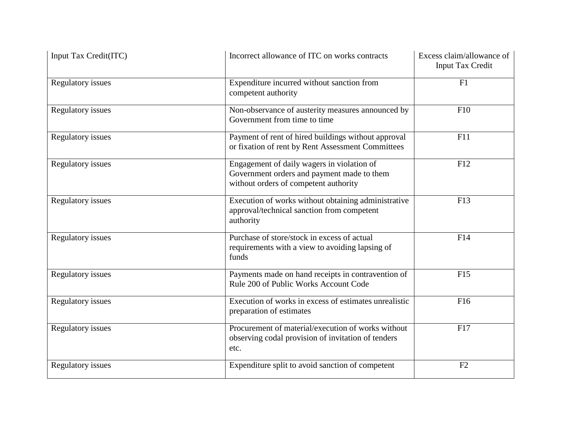| Input Tax Credit(ITC)    | Incorrect allowance of ITC on works contracts                                                                                     | Excess claim/allowance of<br><b>Input Tax Credit</b> |
|--------------------------|-----------------------------------------------------------------------------------------------------------------------------------|------------------------------------------------------|
| <b>Regulatory issues</b> | Expenditure incurred without sanction from<br>competent authority                                                                 | F1                                                   |
| <b>Regulatory</b> issues | Non-observance of austerity measures announced by<br>Government from time to time                                                 | F10                                                  |
| <b>Regulatory issues</b> | Payment of rent of hired buildings without approval<br>or fixation of rent by Rent Assessment Committees                          | F11                                                  |
| <b>Regulatory issues</b> | Engagement of daily wagers in violation of<br>Government orders and payment made to them<br>without orders of competent authority | F12                                                  |
| <b>Regulatory issues</b> | Execution of works without obtaining administrative<br>approval/technical sanction from competent<br>authority                    | F13                                                  |
| <b>Regulatory</b> issues | Purchase of store/stock in excess of actual<br>requirements with a view to avoiding lapsing of<br>funds                           | F14                                                  |
| <b>Regulatory</b> issues | Payments made on hand receipts in contravention of<br>Rule 200 of Public Works Account Code                                       | F15                                                  |
| Regulatory issues        | Execution of works in excess of estimates unrealistic<br>preparation of estimates                                                 | F16                                                  |
| <b>Regulatory issues</b> | Procurement of material/execution of works without<br>observing codal provision of invitation of tenders<br>etc.                  | F17                                                  |
| <b>Regulatory issues</b> | Expenditure split to avoid sanction of competent                                                                                  | F2                                                   |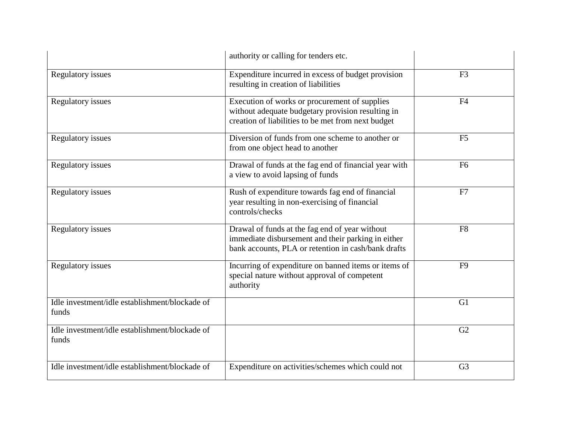|                                                         | authority or calling for tenders etc.                                                                                                                       |                |
|---------------------------------------------------------|-------------------------------------------------------------------------------------------------------------------------------------------------------------|----------------|
| <b>Regulatory issues</b>                                | Expenditure incurred in excess of budget provision<br>resulting in creation of liabilities                                                                  | F <sub>3</sub> |
| <b>Regulatory issues</b>                                | Execution of works or procurement of supplies<br>without adequate budgetary provision resulting in<br>creation of liabilities to be met from next budget    | F4             |
| <b>Regulatory issues</b>                                | Diversion of funds from one scheme to another or<br>from one object head to another                                                                         | F <sub>5</sub> |
| Regulatory issues                                       | Drawal of funds at the fag end of financial year with<br>a view to avoid lapsing of funds                                                                   | F <sub>6</sub> |
| <b>Regulatory</b> issues                                | Rush of expenditure towards fag end of financial<br>year resulting in non-exercising of financial<br>controls/checks                                        | F7             |
| <b>Regulatory issues</b>                                | Drawal of funds at the fag end of year without<br>immediate disbursement and their parking in either<br>bank accounts, PLA or retention in cash/bank drafts | F <sub>8</sub> |
| <b>Regulatory issues</b>                                | Incurring of expenditure on banned items or items of<br>special nature without approval of competent<br>authority                                           | F <sub>9</sub> |
| Idle investment/idle establishment/blockade of<br>funds |                                                                                                                                                             | G1             |
| Idle investment/idle establishment/blockade of<br>funds |                                                                                                                                                             | G2             |
| Idle investment/idle establishment/blockade of          | Expenditure on activities/schemes which could not                                                                                                           | G <sub>3</sub> |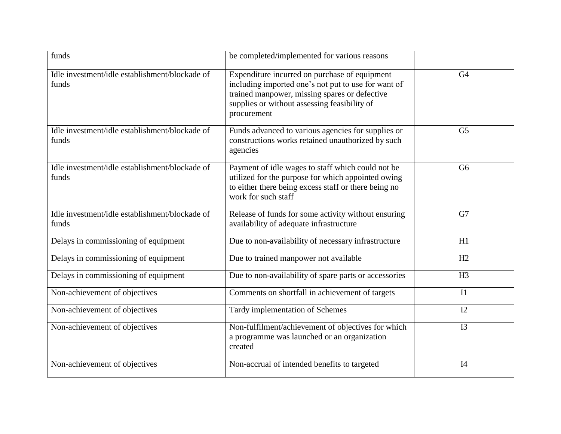| funds                                                   | be completed/implemented for various reasons                                                                                                                                                                         |                |
|---------------------------------------------------------|----------------------------------------------------------------------------------------------------------------------------------------------------------------------------------------------------------------------|----------------|
| Idle investment/idle establishment/blockade of<br>funds | Expenditure incurred on purchase of equipment<br>including imported one's not put to use for want of<br>trained manpower, missing spares or defective<br>supplies or without assessing feasibility of<br>procurement | G <sub>4</sub> |
| Idle investment/idle establishment/blockade of<br>funds | Funds advanced to various agencies for supplies or<br>constructions works retained unauthorized by such<br>agencies                                                                                                  | G <sub>5</sub> |
| Idle investment/idle establishment/blockade of<br>funds | Payment of idle wages to staff which could not be<br>utilized for the purpose for which appointed owing<br>to either there being excess staff or there being no<br>work for such staff                               | G <sub>6</sub> |
| Idle investment/idle establishment/blockade of<br>funds | Release of funds for some activity without ensuring<br>availability of adequate infrastructure                                                                                                                       | G7             |
| Delays in commissioning of equipment                    | Due to non-availability of necessary infrastructure                                                                                                                                                                  | H1             |
| Delays in commissioning of equipment                    | Due to trained manpower not available                                                                                                                                                                                | H2             |
| Delays in commissioning of equipment                    | Due to non-availability of spare parts or accessories                                                                                                                                                                | H <sub>3</sub> |
| Non-achievement of objectives                           | Comments on shortfall in achievement of targets                                                                                                                                                                      | I1             |
| Non-achievement of objectives                           | Tardy implementation of Schemes                                                                                                                                                                                      | 12             |
| Non-achievement of objectives                           | Non-fulfilment/achievement of objectives for which<br>a programme was launched or an organization<br>created                                                                                                         | I3             |
| Non-achievement of objectives                           | Non-accrual of intended benefits to targeted                                                                                                                                                                         | I4             |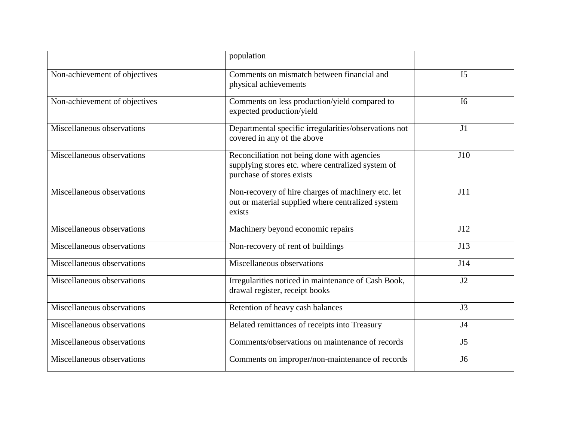|                               | population                                                                                                                    |                |
|-------------------------------|-------------------------------------------------------------------------------------------------------------------------------|----------------|
| Non-achievement of objectives | Comments on mismatch between financial and<br>physical achievements                                                           | I <sub>5</sub> |
| Non-achievement of objectives | Comments on less production/yield compared to<br>expected production/yield                                                    | <b>I6</b>      |
| Miscellaneous observations    | Departmental specific irregularities/observations not<br>covered in any of the above                                          | J <sub>1</sub> |
| Miscellaneous observations    | Reconciliation not being done with agencies<br>supplying stores etc. where centralized system of<br>purchase of stores exists | J10            |
| Miscellaneous observations    | Non-recovery of hire charges of machinery etc. let<br>out or material supplied where centralized system<br>exists             | J11            |
| Miscellaneous observations    | Machinery beyond economic repairs                                                                                             | J12            |
| Miscellaneous observations    | Non-recovery of rent of buildings                                                                                             | J13            |
| Miscellaneous observations    | Miscellaneous observations                                                                                                    | J14            |
| Miscellaneous observations    | Irregularities noticed in maintenance of Cash Book,<br>drawal register, receipt books                                         | J2             |
| Miscellaneous observations    | Retention of heavy cash balances                                                                                              | J3             |
| Miscellaneous observations    | Belated remittances of receipts into Treasury                                                                                 | J4             |
| Miscellaneous observations    | Comments/observations on maintenance of records                                                                               | J <sub>5</sub> |
| Miscellaneous observations    | Comments on improper/non-maintenance of records                                                                               | J6             |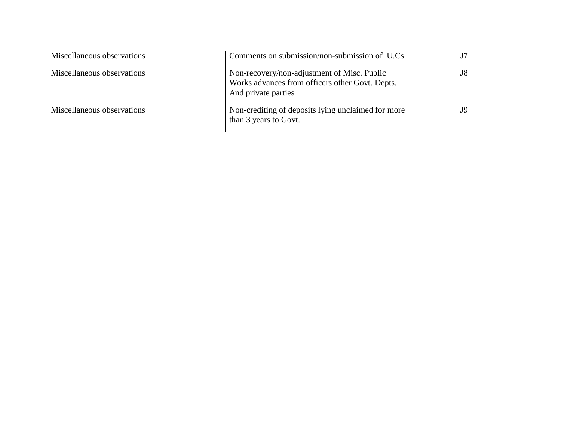| Miscellaneous observations | Comments on submission/non-submission of U.Cs.                                                                        |    |
|----------------------------|-----------------------------------------------------------------------------------------------------------------------|----|
| Miscellaneous observations | Non-recovery/non-adjustment of Misc. Public<br>Works advances from officers other Govt. Depts.<br>And private parties | J8 |
| Miscellaneous observations | Non-crediting of deposits lying unclaimed for more<br>than 3 years to Govt.                                           |    |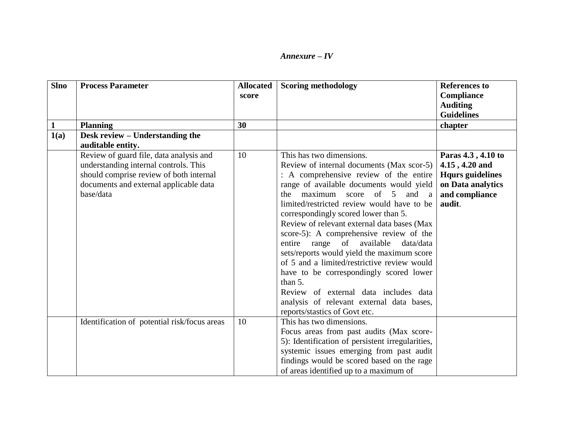| <b>Slno</b> | <b>Process Parameter</b>                     | <b>Allocated</b> | <b>Scoring methodology</b>                       | <b>References to</b>    |
|-------------|----------------------------------------------|------------------|--------------------------------------------------|-------------------------|
|             |                                              | score            |                                                  | <b>Compliance</b>       |
|             |                                              |                  |                                                  | <b>Auditing</b>         |
|             |                                              |                  |                                                  | <b>Guidelines</b>       |
|             | <b>Planning</b>                              | 30               |                                                  | chapter                 |
| 1(a)        | Desk review - Understanding the              |                  |                                                  |                         |
|             | auditable entity.                            |                  |                                                  |                         |
|             | Review of guard file, data analysis and      | 10               | This has two dimensions.                         | Paras 4.3, 4.10 to      |
|             | understanding internal controls. This        |                  | Review of internal documents (Max scor-5)        | 4.15, 4.20 and          |
|             | should comprise review of both internal      |                  | : A comprehensive review of the entire           | <b>Hqurs</b> guidelines |
|             | documents and external applicable data       |                  | range of available documents would yield         | on Data analytics       |
|             | base/data                                    |                  | maximum score of 5<br>and a<br>the               | and compliance          |
|             |                                              |                  | limited/restricted review would have to be       | audit.                  |
|             |                                              |                  | correspondingly scored lower than 5.             |                         |
|             |                                              |                  | Review of relevant external data bases (Max      |                         |
|             |                                              |                  | score-5): A comprehensive review of the          |                         |
|             |                                              |                  | entire range of available data/data              |                         |
|             |                                              |                  | sets/reports would yield the maximum score       |                         |
|             |                                              |                  | of 5 and a limited/restrictive review would      |                         |
|             |                                              |                  | have to be correspondingly scored lower          |                         |
|             |                                              |                  | than $5$ .                                       |                         |
|             |                                              |                  | Review of external data includes data            |                         |
|             |                                              |                  | analysis of relevant external data bases,        |                         |
|             |                                              |                  | reports/stastics of Govt etc.                    |                         |
|             | Identification of potential risk/focus areas | 10               | This has two dimensions.                         |                         |
|             |                                              |                  | Focus areas from past audits (Max score-         |                         |
|             |                                              |                  | 5): Identification of persistent irregularities, |                         |
|             |                                              |                  | systemic issues emerging from past audit         |                         |
|             |                                              |                  | findings would be scored based on the rage       |                         |
|             |                                              |                  | of areas identified up to a maximum of           |                         |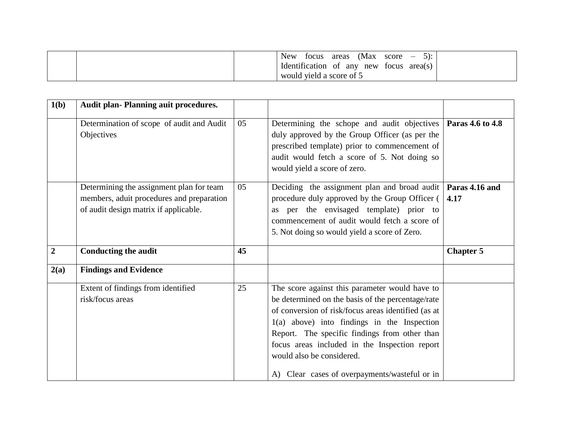|  | <b>New</b><br>$5$ :<br>(Max score)<br>areas<br>tocus<br>$\overline{\phantom{a}}$ |  |
|--|----------------------------------------------------------------------------------|--|
|  | Identification of any new focus<br>area(s)                                       |  |
|  | would yield a score of 5                                                         |  |

| 1(b)             | <b>Audit plan- Planning auit procedures.</b>                                                                                   |    |                                                                                                                                                                                                                                                                                                               |                        |
|------------------|--------------------------------------------------------------------------------------------------------------------------------|----|---------------------------------------------------------------------------------------------------------------------------------------------------------------------------------------------------------------------------------------------------------------------------------------------------------------|------------------------|
|                  | Determination of scope of audit and Audit<br>Objectives                                                                        | 05 | Determining the schope and audit objectives<br>duly approved by the Group Officer (as per the<br>prescribed template) prior to commencement of<br>audit would fetch a score of 5. Not doing so<br>would yield a score of zero.                                                                                | Paras 4.6 to 4.8       |
|                  | Determining the assignment plan for team<br>members, aduit procedures and preparation<br>of audit design matrix if applicable. | 05 | Deciding the assignment plan and broad audit<br>procedure duly approved by the Group Officer (<br>per the envisaged template) prior to<br>as<br>commencement of audit would fetch a score of<br>5. Not doing so would yield a score of Zero.                                                                  | Paras 4.16 and<br>4.17 |
| $\boldsymbol{2}$ | <b>Conducting the audit</b>                                                                                                    | 45 |                                                                                                                                                                                                                                                                                                               | <b>Chapter 5</b>       |
| 2(a)             | <b>Findings and Evidence</b>                                                                                                   |    |                                                                                                                                                                                                                                                                                                               |                        |
|                  | Extent of findings from identified<br>risk/focus areas                                                                         | 25 | The score against this parameter would have to<br>be determined on the basis of the percentage/rate<br>of conversion of risk/focus areas identified (as at<br>$1(a)$ above) into findings in the Inspection<br>Report. The specific findings from other than<br>focus areas included in the Inspection report |                        |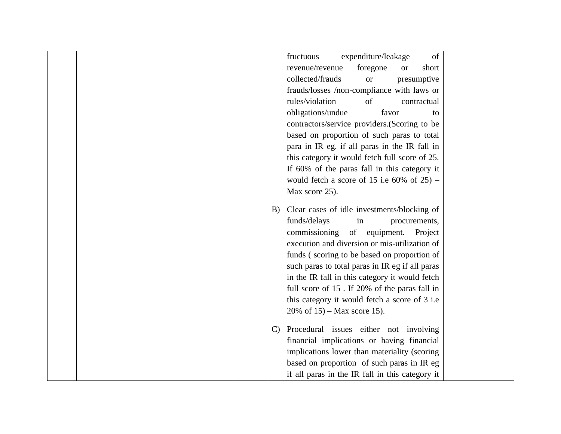| expenditure/leakage<br>fructuous<br>of                 |
|--------------------------------------------------------|
| foregone<br>revenue/revenue<br>short<br><b>or</b>      |
| collected/frauds<br>presumptive<br><b>or</b>           |
| frauds/losses /non-compliance with laws or             |
| rules/violation<br>of<br>contractual                   |
| obligations/undue<br>favor<br>to                       |
| contractors/service providers.(Scoring to be           |
| based on proportion of such paras to total             |
| para in IR eg. if all paras in the IR fall in          |
| this category it would fetch full score of 25.         |
| If 60% of the paras fall in this category it           |
| would fetch a score of 15 i.e $60\%$ of 25) -          |
| Max score 25).                                         |
|                                                        |
| Clear cases of idle investments/blocking of<br>B)      |
| funds/delays<br>procurements,<br>in                    |
| commissioning<br>of equipment.<br>Project              |
| execution and diversion or mis-utilization of          |
| funds (scoring to be based on proportion of            |
| such paras to total paras in IR eg if all paras        |
| in the IR fall in this category it would fetch         |
| full score of 15. If 20% of the paras fall in          |
| this category it would fetch a score of 3 i.e          |
| 20% of $15$ ) – Max score 15).                         |
| Procedural issues either not involving<br>$\mathbf{C}$ |
| financial implications or having financial             |
| implications lower than materiality (scoring           |
| based on proportion of such paras in IR eg             |
| if all paras in the IR fall in this category it        |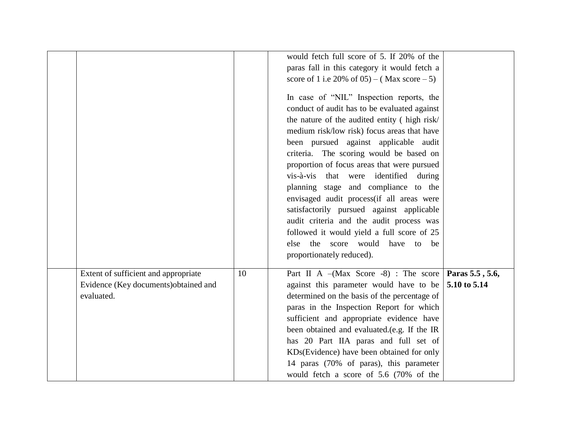|                                                                              |    | would fetch full score of 5. If 20% of the<br>paras fall in this category it would fetch a<br>score of 1 i.e 20% of $(05) - (Max score - 5)$<br>In case of "NIL" Inspection reports, the<br>conduct of audit has to be evaluated against<br>the nature of the audited entity (high risk/<br>medium risk/low risk) focus areas that have<br>been pursued against applicable audit<br>criteria. The scoring would be based on<br>proportion of focus areas that were pursued<br>vis-à-vis that were<br>identified during |                                 |
|------------------------------------------------------------------------------|----|------------------------------------------------------------------------------------------------------------------------------------------------------------------------------------------------------------------------------------------------------------------------------------------------------------------------------------------------------------------------------------------------------------------------------------------------------------------------------------------------------------------------|---------------------------------|
| Extent of sufficient and appropriate<br>Evidence (Key documents)obtained and | 10 | planning stage and compliance to the<br>envisaged audit process (if all areas were<br>satisfactorily pursued against applicable<br>audit criteria and the audit process was<br>followed it would yield a full score of 25<br>else the score would have to be<br>proportionately reduced).<br>Part II A $-(Max Score -8)$ : The score<br>against this parameter would have to be                                                                                                                                        | Paras 5.5, 5.6,<br>5.10 to 5.14 |
| evaluated.                                                                   |    | determined on the basis of the percentage of<br>paras in the Inspection Report for which<br>sufficient and appropriate evidence have<br>been obtained and evaluated.(e.g. If the IR<br>has 20 Part IIA paras and full set of<br>KDs(Evidence) have been obtained for only<br>14 paras (70% of paras), this parameter<br>would fetch a score of 5.6 (70% of the                                                                                                                                                         |                                 |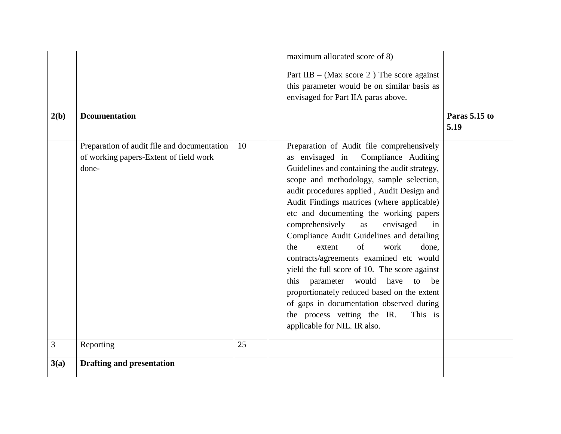|      |                                                                                                |    | maximum allocated score of 8)                                                                                                                                                                                                                                                                                                                                                                                                                                                                                                                                                                                                                                                                                                                                     |               |
|------|------------------------------------------------------------------------------------------------|----|-------------------------------------------------------------------------------------------------------------------------------------------------------------------------------------------------------------------------------------------------------------------------------------------------------------------------------------------------------------------------------------------------------------------------------------------------------------------------------------------------------------------------------------------------------------------------------------------------------------------------------------------------------------------------------------------------------------------------------------------------------------------|---------------|
|      |                                                                                                |    | Part IIB – (Max score 2) The score against<br>this parameter would be on similar basis as<br>envisaged for Part IIA paras above.                                                                                                                                                                                                                                                                                                                                                                                                                                                                                                                                                                                                                                  |               |
| 2(b) | <b>D</b> coumentation                                                                          |    |                                                                                                                                                                                                                                                                                                                                                                                                                                                                                                                                                                                                                                                                                                                                                                   | Paras 5.15 to |
|      |                                                                                                |    |                                                                                                                                                                                                                                                                                                                                                                                                                                                                                                                                                                                                                                                                                                                                                                   | 5.19          |
|      | Preparation of audit file and documentation<br>of working papers-Extent of field work<br>done- | 10 | Preparation of Audit file comprehensively<br>as envisaged in<br>Compliance Auditing<br>Guidelines and containing the audit strategy,<br>scope and methodology, sample selection,<br>audit procedures applied, Audit Design and<br>Audit Findings matrices (where applicable)<br>etc and documenting the working papers<br>comprehensively<br>envisaged<br>as<br>in<br>Compliance Audit Guidelines and detailing<br>of<br>the<br>extent<br>work<br>done.<br>contracts/agreements examined etc would<br>yield the full score of 10. The score against<br>this parameter would have<br>to<br>be<br>proportionately reduced based on the extent<br>of gaps in documentation observed during<br>the process vetting the IR.<br>This is<br>applicable for NIL. IR also. |               |
| 3    | Reporting                                                                                      | 25 |                                                                                                                                                                                                                                                                                                                                                                                                                                                                                                                                                                                                                                                                                                                                                                   |               |
| 3(a) | <b>Drafting and presentation</b>                                                               |    |                                                                                                                                                                                                                                                                                                                                                                                                                                                                                                                                                                                                                                                                                                                                                                   |               |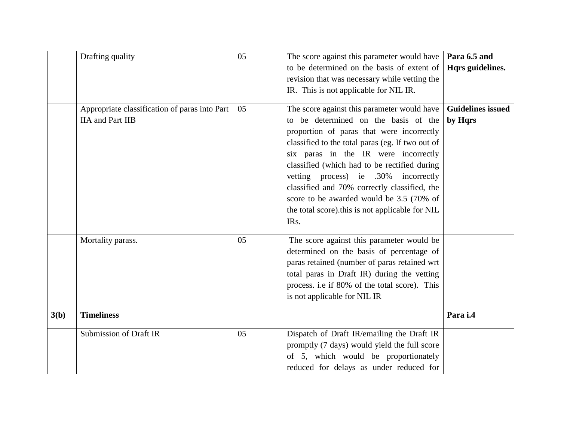|      | Drafting quality                              | 05 | The score against this parameter would have<br>to be determined on the basis of extent of | Para 6.5 and             |
|------|-----------------------------------------------|----|-------------------------------------------------------------------------------------------|--------------------------|
|      |                                               |    |                                                                                           | Hqrs guidelines.         |
|      |                                               |    | revision that was necessary while vetting the                                             |                          |
|      |                                               |    | IR. This is not applicable for NIL IR.                                                    |                          |
|      | Appropriate classification of paras into Part | 05 | The score against this parameter would have                                               | <b>Guidelines issued</b> |
|      | <b>IIA</b> and Part IIB                       |    | to be determined on the basis of the                                                      | by Hqrs                  |
|      |                                               |    | proportion of paras that were incorrectly                                                 |                          |
|      |                                               |    | classified to the total paras (eg. If two out of                                          |                          |
|      |                                               |    | six paras in the IR were incorrectly                                                      |                          |
|      |                                               |    | classified (which had to be rectified during                                              |                          |
|      |                                               |    | vetting process) ie .30% incorrectly                                                      |                          |
|      |                                               |    | classified and 70% correctly classified, the                                              |                          |
|      |                                               |    | score to be awarded would be 3.5 (70% of                                                  |                          |
|      |                                               |    | the total score).this is not applicable for NIL                                           |                          |
|      |                                               |    | IR <sub>s</sub> .                                                                         |                          |
|      |                                               |    |                                                                                           |                          |
|      | Mortality parass.                             | 05 | The score against this parameter would be                                                 |                          |
|      |                                               |    | determined on the basis of percentage of                                                  |                          |
|      |                                               |    | paras retained (number of paras retained wrt                                              |                          |
|      |                                               |    | total paras in Draft IR) during the vetting                                               |                          |
|      |                                               |    | process. i.e if 80% of the total score). This                                             |                          |
|      |                                               |    | is not applicable for NIL IR                                                              |                          |
| 3(b) | <b>Timeliness</b>                             |    |                                                                                           | Para i.4                 |
|      |                                               |    |                                                                                           |                          |
|      | <b>Submission of Draft IR</b>                 | 05 | Dispatch of Draft IR/emailing the Draft IR                                                |                          |
|      |                                               |    | promptly (7 days) would yield the full score                                              |                          |
|      |                                               |    | of 5, which would be proportionately                                                      |                          |
|      |                                               |    | reduced for delays as under reduced for                                                   |                          |